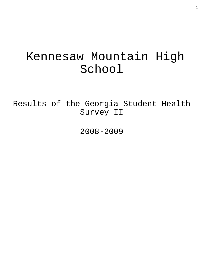# Kennesaw Mountain High School

Results of the Georgia Student Health Survey II

2008-2009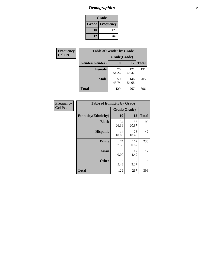## *Demographics* **2**

| Grade                    |     |  |  |  |
|--------------------------|-----|--|--|--|
| <b>Grade   Frequency</b> |     |  |  |  |
| 10                       | 129 |  |  |  |
| 12                       | 267 |  |  |  |

| Frequency      | <b>Table of Gender by Grade</b> |              |              |              |  |  |
|----------------|---------------------------------|--------------|--------------|--------------|--|--|
| <b>Col Pct</b> |                                 | Grade(Grade) |              |              |  |  |
|                | Gender(Gender)                  | 10           | 12           | <b>Total</b> |  |  |
|                | <b>Female</b>                   | 70<br>54.26  | 121<br>45.32 | 191          |  |  |
|                | <b>Male</b>                     | 59<br>45.74  | 146<br>54.68 | 205          |  |  |
|                | <b>Total</b>                    | 129          | 267          | 396          |  |  |

| Frequency<br>Col Pct |
|----------------------|
|                      |

| <b>Table of Ethnicity by Grade</b> |              |              |              |  |  |  |
|------------------------------------|--------------|--------------|--------------|--|--|--|
|                                    | Grade(Grade) |              |              |  |  |  |
| <b>Ethnicity</b> (Ethnicity)       | 10           | 12           | <b>Total</b> |  |  |  |
| <b>Black</b>                       | 34<br>26.36  | 56<br>20.97  | 90           |  |  |  |
| <b>Hispanic</b>                    | 14<br>10.85  | 28<br>10.49  | 42           |  |  |  |
| White                              | 74<br>57.36  | 162<br>60.67 | 236          |  |  |  |
| <b>Asian</b>                       | 0<br>0.00    | 12<br>4.49   | 12           |  |  |  |
| <b>Other</b>                       | 7<br>5.43    | 9<br>3.37    | 16           |  |  |  |
| <b>Total</b>                       | 129          | 267          | 396          |  |  |  |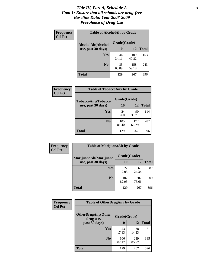#### *Title IV, Part A, Schedule A* **3** *Goal 1: Ensure that all schools are drug-free Baseline Data: Year 2008-2009 Prevalence of Drug Use*

| Frequency<br><b>Col Pct</b> | <b>Table of AlcoholAlt by Grade</b> |              |              |              |  |  |
|-----------------------------|-------------------------------------|--------------|--------------|--------------|--|--|
|                             | AlcoholAlt(Alcohol                  | Grade(Grade) |              |              |  |  |
|                             | use, past 30 days)                  | <b>10</b>    | 12           | <b>Total</b> |  |  |
|                             | <b>Yes</b>                          | 44<br>34.11  | 109<br>40.82 | 153          |  |  |
|                             | N <sub>0</sub>                      | 85<br>65.89  | 158<br>59.18 | 243          |  |  |
|                             | <b>Total</b>                        | 129          | 267          | 396          |  |  |

| Frequency<br><b>Col Pct</b> | <b>Table of TobaccoAny by Grade</b> |              |              |              |  |
|-----------------------------|-------------------------------------|--------------|--------------|--------------|--|
|                             | <b>TobaccoAny(Tobacco</b>           | Grade(Grade) |              |              |  |
|                             | use, past 30 days)                  | 10           | 12           | <b>Total</b> |  |
|                             | Yes                                 | 24<br>18.60  | 90<br>33.71  | 114          |  |
|                             | N <sub>0</sub>                      | 105<br>81.40 | 177<br>66.29 | 282          |  |
|                             | Total                               | 129          | 267          | 396          |  |

| Frequency<br><b>Col Pct</b> | <b>Table of MarijuanaAlt by Grade</b> |              |              |              |  |
|-----------------------------|---------------------------------------|--------------|--------------|--------------|--|
|                             | MarijuanaAlt(Marijuana                | Grade(Grade) |              |              |  |
|                             | use, past 30 days)                    | <b>10</b>    | 12           | <b>Total</b> |  |
|                             | <b>Yes</b>                            | 22<br>17.05  | 65<br>24.34  | 87           |  |
|                             | N <sub>0</sub>                        | 107<br>82.95 | 202<br>75.66 | 309          |  |
|                             | <b>Total</b>                          | 129          | 267          | 396          |  |

| Frequency<br><b>Col Pct</b> | <b>Table of OtherDrugAny by Grade</b>  |              |              |              |  |
|-----------------------------|----------------------------------------|--------------|--------------|--------------|--|
|                             | <b>OtherDrugAny(Other</b><br>drug use, | Grade(Grade) |              |              |  |
|                             | past 30 days)                          | 10           | <b>12</b>    | <b>Total</b> |  |
|                             | Yes                                    | 23<br>17.83  | 38<br>14.23  | 61           |  |
|                             | N <sub>0</sub>                         | 106<br>82.17 | 229<br>85.77 | 335          |  |
|                             | <b>Total</b>                           | 129          | 267          | 396          |  |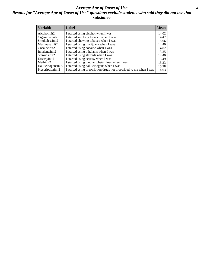#### *Average Age of Onset of Use* **4** *Results for "Average Age of Onset of Use" questions exclude students who said they did not use that substance*

| <b>Variable</b>    | Label                                                              | <b>Mean</b> |
|--------------------|--------------------------------------------------------------------|-------------|
| Alcoholinit2       | I started using alcohol when I was                                 | 14.02       |
| Cigarettesinit2    | I started smoking tobacco when I was                               | 14.47       |
| Smokelessinit2     | I started chewing tobacco when I was                               | 15.06       |
| Marijuanainit2     | I started using marijuana when I was                               | 14.40       |
| Cocaineinit2       | I started using cocaine when I was                                 | 14.82       |
| Inhalantsinit2     | I started using inhalants when I was                               | 13.25       |
| Steroidsinit2      | I started using steroids when I was                                | 14.40       |
| Ecstasyinit2       | I started using ecstasy when I was                                 | 15.49       |
| Methinit2          | I started using methamphetamines when I was                        | 15.23       |
| Hallucinogensinit2 | I started using hallucinogens when I was                           | 15.28       |
| Prescriptioninit2  | I started using prescription drugs not prescribed to me when I was | 14.03       |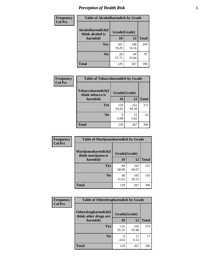### *Perception of Health Risk* **5**

| Frequency      | <b>Table of Alcoholharmdich by Grade</b> |              |              |              |  |
|----------------|------------------------------------------|--------------|--------------|--------------|--|
| <b>Col Pct</b> | Alcoholharmdich(I<br>think alcohol is    | Grade(Grade) |              |              |  |
|                | harmful)                                 | 10           | 12           | <b>Total</b> |  |
|                | <b>Yes</b>                               | 101<br>78.29 | 198<br>74.16 | 299          |  |
|                | N <sub>0</sub>                           | 28<br>21.71  | 69<br>25.84  | 97           |  |
|                | <b>Total</b>                             | 129          | 267          | 396          |  |

| Frequency<br><b>Col Pct</b> | <b>Table of Tobaccoharmdich by Grade</b> |              |              |              |  |
|-----------------------------|------------------------------------------|--------------|--------------|--------------|--|
|                             | Tobaccoharmdich(I<br>think tobacco is    | Grade(Grade) |              |              |  |
|                             | harmful)                                 | 10           | 12           | <b>Total</b> |  |
|                             | <b>Yes</b>                               | 120<br>93.02 | 252<br>94.38 | 372          |  |
|                             | N <sub>0</sub>                           | q<br>6.98    | 15<br>5.62   | 24           |  |
|                             | <b>Total</b>                             | 129          | 267          | 396          |  |

| Frequency      | <b>Table of Marijuanaharmdich by Grade</b>                |             |              |              |  |  |
|----------------|-----------------------------------------------------------|-------------|--------------|--------------|--|--|
| <b>Col Pct</b> | Marijuanaharmdich(I<br>Grade(Grade)<br>think marijuana is |             |              |              |  |  |
|                | harmful)                                                  | 10          | 12           | <b>Total</b> |  |  |
|                | Yes                                                       | 89<br>68.99 | 162<br>60.67 | 251          |  |  |
|                | N <sub>0</sub>                                            | 40<br>31.01 | 105<br>39.33 | 145          |  |  |
|                | <b>Total</b>                                              | 129         | 267          | 396          |  |  |

| <b>Frequency</b> | <b>Table of Otherdrugharmdich by Grade</b>           |              |              |              |  |  |  |  |
|------------------|------------------------------------------------------|--------------|--------------|--------------|--|--|--|--|
| <b>Col Pct</b>   | <b>Otherdrugharmdich</b> (I<br>think other drugs are | Grade(Grade) |              |              |  |  |  |  |
|                  | harmful)                                             | 10           | 12           | <b>Total</b> |  |  |  |  |
|                  | <b>Yes</b>                                           | 123<br>95.35 | 256<br>95.88 | 379          |  |  |  |  |
|                  | N <sub>0</sub>                                       | 6<br>4.65    | 4.12         | 17           |  |  |  |  |
|                  | <b>Total</b>                                         | 129          | 267          | 396          |  |  |  |  |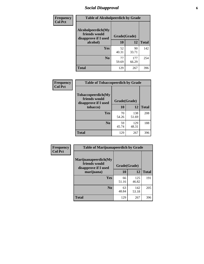### *Social Disapproval* **6**

| Frequency      | <b>Table of Alcoholpeerdich by Grade</b>                    |              |              |              |
|----------------|-------------------------------------------------------------|--------------|--------------|--------------|
| <b>Col Pct</b> | Alcoholpeerdich(My<br>friends would<br>disapprove if I used | Grade(Grade) |              |              |
|                | alcohol)                                                    | 10           | 12           | <b>Total</b> |
|                | <b>Yes</b>                                                  | 52<br>40.31  | 90<br>33.71  | 142          |
|                | N <sub>0</sub>                                              | 77<br>59.69  | 177<br>66.29 | 254          |
|                | <b>Total</b>                                                | 129          | 267          | 396          |

| <b>Frequency</b> |
|------------------|
| <b>Col Pct</b>   |

| <b>Table of Tobaccopeerdich by Grade</b>                    |              |              |              |  |  |  |  |
|-------------------------------------------------------------|--------------|--------------|--------------|--|--|--|--|
| Tobaccopeerdich(My<br>friends would<br>disapprove if I used | Grade(Grade) |              |              |  |  |  |  |
| tobacco)                                                    | 10           | 12           | <b>Total</b> |  |  |  |  |
| Yes                                                         | 70<br>54.26  | 138<br>51.69 | 208          |  |  |  |  |
| N <sub>0</sub>                                              | 59<br>45.74  | 129<br>48.31 | 188          |  |  |  |  |
| Total                                                       | 129          | 267          |              |  |  |  |  |

| Frequency      | <b>Table of Marijuanapeerdich by Grade</b>                    |              |              |              |  |  |  |  |
|----------------|---------------------------------------------------------------|--------------|--------------|--------------|--|--|--|--|
| <b>Col Pct</b> | Marijuanapeerdich(My<br>friends would<br>disapprove if I used | Grade(Grade) |              |              |  |  |  |  |
|                | marijuana)                                                    | 10           | 12           | <b>Total</b> |  |  |  |  |
|                | <b>Yes</b>                                                    | 66<br>51.16  | 125<br>46.82 | 191          |  |  |  |  |
|                | N <sub>0</sub>                                                | 63<br>48.84  | 142<br>53.18 | 205          |  |  |  |  |
|                | <b>Total</b>                                                  | 129          | 267          | 396          |  |  |  |  |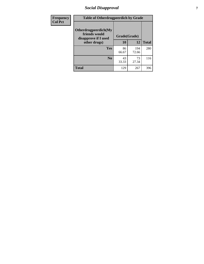### *Social Disapproval* **7**

| Frequency      | <b>Table of Otherdrugpeerdich by Grade</b>                    |              |              |              |  |  |  |  |
|----------------|---------------------------------------------------------------|--------------|--------------|--------------|--|--|--|--|
| <b>Col Pct</b> | Otherdrugpeerdich(My<br>friends would<br>disapprove if I used | Grade(Grade) |              |              |  |  |  |  |
|                | other drugs)                                                  | 10           | 12           | <b>Total</b> |  |  |  |  |
|                | Yes                                                           | 86<br>66.67  | 194<br>72.66 | 280          |  |  |  |  |
|                | N <sub>0</sub>                                                | 43<br>33.33  | 73<br>27.34  | 116          |  |  |  |  |
|                | <b>Total</b>                                                  | 129          | 267          | 396          |  |  |  |  |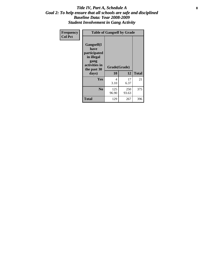#### Title IV, Part A, Schedule A **8** *Goal 2: To help ensure that all schools are safe and disciplined Baseline Data: Year 2008-2009 Student Involvement in Gang Activity*

| Frequency      | <b>Table of Gangself by Grade</b>                                                                         |                    |              |              |
|----------------|-----------------------------------------------------------------------------------------------------------|--------------------|--------------|--------------|
| <b>Col Pct</b> | <b>Gangself</b> (I<br>have<br>participated<br>in illegal<br>gang<br>activities in<br>the past 30<br>days) | Grade(Grade)<br>10 | 12           | <b>Total</b> |
|                | Yes                                                                                                       | 4<br>3.10          | 17<br>6.37   | 21           |
|                | N <sub>0</sub>                                                                                            | 125<br>96.90       | 250<br>93.63 | 375          |
|                | <b>Total</b>                                                                                              | 129                | 267          | 396          |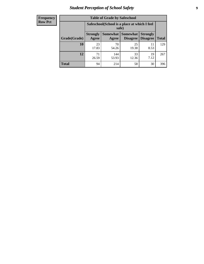### *Student Perception of School Safety* **9**

| <b>Frequency</b><br>Row Pct |
|-----------------------------|
|                             |

| <b>Table of Grade by Safeschool</b> |                                                        |              |                                        |                                    |              |  |  |
|-------------------------------------|--------------------------------------------------------|--------------|----------------------------------------|------------------------------------|--------------|--|--|
|                                     | Safeschool (School is a place at which I feel<br>safe) |              |                                        |                                    |              |  |  |
| Grade(Grade)                        | <b>Strongly</b><br>Agree                               | Agree        | <b>Somewhat   Somewhat</b><br>Disagree | <b>Strongly</b><br><b>Disagree</b> | <b>Total</b> |  |  |
| 10                                  | 23<br>17.83                                            | 70<br>54.26  | 25<br>19.38                            | 11<br>8.53                         | 129          |  |  |
| 12                                  | 71<br>26.59                                            | 144<br>53.93 | 33<br>12.36                            | 19<br>7.12                         | 267          |  |  |
| <b>Total</b>                        | 94                                                     | 214          | 58                                     | 30                                 | 396          |  |  |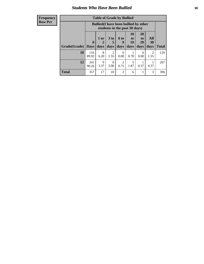### *Students Who Have Been Bullied* **10**

| <b>Frequency</b> |
|------------------|
| Row Pct          |

| <b>Table of Grade by Bullied</b> |                             |                                                                               |                              |                        |                        |                        |                          |              |
|----------------------------------|-----------------------------|-------------------------------------------------------------------------------|------------------------------|------------------------|------------------------|------------------------|--------------------------|--------------|
|                                  |                             | <b>Bullied</b> (I have been bullied by other<br>students in the past 30 days) |                              |                        |                        |                        |                          |              |
| Grade(Grade)                     | $\mathbf{0}$<br><b>Days</b> | 1 or<br>2<br>days                                                             | 3 <sub>to</sub><br>5<br>days | 6 to<br>9<br>days      | 10<br>to<br>19<br>days | 20<br>to<br>29<br>days | <b>All</b><br>30<br>days | <b>Total</b> |
| 10                               | 116<br>89.92                | 8<br>6.20                                                                     | $\overline{2}$<br>1.55       | $\overline{0}$<br>0.00 | 0.78                   | $\theta$<br>0.00       | 2<br>1.55                | 129          |
| 12                               | 241<br>90.26                | 9<br>3.37                                                                     | 8<br>3.00                    | 2<br>0.75              | 5<br>1.87              | 0.37                   | 0.37                     | 267          |
| <b>Total</b>                     | 357                         | 17                                                                            | 10                           | $\overline{2}$         | 6                      | 1                      | 3                        | 396          |

 $\blacksquare$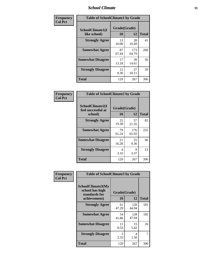### *School Climate* **11**

| <b>Frequency</b> | <b>Table of SchoolClimate1 by Grade</b> |                    |              |              |  |  |  |
|------------------|-----------------------------------------|--------------------|--------------|--------------|--|--|--|
| <b>Col Pct</b>   | SchoolClimate1(I<br>like school)        | Grade(Grade)<br>10 | 12           | <b>Total</b> |  |  |  |
|                  | <b>Strongly Agree</b>                   | 13<br>10.08        | 28<br>10.49  | 41           |  |  |  |
|                  | <b>Somewhat Agree</b>                   | 87<br>67.44        | 173<br>64.79 | 260          |  |  |  |
|                  | <b>Somewhat Disagree</b>                | 17<br>13.18        | 39<br>14.61  | 56           |  |  |  |
|                  | <b>Strongly Disagree</b>                | 12<br>9.30         | 27<br>10.11  | 39           |  |  |  |
|                  | <b>Total</b>                            | 129                | 267          | 396          |  |  |  |

| <b>Table of SchoolClimate2 by Grade</b>           |                    |              |              |  |  |
|---------------------------------------------------|--------------------|--------------|--------------|--|--|
| SchoolClimate2(I<br>feel successful at<br>school) | Grade(Grade)<br>10 | 12           | <b>Total</b> |  |  |
| <b>Strongly Agree</b>                             | 25<br>19.38        | 57<br>21.35  | 82           |  |  |
| <b>Somewhat Agree</b>                             | 79<br>61.24        | 176<br>65.92 | 255          |  |  |
| <b>Somewhat Disagree</b>                          | 21<br>16.28        | 25<br>9.36   | 46           |  |  |
| <b>Strongly Disagree</b>                          | 4<br>3.10          | 9<br>3.37    | 13           |  |  |
| <b>Total</b>                                      | 129                | 267          | 396          |  |  |

| Frequency      | <b>Table of SchoolClimate3 by Grade</b>                               |                           |              |              |  |
|----------------|-----------------------------------------------------------------------|---------------------------|--------------|--------------|--|
| <b>Col Pct</b> | SchoolClimate3(My<br>school has high<br>standards for<br>achievement) | Grade(Grade)<br><b>10</b> | 12           | <b>Total</b> |  |
|                | <b>Strongly Agree</b>                                                 | 61<br>47.29               | 120<br>44.94 | 181          |  |
|                | <b>Somewhat Agree</b>                                                 | 54<br>41.86               | 128<br>47.94 | 182          |  |
|                | <b>Somewhat Disagree</b>                                              | 11<br>8.53                | 15<br>5.62   | 26           |  |
|                | <b>Strongly Disagree</b>                                              | $\mathcal{R}$<br>2.33     | 4<br>1.50    | 7            |  |
|                | Total                                                                 | 129                       | 267          | 396          |  |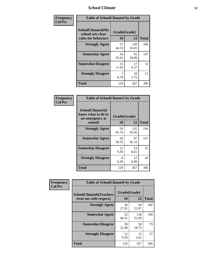### *School Climate* **12**

| Frequency      |                                                                      | <b>Table of SchoolClimate4 by Grade</b> |              |              |  |
|----------------|----------------------------------------------------------------------|-----------------------------------------|--------------|--------------|--|
| <b>Col Pct</b> | <b>SchoolClimate4(My</b><br>school sets clear<br>rules for behavior) | Grade(Grade)<br>10                      | 12           | <b>Total</b> |  |
|                | <b>Strongly Agree</b>                                                | 57<br>44.19                             | 149<br>55.81 | 206          |  |
|                | <b>Somewhat Agree</b>                                                | 56<br>43.41                             | 91<br>34.08  | 147          |  |
|                | <b>Somewhat Disagree</b>                                             | 15<br>11.63                             | 17<br>6.37   | 32           |  |
|                | <b>Strongly Disagree</b>                                             | 0.78                                    | 10<br>3.75   | 11           |  |
|                | <b>Total</b>                                                         | 129                                     | 267          | 396          |  |

| <b>Table of SchoolClimate5 by Grade</b>                   |              |              |              |  |  |
|-----------------------------------------------------------|--------------|--------------|--------------|--|--|
| SchoolClimate5(I<br>know what to do in<br>an emergency at | Grade(Grade) |              |              |  |  |
| school)                                                   | 10           | 12           | <b>Total</b> |  |  |
| <b>Strongly Agree</b>                                     | 59<br>45.74  | 135<br>50.56 | 194          |  |  |
| <b>Somewhat Agree</b>                                     | 50<br>38.76  | 97<br>36.33  | 147          |  |  |
| <b>Somewhat Disagree</b>                                  | 12<br>9.30   | 23<br>8.61   | 35           |  |  |
| <b>Strongly Disagree</b>                                  | 8<br>6.20    | 12<br>4.49   | 20           |  |  |
| <b>Total</b>                                              | 129          | 267          | 396          |  |  |

| Frequency      | <b>Table of SchoolClimate6 by Grade</b>                  |                           |              |              |
|----------------|----------------------------------------------------------|---------------------------|--------------|--------------|
| <b>Col Pct</b> | <b>SchoolClimate6(Teachers</b><br>treat me with respect) | Grade(Grade)<br><b>10</b> | 12           | <b>Total</b> |
|                | <b>Strongly Agree</b>                                    | 36<br>27.91               | 64<br>23.97  | 100          |
|                | <b>Somewhat Agree</b>                                    | 52<br>40.31               | 138<br>51.69 | 190          |
|                | <b>Somewhat Disagree</b>                                 | 29<br>22.48               | 50<br>18.73  | 79           |
|                | <b>Strongly Disagree</b>                                 | 12<br>9.30                | 15<br>5.62   | 27           |
|                | <b>Total</b>                                             | 129                       | 267          | 396          |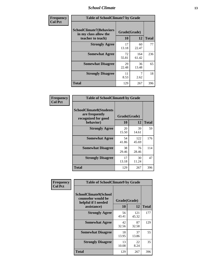### *School Climate* **13**

| Frequency      |                                                                               | <b>Table of SchoolClimate7 by Grade</b> |              |              |  |
|----------------|-------------------------------------------------------------------------------|-----------------------------------------|--------------|--------------|--|
| <b>Col Pct</b> | <b>SchoolClimate7(Behaviors</b><br>in my class allow the<br>teacher to teach) | Grade(Grade)<br><b>10</b>               | 12           | <b>Total</b> |  |
|                | <b>Strongly Agree</b>                                                         | 17<br>13.18                             | 60<br>22.47  | 77           |  |
|                | <b>Somewhat Agree</b>                                                         | 72<br>55.81                             | 164<br>61.42 | 236          |  |
|                | <b>Somewhat Disagree</b>                                                      | 29<br>22.48                             | 36<br>13.48  | 65           |  |
|                | <b>Strongly Disagree</b>                                                      | 11<br>8.53                              | 7<br>2.62    | 18           |  |
|                | <b>Total</b>                                                                  | 129                                     | 267          | 396          |  |

| Frequency      | <b>Table of SchoolClimate8 by Grade</b>                                 |              |              |              |
|----------------|-------------------------------------------------------------------------|--------------|--------------|--------------|
| <b>Col Pct</b> | <b>SchoolClimate8(Students</b><br>are frequently<br>recognized for good | Grade(Grade) |              |              |
|                | behavior)                                                               | 10           | 12           | <b>Total</b> |
|                | <b>Strongly Agree</b>                                                   | 20<br>15.50  | 39<br>14.61  | 59           |
|                | <b>Somewhat Agree</b>                                                   | 54<br>41.86  | 122<br>45.69 | 176          |
|                | <b>Somewhat Disagree</b>                                                | 38<br>29.46  | 76<br>28.46  | 114          |
|                | <b>Strongly Disagree</b>                                                | 17<br>13.18  | 30<br>11.24  | 47           |
|                | <b>Total</b>                                                            | 129          | 267          | 396          |

| Frequency      | <b>Table of SchoolClimate9 by Grade</b>                                                  |                    |              |              |
|----------------|------------------------------------------------------------------------------------------|--------------------|--------------|--------------|
| <b>Col Pct</b> | <b>SchoolClimate9(School</b><br>counselor would be<br>helpful if I needed<br>assistance) | Grade(Grade)<br>10 | 12           | <b>Total</b> |
|                | <b>Strongly Agree</b>                                                                    | 56<br>43.41        | 121<br>45.32 | 177          |
|                | <b>Somewhat Agree</b>                                                                    | 42<br>32.56        | 87<br>32.58  | 129          |
|                | <b>Somewhat Disagree</b>                                                                 | 18<br>13.95        | 37<br>13.86  | 55           |
|                | <b>Strongly Disagree</b>                                                                 | 13<br>10.08        | 22<br>8.24   | 35           |
|                | Total                                                                                    | 129                | 267          | 396          |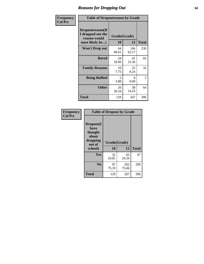### *Reasons for Dropping Out* **14**

| Frequency      | <b>Table of Dropoutreason by Grade</b>                                   |                    |              |              |
|----------------|--------------------------------------------------------------------------|--------------------|--------------|--------------|
| <b>Col Pct</b> | Dropoutreason(If<br>I dropped out the<br>reason would<br>most likely be) | Grade(Grade)<br>10 | 12           | <b>Total</b> |
|                | Won't Drop out                                                           | 64<br>49.61        | 166<br>62.17 | 230          |
|                | <b>Bored</b>                                                             | 24<br>18.60        | 41<br>15.36  | 65           |
|                | <b>Family Reasons</b>                                                    | 10<br>7.75         | 22<br>8.24   | 32           |
|                | <b>Being Bullied</b>                                                     | 5<br>3.88          | 0<br>0.00    | 5            |
|                | <b>Other</b>                                                             | 26<br>20.16        | 38<br>14.23  | 64           |
|                | Total                                                                    | 129                | 267          | 396          |

| Frequency      | <b>Table of Dropout by Grade</b>                                       |                    |              |     |
|----------------|------------------------------------------------------------------------|--------------------|--------------|-----|
| <b>Col Pct</b> | Dropout(I<br>have<br>thought<br>about<br>dropping<br>out of<br>school) | Grade(Grade)<br>10 | <b>Total</b> |     |
|                |                                                                        |                    | 12           |     |
|                | Yes                                                                    | 32<br>24.81        | 65<br>24.34  | 97  |
|                | N <sub>0</sub>                                                         | 97<br>75.19        | 202<br>75.66 | 299 |
|                | <b>Total</b>                                                           | 129                | 267          | 396 |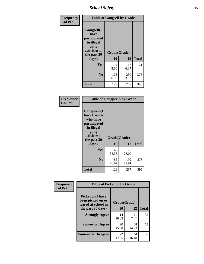*School Safety* **15**

| Frequency      | <b>Table of Gangself by Grade</b>                                                                 |                    |              |              |
|----------------|---------------------------------------------------------------------------------------------------|--------------------|--------------|--------------|
| <b>Col Pct</b> | Gangself(I<br>have<br>participated<br>in illegal<br>gang<br>activities in<br>the past 30<br>days) | Grade(Grade)<br>10 | 12           | <b>Total</b> |
|                | Yes                                                                                               | 4<br>3.10          | 17<br>6.37   | 21           |
|                | N <sub>0</sub>                                                                                    | 125<br>96.90       | 250<br>93.63 | 375          |
|                | <b>Total</b>                                                                                      | 129                | 267          | 396          |

| Frequency<br><b>Col Pct</b> | <b>Table of Gangpeers by Grade</b>                                                                                             |                    |              |              |
|-----------------------------|--------------------------------------------------------------------------------------------------------------------------------|--------------------|--------------|--------------|
|                             | <b>Gangpeers</b> (I<br>have friends<br>who have<br>participated<br>in illegal<br>gang<br>activities in<br>the past 30<br>days) | Grade(Grade)<br>10 | 12           | <b>Total</b> |
|                             | <b>Yes</b>                                                                                                                     | 43<br>33.33        | 75<br>28.09  | 118          |
|                             | N <sub>0</sub>                                                                                                                 | 86<br>66.67        | 192<br>71.91 | 278          |
|                             | <b>Total</b>                                                                                                                   | 129                | 267          | 396          |

| Frequency      |                                                                                         | <b>Table of Pickedon by Grade</b> |                    |    |  |  |  |  |  |
|----------------|-----------------------------------------------------------------------------------------|-----------------------------------|--------------------|----|--|--|--|--|--|
| <b>Col Pct</b> | <b>Pickedon(I have</b><br>been picked on or<br>teased at school in<br>the past 30 days) | 10                                | Grade(Grade)<br>12 |    |  |  |  |  |  |
|                | <b>Strongly Agree</b>                                                                   | 14<br>10.85                       | 21<br>7.87         | 35 |  |  |  |  |  |
|                | <b>Somewhat Agree</b>                                                                   | 20<br>15.50                       | 38<br>14.23        | 58 |  |  |  |  |  |
|                | <b>Somewhat Disagree</b>                                                                | 22<br>17.05                       | 44<br>16.48        | 66 |  |  |  |  |  |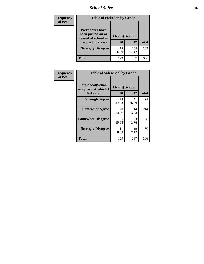### *School Safety* **16**

| Frequency      |                                                                                          | <b>Table of Pickedon by Grade</b> |              |              |  |  |  |  |  |  |  |  |
|----------------|------------------------------------------------------------------------------------------|-----------------------------------|--------------|--------------|--|--|--|--|--|--|--|--|
| <b>Col Pct</b> | <b>Pickedon</b> (I have<br>been picked on or<br>teased at school in<br>the past 30 days) | Grade(Grade)<br>10                | 12           | <b>Total</b> |  |  |  |  |  |  |  |  |
|                | <b>Strongly Disagree</b>                                                                 | 73<br>56.59                       | 164<br>61.42 | 237          |  |  |  |  |  |  |  |  |
|                | Total                                                                                    | 129                               | 267          | 396          |  |  |  |  |  |  |  |  |

| Frequency      |                                                          | <b>Table of Safeschool by Grade</b> |              |              |  |  |  |  |  |  |
|----------------|----------------------------------------------------------|-------------------------------------|--------------|--------------|--|--|--|--|--|--|
| <b>Col Pct</b> | Safeschool(School<br>is a place at which I<br>feel safe) | Grade(Grade)<br>10                  | 12           | <b>Total</b> |  |  |  |  |  |  |
|                | <b>Strongly Agree</b>                                    | 23<br>17.83                         | 71<br>26.59  | 94           |  |  |  |  |  |  |
|                | <b>Somewhat Agree</b>                                    | 70<br>54.26                         | 144<br>53.93 | 214          |  |  |  |  |  |  |
|                | <b>Somewhat Disagree</b>                                 | 25<br>19.38                         | 33<br>12.36  | 58           |  |  |  |  |  |  |
|                | <b>Strongly Disagree</b>                                 | 11<br>8.53                          | 19<br>7.12   | 30           |  |  |  |  |  |  |
|                | <b>Total</b>                                             | 129                                 | 267          | 396          |  |  |  |  |  |  |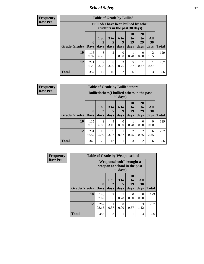*School Safety* **17**

**Frequency Row Pct**

|              |                        | <b>Table of Grade by Bullied</b>                                              |                              |                   |                        |                               |                          |              |  |  |  |
|--------------|------------------------|-------------------------------------------------------------------------------|------------------------------|-------------------|------------------------|-------------------------------|--------------------------|--------------|--|--|--|
|              |                        | <b>Bullied</b> (I have been bullied by other<br>students in the past 30 days) |                              |                   |                        |                               |                          |              |  |  |  |
| Grade(Grade) | $\mathbf{0}$<br>  Days | 1 or<br>2<br>days                                                             | 3 <sub>to</sub><br>5<br>days | 6 to<br>q<br>days | 10<br>to<br>19<br>days | <b>20</b><br>to<br>29<br>days | All<br><b>30</b><br>days | <b>Total</b> |  |  |  |
| 10           | 116<br>89.92           | 8<br>6.20                                                                     | 2<br>1.55                    | 0<br>0.00         | 0.78                   | $\theta$<br>0.00              | 2<br>1.55                | 129          |  |  |  |
| 12           | 241<br>90.26           | 9<br>3.37                                                                     | 8<br>3.00                    | 2<br>0.75         | 5<br>1.87              | 0.37                          | 0.37                     | 267          |  |  |  |
| <b>Total</b> | 357                    | 17                                                                            | 10                           | $\overline{c}$    | 6                      |                               | 3                        | 396          |  |  |  |

**Frequency Row Pct**

| <b>Table of Grade by Bulliedothers</b>                         |                    |                     |                              |                   |                               |                        |                   |              |  |  |
|----------------------------------------------------------------|--------------------|---------------------|------------------------------|-------------------|-------------------------------|------------------------|-------------------|--------------|--|--|
| <b>Bulliedothers</b> (I bullied others in the past<br>30 days) |                    |                     |                              |                   |                               |                        |                   |              |  |  |
| Grade(Grade)                                                   | $\bf{0}$<br>  Days | $1$ or<br>2<br>days | 3 <sub>to</sub><br>5<br>days | 6 to<br>9<br>days | <b>10</b><br>to<br>19<br>days | 20<br>to<br>29<br>days | All<br>30<br>days | <b>Total</b> |  |  |
| 10                                                             | 115<br>89.15       | 9<br>6.98           | $\overline{4}$<br>3.10       | $\Omega$<br>0.00  | 0.78                          | $\Omega$<br>0.00       | 0<br>0.00         | 129          |  |  |
| 12                                                             | 231<br>86.52       | 16<br>5.99          | 9<br>3.37                    | 0.37              | 2<br>0.75                     | $\overline{2}$<br>0.75 | 6<br>2.25         | 267          |  |  |
| <b>Total</b>                                                   | 346                | 25                  | 13                           |                   | 3                             | $\overline{2}$         | 6                 | 396          |  |  |

| Frequency      |              |                             |                                                                                |                              |                               | <b>Table of Grade by Weaponschool</b> |              |  |  |  |  |  |  |  |  |
|----------------|--------------|-----------------------------|--------------------------------------------------------------------------------|------------------------------|-------------------------------|---------------------------------------|--------------|--|--|--|--|--|--|--|--|
| <b>Row Pct</b> |              |                             | Weaponschool (I brought a<br>weapon to school in the past<br>$30 \text{ days}$ |                              |                               |                                       |              |  |  |  |  |  |  |  |  |
|                | Grade(Grade) | $\mathbf{0}$<br><b>Days</b> | 1 or<br>2<br>days                                                              | 3 <sub>to</sub><br>5<br>days | <b>10</b><br>to<br>19<br>days | All<br><b>30</b><br>days              | <b>Total</b> |  |  |  |  |  |  |  |  |
|                | 10           | 126<br>97.67                | $\overline{2}$<br>1.55                                                         | 0.78                         | $\Omega$<br>0.00              | 0<br>0.00                             | 129          |  |  |  |  |  |  |  |  |
|                | 12           | 262<br>98.13                | 0.37                                                                           | $\Omega$<br>0.00             | 0.37                          | 3<br>1.12                             | 267          |  |  |  |  |  |  |  |  |
|                | <b>Total</b> | 388                         | 3                                                                              | 1                            |                               | 3                                     | 396          |  |  |  |  |  |  |  |  |

ł,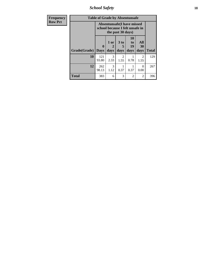*School Safety* **18**

| <b>Frequency</b> | <b>Table of Grade by Absentunsafe</b> |                         |                                                                                           |                       |                               |                   |              |  |  |  |
|------------------|---------------------------------------|-------------------------|-------------------------------------------------------------------------------------------|-----------------------|-------------------------------|-------------------|--------------|--|--|--|
| <b>Row Pct</b>   |                                       |                         | <b>Absentunsafe(I have missed</b><br>school because I felt unsafe in<br>the past 30 days) |                       |                               |                   |              |  |  |  |
|                  | Grade(Grade)                          | $\bf{0}$<br><b>Days</b> | 1 or<br>2<br>days                                                                         | 3 to<br>5<br>days     | <b>10</b><br>to<br>19<br>days | All<br>30<br>days | <b>Total</b> |  |  |  |
|                  | 10                                    | 121<br>93.80            | 3<br>2.33                                                                                 | $\mathcal{D}$<br>1.55 | 0.78                          | 2<br>1.55         | 129          |  |  |  |
|                  | 12                                    | 262<br>98.13            | 3<br>1.12                                                                                 | 0.37                  | 0.37                          | 0<br>0.00         | 267          |  |  |  |
|                  | <b>Total</b>                          | 383                     | 6                                                                                         | 3                     | $\overline{c}$                | 2                 | 396          |  |  |  |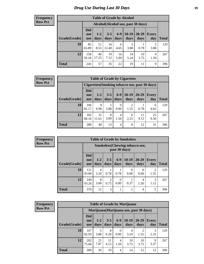### *Drug Use During Last 30 Days* **19**

#### **Frequency Row Pct**

| <b>Table of Grade by Alcohol</b> |                                 |                                     |                 |               |                 |               |              |       |  |  |  |
|----------------------------------|---------------------------------|-------------------------------------|-----------------|---------------|-----------------|---------------|--------------|-------|--|--|--|
|                                  |                                 | Alcohol (Alcohol use, past 30 days) |                 |               |                 |               |              |       |  |  |  |
| Grade(Grade)                     | <b>Did</b><br>not<br><b>use</b> | $1 - 2$<br>days                     | $3 - 5$<br>days | $6-9$<br>days | $10-19$<br>days | 20-29<br>days | Every<br>day | Total |  |  |  |
| 10                               | 85<br>65.89                     | 11<br>8.53                          | 16<br>12.40     | 6<br>4.65     | 5<br>3.88       | 0.78          | 5<br>3.88    | 129   |  |  |  |
| 12                               | 158<br>59.18                    | 46<br>17.23                         | 19<br>7.12      | 16<br>5.99    | 14<br>5.24      | 10<br>3.75    | 4<br>1.50    | 267   |  |  |  |
| <b>Total</b>                     | 243                             | 57                                  | 35              | 22            | 19              | 11            | 9            | 396   |  |  |  |

#### **Frequency Row Pct**

| <b>Table of Grade by Cigarettes</b> |                                                |                 |                 |                  |                 |               |              |       |  |  |  |
|-------------------------------------|------------------------------------------------|-----------------|-----------------|------------------|-----------------|---------------|--------------|-------|--|--|--|
|                                     | Cigarettes (Smoking tobacco use, past 30 days) |                 |                 |                  |                 |               |              |       |  |  |  |
| Grade(Grade)                        | Did<br>not<br><b>use</b>                       | $1 - 2$<br>days | $3 - 5$<br>days | $6 - 9$<br>days  | $10-19$<br>days | 20-29<br>days | Every<br>day | Total |  |  |  |
| 10                                  | 106<br>82.17                                   | 9<br>6.98       | 5<br>3.88       | $\theta$<br>0.00 | 2<br>1.55       | 0.78          | 6<br>4.65    | 129   |  |  |  |
| 12                                  | 182<br>68.16                                   | 31<br>11.61     | 8<br>3.00       | 4<br>1.50        | 6<br>2.25       | 11<br>4.12    | 25<br>9.36   | 267   |  |  |  |
| <b>Total</b>                        | 288                                            | 40              | 13              | 4                | 8               | 12            | 31           | 396   |  |  |  |

**Frequency Row Pct**

|              |                                 |                                                         |                        |                  | <b>Table of Grade by Smokeless</b> |               |                        |       |  |  |  |
|--------------|---------------------------------|---------------------------------------------------------|------------------------|------------------|------------------------------------|---------------|------------------------|-------|--|--|--|
|              |                                 | <b>Smokeless</b> (Chewing tobacco use,<br>past 30 days) |                        |                  |                                    |               |                        |       |  |  |  |
| Grade(Grade) | <b>Did</b><br>not<br><b>use</b> | $1 - 2$<br>days                                         | $3 - 5$<br>days        | $6-9$<br>days    | $10-19$<br>days                    | 20-29<br>days | <b>Every</b><br>day    | Total |  |  |  |
| 10           | 121<br>93.80                    | 4<br>3.10                                               | 0.78                   | 0.78             | 0<br>0.00                          | 0.00          | $\mathfrak{D}$<br>1.55 | 129   |  |  |  |
| 12           | 249<br>93.26                    | 8<br>3.00                                               | $\overline{2}$<br>0.75 | $\Omega$<br>0.00 | 0.37                               | 4<br>1.50     | 3<br>1.12              | 267   |  |  |  |
| <b>Total</b> | 370                             | 12                                                      | 3                      |                  |                                    | 4             | 5                      | 396   |  |  |  |

**Frequency Row Pct**

| <b>Table of Grade by Marijuana</b> |                                 |                                         |                 |                  |                 |                        |                     |              |  |  |  |
|------------------------------------|---------------------------------|-----------------------------------------|-----------------|------------------|-----------------|------------------------|---------------------|--------------|--|--|--|
|                                    |                                 | Marijuana (Marijuana use, past 30 days) |                 |                  |                 |                        |                     |              |  |  |  |
| Grade(Grade)                       | <b>Did</b><br>not<br><b>use</b> | $1-2$<br>days                           | $3 - 5$<br>days | $6-9$<br>days    | $10-19$<br>days | $20 - 29$<br>days      | <b>Every</b><br>day | <b>Total</b> |  |  |  |
| 10                                 | 107<br>82.95                    | 5<br>3.88                               | 8<br>6.20       | $\Omega$<br>0.00 | 4<br>3.10       | $\overline{2}$<br>1.55 | 3<br>2.33           | 129          |  |  |  |
| 12                                 | 202<br>75.66                    | 21<br>7.87                              | 11<br>4.12      | 4<br>1.50        | 10<br>3.75      | 10<br>3.75             | 9<br>3.37           | 267          |  |  |  |
| <b>Total</b>                       | 309                             | 26                                      | 19              | $\overline{4}$   | 14              | 12                     | 12                  | 396          |  |  |  |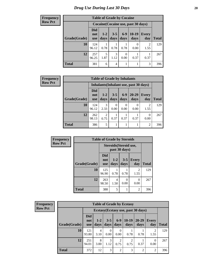#### **Frequency Row Pct**

|              |                                 | <b>Table of Grade by Cocaine</b>    |                 |               |                 |                        |              |  |  |  |  |
|--------------|---------------------------------|-------------------------------------|-----------------|---------------|-----------------|------------------------|--------------|--|--|--|--|
|              |                                 | Cocaine (Cocaine use, past 30 days) |                 |               |                 |                        |              |  |  |  |  |
| Grade(Grade) | <b>Did</b><br>not<br><b>use</b> | $1 - 2$<br>days                     | $3 - 5$<br>days | $6-9$<br>days | $10-19$<br>days | <b>Every</b><br>day    | <b>Total</b> |  |  |  |  |
| 10           | 124<br>96.12                    | 0.78                                | 0.78            | 0.78          | 0.00            | $\mathfrak{D}$<br>1.55 | 129          |  |  |  |  |
| 12           | 257<br>96.25                    | 5<br>1.87                           | 3<br>1.12       | 0.00          | 0.37            | 0.37                   | 267          |  |  |  |  |
| <b>Total</b> | 381                             | 6                                   | 4               |               |                 | 3                      | 396          |  |  |  |  |

| Frequency      |                                       | <b>Table of Grade by Inhalants</b> |                        |                  |                          |                   |                     |              |  |  |  |  |
|----------------|---------------------------------------|------------------------------------|------------------------|------------------|--------------------------|-------------------|---------------------|--------------|--|--|--|--|
| <b>Row Pct</b> | Inhalants(Inhalant use, past 30 days) |                                    |                        |                  |                          |                   |                     |              |  |  |  |  |
|                | Grade(Grade)                          | <b>Did</b><br>not<br><b>use</b>    | $1-2$<br>days          | $3 - 5$<br>days  | $6-9$<br>days            | $20 - 29$<br>days | <b>Every</b><br>day | <b>Total</b> |  |  |  |  |
|                | 10                                    | 124<br>96.12                       | 3<br>2.33              | $\Omega$<br>0.00 | $\left( \right)$<br>0.00 | $\theta$<br>0.00  | 2<br>1.55           | 129          |  |  |  |  |
|                | 12                                    | 262<br>98.13                       | $\overline{2}$<br>0.75 | 0.37             | 0.37                     | 0.37              | $\Omega$<br>0.00    | 267          |  |  |  |  |
|                | <b>Total</b>                          | 386                                | 5                      |                  |                          |                   | $\overline{2}$      | 396          |  |  |  |  |

| Frequency      |              | <b>Table of Grade by Steroids</b> |                        |                 |                        |              |
|----------------|--------------|-----------------------------------|------------------------|-----------------|------------------------|--------------|
| <b>Row Pct</b> |              |                                   | Steroids (Steroid use, | past 30 days)   |                        |              |
|                | Grade(Grade) | Did<br>not<br><b>use</b>          | $1 - 2$<br>days        | $3 - 5$<br>days | <b>Every</b><br>day    | <b>Total</b> |
|                | 10           | 125<br>96.90                      | 0.78                   | 0.78            | $\overline{2}$<br>1.55 | 129          |
|                | 12           | 263<br>98.50                      | 4<br>1.50              | 0<br>0.00       | $\theta$<br>0.00       | 267          |
|                | <b>Total</b> | 388                               | 5                      |                 | $\overline{2}$         | 396          |

**Frequency Row Pct**

| <b>Table of Grade by Ecstasy</b>                                                                                                                         |              |                                     |                  |                |      |                |                        |              |  |
|----------------------------------------------------------------------------------------------------------------------------------------------------------|--------------|-------------------------------------|------------------|----------------|------|----------------|------------------------|--------------|--|
|                                                                                                                                                          |              | Ecstasy (Ecstasy use, past 30 days) |                  |                |      |                |                        |              |  |
| <b>Did</b><br>$10-19$<br>$6-9$<br>20-29<br>$3 - 5$<br>$1-2$<br>Every<br>not<br>Grade(Grade)<br>days<br>days<br>days<br>days<br>day<br>days<br><b>use</b> |              |                                     |                  |                |      |                |                        | <b>Total</b> |  |
| 10                                                                                                                                                       | 121<br>93.80 | 4<br>3.10                           | $\Omega$<br>0.00 | 0<br>0.00      | 0.78 | 0.78           | $\overline{2}$<br>1.55 | 129          |  |
| 12<br>$\overline{2}$<br>251<br>8<br>3<br>$\overline{c}$<br>$\theta$<br>0.37<br>94.01<br>3.00<br>1.12<br>0.75<br>0.75<br>0.00                             |              |                                     |                  |                |      |                |                        | 267          |  |
| Total                                                                                                                                                    | 372          | 12                                  | 3                | $\overline{2}$ | 3    | $\overline{2}$ | $\overline{2}$         | 396          |  |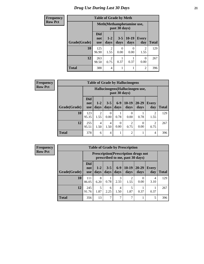### *Drug Use During Last 30 Days* **21**

| <b>Frequency</b> | <b>Table of Grade by Meth</b> |                                 |                        |                  |                 |                        |              |
|------------------|-------------------------------|---------------------------------|------------------------|------------------|-----------------|------------------------|--------------|
| <b>Row Pct</b>   |                               | Meth(Methamphetamine use,       |                        |                  |                 |                        |              |
|                  | Grade(Grade)                  | <b>Did</b><br>not<br><b>use</b> | $1 - 2$<br>days        | $3 - 5$<br>days  | $10-19$<br>days | <b>Every</b><br>day    | <b>Total</b> |
|                  | 10                            | 125<br>96.90                    | $\overline{2}$<br>1.55 | $\Omega$<br>0.00 | 0<br>0.00       | $\overline{2}$<br>1.55 | 129          |
|                  | 12                            | 263<br>98.50                    | $\mathfrak{D}$<br>0.75 | 0.37             | 0.37            | $\Omega$<br>0.00       | 267          |
|                  | <b>Total</b>                  | 388                             | $\overline{4}$         | 1                |                 | $\overline{2}$         | 396          |

| Frequency      |              |                                                   |                        |                  |                  | <b>Table of Grade by Hallucinogens</b> |                   |              |              |
|----------------|--------------|---------------------------------------------------|------------------------|------------------|------------------|----------------------------------------|-------------------|--------------|--------------|
| <b>Row Pct</b> |              | Hallucinogens (Hallucinogen use,<br>past 30 days) |                        |                  |                  |                                        |                   |              |              |
|                | Grade(Grade) | <b>Did</b><br>not<br><b>use</b>                   | $1 - 2$<br>days        | $3 - 5$<br>days  | $6-9$<br>days    | $10-19$<br>days                        | $20 - 29$<br>days | Every<br>day | <b>Total</b> |
|                | 10           | 123<br>95.35                                      | $\overline{2}$<br>1.55 | $\Omega$<br>0.00 | 0.78             | $\Omega$<br>0.00                       | 0.78              | 2<br>1.55    | 129          |
|                | 12           | 255<br>95.51                                      | $\overline{4}$<br>1.50 | 4<br>1.50        | $\Omega$<br>0.00 | $\mathcal{D}_{\mathcal{L}}$<br>0.75    | $\Omega$<br>0.00  | 2<br>0.75    | 267          |
|                | <b>Total</b> | 378                                               | 6                      | 4                |                  | $\overline{2}$                         |                   | 4            | 396          |

**Frequency Row Pct**

| <b>Table of Grade by Prescription</b> |                                                                                                                                                           |                                                                                |      |           |                        |      |           |     |  |  |
|---------------------------------------|-----------------------------------------------------------------------------------------------------------------------------------------------------------|--------------------------------------------------------------------------------|------|-----------|------------------------|------|-----------|-----|--|--|
|                                       |                                                                                                                                                           | <b>Prescription</b> (Prescription drugs not<br>prescribed to me, past 30 days) |      |           |                        |      |           |     |  |  |
| Grade(Grade)                          | <b>Did</b><br>$10-19$<br>$20 - 29$<br>$3 - 5$<br>$6 - 9$<br>$1 - 2$<br>Every<br>not<br>days<br>days<br>Total<br>days<br>day<br>days<br>days<br><b>use</b> |                                                                                |      |           |                        |      |           |     |  |  |
| 10                                    | 111<br>86.05                                                                                                                                              | 8<br>6.20                                                                      | 0.78 | 3<br>2.33 | $\overline{2}$<br>1.55 | 0.00 | 4<br>3.10 | 129 |  |  |
| 12                                    | 245<br>5<br>5<br>4<br>6<br>1.87<br>1.87<br>0.37<br>0.37<br>91.76<br>2.25<br>1.50                                                                          |                                                                                |      |           |                        |      |           |     |  |  |
| <b>Total</b>                          | 356                                                                                                                                                       | 13                                                                             | 7    | 7         | 7                      |      | 5         | 396 |  |  |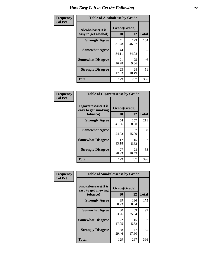| Frequency      | <b>Table of Alcoholease by Grade</b>              |                    |              |              |  |  |  |  |
|----------------|---------------------------------------------------|--------------------|--------------|--------------|--|--|--|--|
| <b>Col Pct</b> | <b>Alcoholease</b> (It is<br>easy to get alcohol) | Grade(Grade)<br>10 | 12           | <b>Total</b> |  |  |  |  |
|                | <b>Strongly Agree</b>                             | 41<br>31.78        | 123<br>46.07 | 164          |  |  |  |  |
|                | <b>Somewhat Agree</b>                             | 44<br>34.11        | 91<br>34.08  | 135          |  |  |  |  |
|                | <b>Somewhat Disagree</b>                          | 21<br>16.28        | 25<br>9.36   | 46           |  |  |  |  |
|                | <b>Strongly Disagree</b>                          | 23<br>17.83        | 28<br>10.49  | 51           |  |  |  |  |
|                | <b>Total</b>                                      | 129                | 267          | 396          |  |  |  |  |

| Frequency<br>Col Pct |
|----------------------|

| <b>Table of Cigarettesease by Grade</b>                 |              |              |     |  |  |  |  |
|---------------------------------------------------------|--------------|--------------|-----|--|--|--|--|
| Cigarettesease(It is<br>easy to get smoking<br>tobacco) | <b>Total</b> |              |     |  |  |  |  |
| <b>Strongly Agree</b>                                   | 54<br>41.86  | 157<br>58.80 | 211 |  |  |  |  |
| <b>Somewhat Agree</b>                                   | 31<br>24.03  | 67<br>25.09  | 98  |  |  |  |  |
| <b>Somewhat Disagree</b>                                | 17<br>13.18  | 15<br>5.62   | 32  |  |  |  |  |
| <b>Strongly Disagree</b>                                | 27<br>20.93  | 28<br>10.49  | 55  |  |  |  |  |
| <b>Total</b>                                            | 129          | 267          | 396 |  |  |  |  |

| Frequency      | <b>Table of Smokelessease by Grade</b>                         |                    |              |     |
|----------------|----------------------------------------------------------------|--------------------|--------------|-----|
| <b>Col Pct</b> | <b>Smokelessease</b> (It is<br>easy to get chewing<br>tobacco) | Grade(Grade)<br>10 | <b>Total</b> |     |
|                | <b>Strongly Agree</b>                                          | 39<br>30.23        | 136<br>50.94 | 175 |
|                | <b>Somewhat Agree</b>                                          | 30<br>23.26        | 69<br>25.84  | 99  |
|                | <b>Somewhat Disagree</b>                                       | 22<br>17.05        | 15<br>5.62   | 37  |
|                | <b>Strongly Disagree</b>                                       | 38<br>29.46        | 47<br>17.60  | 85  |
|                | <b>Total</b>                                                   | 129                | 267          | 396 |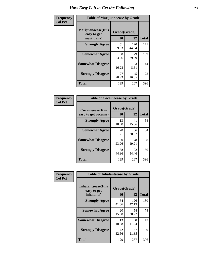| Frequency      | <b>Table of Marijuanaease by Grade</b>           |                    |              |              |  |  |  |
|----------------|--------------------------------------------------|--------------------|--------------|--------------|--|--|--|
| <b>Col Pct</b> | Marijuanaease(It is<br>easy to get<br>marijuana) | Grade(Grade)<br>10 | 12           | <b>Total</b> |  |  |  |
|                | <b>Strongly Agree</b>                            | 51<br>39.53        | 120<br>44.94 | 171          |  |  |  |
|                | <b>Somewhat Agree</b>                            | 30<br>23.26        | 79<br>29.59  | 109          |  |  |  |
|                | <b>Somewhat Disagree</b>                         | 21<br>16.28        | 23<br>8.61   | 44           |  |  |  |
|                | <b>Strongly Disagree</b>                         | 27<br>20.93        | 45<br>16.85  | 72           |  |  |  |
|                | <b>Total</b>                                     | 129                | 267          | 396          |  |  |  |

| <b>Table of Cocaineease by Grade</b>      |                    |             |              |  |  |  |  |
|-------------------------------------------|--------------------|-------------|--------------|--|--|--|--|
| Cocaineease(It is<br>easy to get cocaine) | Grade(Grade)<br>10 | 12          | <b>Total</b> |  |  |  |  |
| <b>Strongly Agree</b>                     | 13<br>10.08        | 41<br>15.36 | 54           |  |  |  |  |
| <b>Somewhat Agree</b>                     | 28<br>21.71        | 56<br>20.97 | 84           |  |  |  |  |
| <b>Somewhat Disagree</b>                  | 30<br>23.26        | 78<br>29.21 | 108          |  |  |  |  |
| <b>Strongly Disagree</b>                  | 58<br>44.96        | 92<br>34.46 | 150          |  |  |  |  |
| <b>Total</b>                              | 129                | 267         | 396          |  |  |  |  |

| Frequency      | <b>Table of Inhalantsease by Grade</b>                   |                    |                    |     |
|----------------|----------------------------------------------------------|--------------------|--------------------|-----|
| <b>Col Pct</b> | <b>Inhalantsease</b> (It is<br>easy to get<br>inhalants) | Grade(Grade)<br>10 | <b>Total</b>       |     |
|                | <b>Strongly Agree</b>                                    | 54<br>41.86        | 12<br>126<br>47.19 | 180 |
|                | <b>Somewhat Agree</b>                                    | 20<br>15.50        | 54<br>20.22        | 74  |
|                | <b>Somewhat Disagree</b>                                 | 13<br>10.08        | 30<br>11.24        | 43  |
|                | <b>Strongly Disagree</b>                                 | 42<br>32.56        | 57<br>21.35        | 99  |
|                | <b>Total</b>                                             | 129                | 267                | 396 |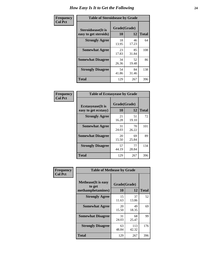| Frequency      | <b>Table of Steroidsease by Grade</b>               |                    |              |     |  |  |  |  |  |  |  |  |  |
|----------------|-----------------------------------------------------|--------------------|--------------|-----|--|--|--|--|--|--|--|--|--|
| <b>Col Pct</b> | <b>Steroidsease</b> (It is<br>easy to get steroids) | Grade(Grade)<br>10 | <b>Total</b> |     |  |  |  |  |  |  |  |  |  |
|                | <b>Strongly Agree</b>                               | 18<br>13.95        | 46<br>17.23  | 64  |  |  |  |  |  |  |  |  |  |
|                | <b>Somewhat Agree</b>                               | 23<br>17.83        | 85<br>31.84  | 108 |  |  |  |  |  |  |  |  |  |
|                | <b>Somewhat Disagree</b>                            | 34<br>26.36        | 52<br>19.48  | 86  |  |  |  |  |  |  |  |  |  |
|                | <b>Strongly Disagree</b>                            | 54<br>41.86        | 84<br>31.46  | 138 |  |  |  |  |  |  |  |  |  |
|                | <b>Total</b>                                        | 129                | 267          | 396 |  |  |  |  |  |  |  |  |  |

| Frequency      | <b>Table of Ecstasyease by Grade</b>              |                           |             |              |
|----------------|---------------------------------------------------|---------------------------|-------------|--------------|
| <b>Col Pct</b> | <b>Ecstasyease</b> (It is<br>easy to get ecstasy) | Grade(Grade)<br><b>10</b> | 12          | <b>Total</b> |
|                | <b>Strongly Agree</b>                             | 21<br>16.28               | 51<br>19.10 | 72           |
|                | <b>Somewhat Agree</b>                             | 31<br>24.03               | 70<br>26.22 | 101          |
|                | <b>Somewhat Disagree</b>                          | 20<br>15.50               | 69<br>25.84 | 89           |
|                | <b>Strongly Disagree</b>                          | 57<br>44.19               | 77<br>28.84 | 134          |
|                | <b>Total</b>                                      | 129                       | 267         | 396          |

| Frequency      | <b>Table of Methease by Grade</b>                          |                    |              |              |
|----------------|------------------------------------------------------------|--------------------|--------------|--------------|
| <b>Col Pct</b> | <b>Methease</b> (It is easy<br>to get<br>methamphetamines) | Grade(Grade)<br>10 | 12           | <b>Total</b> |
|                | <b>Strongly Agree</b>                                      | 15<br>11.63        | 37<br>13.86  | 52           |
|                | <b>Somewhat Agree</b>                                      | 20<br>15.50        | 49<br>18.35  | 69           |
|                | <b>Somewhat Disagree</b>                                   | 31<br>24.03        | 68<br>25.47  | 99           |
|                | <b>Strongly Disagree</b>                                   | 63<br>48.84        | 113<br>42.32 | 176          |
|                | <b>Total</b>                                               | 129                | 267          | 396          |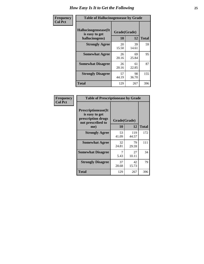| <b>Frequency</b> | <b>Table of Hallucinogensease by Grade</b>                |                    |              |     |  |  |  |  |  |  |  |  |  |
|------------------|-----------------------------------------------------------|--------------------|--------------|-----|--|--|--|--|--|--|--|--|--|
| <b>Col Pct</b>   | Hallucinogensease(It)<br>is easy to get<br>hallucinogens) | Grade(Grade)<br>10 | <b>Total</b> |     |  |  |  |  |  |  |  |  |  |
|                  | <b>Strongly Agree</b>                                     | 20<br>15.50        | 39<br>14.61  | 59  |  |  |  |  |  |  |  |  |  |
|                  | <b>Somewhat Agree</b>                                     | 26<br>20.16        | 69<br>25.84  | 95  |  |  |  |  |  |  |  |  |  |
|                  | <b>Somewhat Disagree</b>                                  | 26<br>20.16        | 61<br>22.85  | 87  |  |  |  |  |  |  |  |  |  |
|                  | <b>Strongly Disagree</b>                                  | 57<br>44.19        | 98<br>36.70  | 155 |  |  |  |  |  |  |  |  |  |
|                  | <b>Total</b>                                              | 129                | 267          | 396 |  |  |  |  |  |  |  |  |  |

| Frequency<br>Col Pct |
|----------------------|
|                      |

| <b>Table of Prescriptionease by Grade</b>                                                |              |              |              |  |  |  |  |  |  |  |  |
|------------------------------------------------------------------------------------------|--------------|--------------|--------------|--|--|--|--|--|--|--|--|
| <b>Prescriptionease</b> (It<br>is easy to get<br>prescription drugs<br>not prescribed to | Grade(Grade) |              |              |  |  |  |  |  |  |  |  |
| me)                                                                                      | 10           | 12           | <b>Total</b> |  |  |  |  |  |  |  |  |
| <b>Strongly Agree</b>                                                                    | 53<br>41.09  | 119<br>44.57 | 172          |  |  |  |  |  |  |  |  |
| <b>Somewhat Agree</b>                                                                    | 32<br>24.81  | 79<br>29.59  | 111          |  |  |  |  |  |  |  |  |
| <b>Somewhat Disagree</b>                                                                 | 5.43         | 27<br>10.11  | 34           |  |  |  |  |  |  |  |  |
| <b>Strongly Disagree</b>                                                                 | 37<br>28.68  | 42<br>15.73  | 79           |  |  |  |  |  |  |  |  |
| Total                                                                                    | 129          | 267          | 396          |  |  |  |  |  |  |  |  |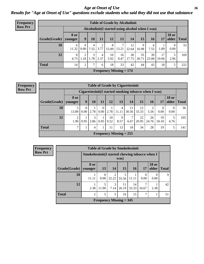*Age at Onset of Use* **26** *Results for "Age at Onset of Use" questions exclude students who said they did not use that substance*

| <b>Frequency</b> |                        |            |                                                  | <b>Table of Grade by Alcoholinit</b> |                    |                 |                           |             |             |             |             |                       |              |
|------------------|------------------------|------------|--------------------------------------------------|--------------------------------------|--------------------|-----------------|---------------------------|-------------|-------------|-------------|-------------|-----------------------|--------------|
| <b>Row Pct</b>   |                        |            | Alcoholinit (I started using alcohol when I was) |                                      |                    |                 |                           |             |             |             |             |                       |              |
|                  | $Grade(Grade)$ younger | 8 or       | 9                                                | 10                                   | <b>11</b>          | 12              | 13                        | 14          | 15          | 16          | 17          | <b>18 or</b><br>older | <b>Total</b> |
|                  | 10                     | 6<br>11.32 | 0.00                                             | 4<br>7.55                            | $\bigcirc$<br>3.77 | 8<br>15.09      | 7<br>13.21                | 12<br>22.64 | 9<br>16.98  | 7.55        | 1.89        | 0.00                  | 53           |
|                  | 12                     | 8<br>4.73  | $\mathfrak{D}$<br>1.18                           | 3<br>1.78                            | 4<br>2.37          | 10<br>5.92      | 16<br>9.47                | 30<br>17.75 | 35<br>20.71 | 39<br>23.08 | 17<br>10.06 | 5<br>2.96             | 169          |
|                  | <b>Total</b>           | 14         | 2                                                | 7                                    | 6                  | 18 <sub>1</sub> | 23                        | 42          | 44          | 43          | 18          | 5                     | 222          |
|                  |                        |            |                                                  |                                      |                    |                 | Frequency Missing $= 174$ |             |             |             |             |                       |              |

| <b>Frequency</b> |
|------------------|
| <b>Row Pct</b>   |

| <b>Table of Grade by Cigarettesinit</b> |                        |                  |           |                  |            |                                                       |             |             |             |             |                       |              |
|-----------------------------------------|------------------------|------------------|-----------|------------------|------------|-------------------------------------------------------|-------------|-------------|-------------|-------------|-----------------------|--------------|
|                                         |                        |                  |           |                  |            | Cigarettesinit (I started smoking tobacco when I was) |             |             |             |             |                       |              |
| Grade(Grade)                            | <b>8 or</b><br>younger | 9                | 10        | 11               | 12         | 13                                                    | 14          | 15          | 16          | 17          | <b>18 or</b><br>older | <b>Total</b> |
| 10                                      | 13.89                  | $\Omega$<br>0.00 | 2.78      | $\theta$<br>0.00 | 2.78       | 4<br>11.11                                            | 11<br>30.56 | 12<br>33.33 | 5.56        | 0<br>0.00   | $\Omega$<br>0.00      | 36           |
| 12                                      | 2<br>1.90              | 0.95             | 3<br>2.86 | 0.95             | 10<br>9.52 | 9<br>8.57                                             | 7<br>6.67   | 22<br>20.95 | 26<br>24.76 | 19<br>18.10 | 5<br>4.76             | 105          |
| <b>Total</b>                            | 7                      |                  | 4         | 1                | 11         | 13                                                    | 18          | 34          | 28          | 19          | 5                     | 141          |
|                                         |                        |                  |           |                  |            | Frequency Missing $= 255$                             |             |             |             |             |                       |              |

| <b>Frequency</b> |              |                 |                                                         | <b>Table of Grade by Smokelessinit</b> |             |             |                  |                       |              |  |  |  |  |
|------------------|--------------|-----------------|---------------------------------------------------------|----------------------------------------|-------------|-------------|------------------|-----------------------|--------------|--|--|--|--|
| <b>Row Pct</b>   |              |                 | Smokelessinit (I started chewing tobacco when I<br>was) |                                        |             |             |                  |                       |              |  |  |  |  |
|                  | Grade(Grade) | 8 or<br>younger | 13                                                      | <b>14</b>                              | <b>15</b>   | <b>16</b>   | 17               | <b>18 or</b><br>older | <b>Total</b> |  |  |  |  |
|                  | 10           | 11.11           | $\Omega$<br>0.00                                        | 22.22                                  | 55.56       | 11.11       | $\Omega$<br>0.00 | $\Omega$<br>0.00      | 9            |  |  |  |  |
|                  | 12           | 2.38            | 5<br>11.90                                              | 3<br>7.14                              | 11<br>26.19 | 14<br>33.33 | 16.67            | 2.38                  | 42           |  |  |  |  |
|                  | <b>Total</b> | $\overline{2}$  | 5                                                       | 5                                      | 16          | 15          | 7                |                       | 51           |  |  |  |  |
|                  |              |                 |                                                         | Frequency Missing $=$ 345              |             |             |                  |                       |              |  |  |  |  |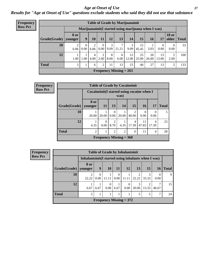#### *Age at Onset of Use* **27**

*Results for "Age at Onset of Use" questions exclude students who said they did not use that substance*

| <b>Frequency</b> | <b>Table of Grade by Marijuanainit</b> |                        |                        |                        |                        |           |                                |                                                      |             |             |                  |                                |              |  |
|------------------|----------------------------------------|------------------------|------------------------|------------------------|------------------------|-----------|--------------------------------|------------------------------------------------------|-------------|-------------|------------------|--------------------------------|--------------|--|
| <b>Row Pct</b>   |                                        |                        |                        |                        |                        |           |                                | Marijuanainit (I started using marijuana when I was) |             |             |                  |                                |              |  |
|                  | Grade(Grade)                           | <b>8 or</b><br>younger | $\boldsymbol{9}$       | 10                     | 11                     | 12        | 13                             | 14                                                   | 15          | 16          | 17               | <b>18 or</b><br>$\Omega$ older | <b>Total</b> |  |
|                  | 10                                     | 2<br>6.06              | $\overline{0}$<br>0.00 | $\mathfrak{D}$<br>6.06 | $\Omega$<br>0.00       | 3<br>9.09 | $\mathcal{L}$<br>21.21         | 3<br>9.09                                            | 15<br>45.45 | 3.03        | $\Omega$<br>0.00 | 0<br>0.00                      | 33           |  |
|                  | 12                                     | 1.00                   | 1.00                   | 4<br>4.00              | $\overline{c}$<br>2.00 | 8<br>8.00 | 6<br>6.00                      | 12<br>12.00                                          | 25<br>25.00 | 26<br>26.00 | 13<br>13.00      | $\overline{2}$<br>2.00         | 100          |  |
|                  | <b>Total</b>                           | 3                      | 1                      | 6                      | 2                      | 11        | 13                             | 15                                                   | 40          | 27          | 13               | $\overline{2}$                 | 133          |  |
|                  |                                        |                        |                        |                        |                        |           | <b>Frequency Missing = 263</b> |                                                      |             |             |                  |                                |              |  |

| Frequency      | <b>Table of Grade by Cocaineinit</b> |                                             |           |                |                           |                 |             |            |              |
|----------------|--------------------------------------|---------------------------------------------|-----------|----------------|---------------------------|-----------------|-------------|------------|--------------|
| <b>Row Pct</b> |                                      | Cocaineinit (I started using cocaine when I |           |                | was)                      |                 |             |            |              |
|                | Grade(Grade)   younger               | 8 or                                        | <b>11</b> | 13             | 14                        | 15 <sup>1</sup> | <b>16</b>   | <b>17</b>  | <b>Total</b> |
|                | 10                                   | 20.00                                       | 20.00     | 0<br>0.00      | 20.00                     | 2<br>40.00      | 0.00        | 0.00       | 5            |
|                | 12                                   | 4.35                                        | 0<br>0.00 | 2<br>8.70      | 4.35                      | 4<br>17.39      | 11<br>47.83 | 4<br>17.39 | 23           |
|                | <b>Total</b>                         | $\overline{c}$                              |           | $\overline{2}$ | 2                         | 6               | 11          | 4          | 28           |
|                |                                      |                                             |           |                | Frequency Missing $=$ 368 |                 |             |            |              |

| <b>Frequency</b> |
|------------------|
| <b>Row Pct</b>   |

| <b>Table of Grade by Inhalantsinit</b>               |                                      |                  |                           |           |       |            |            |                  |              |  |
|------------------------------------------------------|--------------------------------------|------------------|---------------------------|-----------|-------|------------|------------|------------------|--------------|--|
| Inhalantsinit (I started using inhalants when I was) |                                      |                  |                           |           |       |            |            |                  |              |  |
| Grade(Grade)   younger                               | 8 or                                 | 9                | <b>10</b>                 | <b>11</b> | 12    | 13         | 15         | <b>16</b>        | <b>Total</b> |  |
| 10                                                   | $\mathcal{D}_{\mathcal{L}}$<br>22.22 | $\theta$<br>0.00 | 11.11                     | 0.00      | 11.11 | 2<br>22.22 | 3<br>33.33 | $\Omega$<br>0.00 |              |  |
| 12                                                   | 6.67                                 | 6.67             | $\Omega$<br>0.00          | 6.67      | 0.00  | 3<br>20.00 | 2<br>13.33 | ┑<br>46.67       | 15           |  |
| <b>Total</b>                                         | 3                                    |                  |                           |           |       | 5          | 5          | 7                | 24           |  |
|                                                      |                                      |                  | Frequency Missing $= 372$ |           |       |            |            |                  |              |  |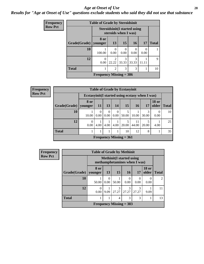#### *Age at Onset of Use* **28**

### *Results for "Age at Onset of Use" questions exclude students who said they did not use that substance*

| <b>Frequency</b> |              | <b>Table of Grade by Steroidsinit</b>                        |                  |                        |            |           |              |
|------------------|--------------|--------------------------------------------------------------|------------------|------------------------|------------|-----------|--------------|
| <b>Row Pct</b>   |              | <b>Steroidsinit (I started using</b><br>steroids when I was) |                  |                        |            |           |              |
|                  | Grade(Grade) | 8 or<br>younger                                              | <b>13</b>        | 15                     | 16         | 17        | <b>Total</b> |
|                  | 10           | 100.00                                                       | $\Omega$<br>0.00 | 0<br>0.00              | 0.00       | 0<br>0.00 |              |
|                  | 12           | $\Omega$<br>0.00                                             | 22.22            | $\mathcal{R}$<br>33.33 | 3<br>33.33 | 11.11     | $\mathbf{Q}$ |
|                  | <b>Total</b> |                                                              | $\mathfrak{D}$   | 3                      | 3          |           | 10           |
|                  |              | Frequency Missing $=$ 386                                    |                  |                        |            |           |              |

| <b>Frequency</b> |                        |                                                  |           |                  |                  | <b>Table of Grade by Ecstasyinit</b> |             |       |                       |              |
|------------------|------------------------|--------------------------------------------------|-----------|------------------|------------------|--------------------------------------|-------------|-------|-----------------------|--------------|
| <b>Row Pct</b>   |                        | Ecstasyinit (I started using ecstasy when I was) |           |                  |                  |                                      |             |       |                       |              |
|                  | Grade(Grade)   younger | <b>8 or</b>                                      | <b>11</b> | <b>13</b>        | 14               | 15                                   | <b>16</b>   | 17    | <b>18 or</b><br>older | <b>Total</b> |
|                  | 10                     | 10.00                                            | 0<br>0.00 | $\theta$<br>0.00 | $\Omega$<br>0.00 | 5<br>50.00                           | 10.00       | 30.00 | 0.00                  | 10           |
|                  | 12                     | 0<br>0.00                                        | 4.00      | 4.00             | 4.00             | 20.00                                | 11<br>44.00 | 20.00 | 4.00                  | 25           |
|                  | <b>Total</b>           |                                                  |           |                  |                  | 10                                   | 12          | 8     |                       | 35           |
|                  |                        |                                                  |           |                  |                  | Frequency Missing $= 361$            |             |       |                       |              |

| Frequency      | <b>Table of Grade by Methinit</b> |                  |                                                                  |                        |                           |            |                       |                |  |  |
|----------------|-----------------------------------|------------------|------------------------------------------------------------------|------------------------|---------------------------|------------|-----------------------|----------------|--|--|
| <b>Row Pct</b> |                                   |                  | <b>Methinit</b> (I started using<br>methamphetamines when I was) |                        |                           |            |                       |                |  |  |
|                | Grade(Grade)                      | 8 or<br>younger  | <b>13</b>                                                        | 15                     | <b>16</b>                 | 17         | <b>18 or</b><br>older | <b>Total</b>   |  |  |
|                | 10                                | 50.00            | $\Omega$<br>0.00                                                 | 50.00                  | 0.00                      | 0.00       | 0<br>0.00             | $\overline{2}$ |  |  |
|                | 12                                | $\Omega$<br>0.00 | 9.09                                                             | $\mathcal{R}$<br>27.27 | $\mathcal{R}$<br>27.27    | 3<br>27.27 | 9.09                  | 11             |  |  |
|                | <b>Total</b>                      |                  |                                                                  | 4                      | 3                         | 3          |                       | 13             |  |  |
|                |                                   |                  |                                                                  |                        | Frequency Missing $=$ 383 |            |                       |                |  |  |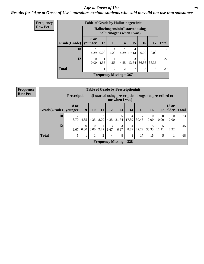#### *Age at Onset of Use* **29**

*Results for "Age at Onset of Use" questions exclude students who said they did not use that substance*

| Frequency      | <b>Table of Grade by Hallucinogensinit</b> |                 |                                                                |                           |                |            |                  |                  |              |  |  |
|----------------|--------------------------------------------|-----------------|----------------------------------------------------------------|---------------------------|----------------|------------|------------------|------------------|--------------|--|--|
| <b>Row Pct</b> |                                            |                 | Hallucinogensinit(I started using<br>hallucinogens when I was) |                           |                |            |                  |                  |              |  |  |
|                | Grade(Grade)                               | 8 or<br>younger | 12                                                             | 13                        | 14             | 15         | 16 <sup>1</sup>  | 17               | <b>Total</b> |  |  |
|                | 10                                         | 14.29           | $\Omega$<br>0.00                                               | 14.29                     | 14.29          | 4<br>57.14 | $\Omega$<br>0.00 | $\theta$<br>0.00 | 7            |  |  |
|                | 12                                         | 0<br>0.00       | 4.55                                                           | 4.55                      | 4.55           | 3<br>13.64 | 8<br>36.36       | 8<br>36.36       | 22           |  |  |
|                | <b>Total</b>                               |                 |                                                                | $\overline{2}$            | $\overline{2}$ | 7          | 8                | 8                | 29           |  |  |
|                |                                            |                 |                                                                | Frequency Missing $= 367$ |                |            |                  |                  |              |  |  |

| <b>Frequency</b> |  |
|------------------|--|
| <b>Row Pct</b>   |  |

| <b>Table of Grade by Prescriptioninit</b> |                 |                                                                                         |                        |                    |           |                           |            |             |                  |                  |                       |              |
|-------------------------------------------|-----------------|-----------------------------------------------------------------------------------------|------------------------|--------------------|-----------|---------------------------|------------|-------------|------------------|------------------|-----------------------|--------------|
|                                           |                 | Prescriptioninit(I started using prescription drugs not prescribed to<br>me when I was) |                        |                    |           |                           |            |             |                  |                  |                       |              |
| Grade(Grade)                              | 8 or<br>younger | 9                                                                                       | 10                     | 11                 | 12        | 13                        | 14         | 15          | 16               | 17               | <b>18 or</b><br>older | <b>Total</b> |
| 10                                        | 8.70            | 4.35                                                                                    |                        | 2<br>$4.35$   8.70 | 4.35      | 5<br>21.74                | 4<br>17.39 | 7<br>30.43  | $\Omega$<br>0.00 | $\theta$<br>0.00 | $\Omega$<br>0.00      | 23           |
| 12                                        | 3<br>6.67       | $\overline{0}$<br>0.00                                                                  | $\overline{0}$<br>0.00 | 2.22               | 3<br>6.67 | 3<br>6.67                 | 4<br>8.89  | 10<br>22.22 | 15<br>33.33      | 5<br>11.11       | 2.22                  | 45           |
| <b>Total</b>                              | 5               | 1                                                                                       |                        | 3                  | 4         | 8                         | 8          | 17          | 15               | 5                |                       | 68           |
|                                           |                 |                                                                                         |                        |                    |           | Frequency Missing $=$ 328 |            |             |                  |                  |                       |              |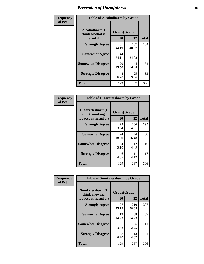| Frequency      | <b>Table of Alcoholharm by Grade</b>          |                    |              |              |  |  |  |  |  |
|----------------|-----------------------------------------------|--------------------|--------------|--------------|--|--|--|--|--|
| <b>Col Pct</b> | Alcoholharm(I<br>think alcohol is<br>harmful) | Grade(Grade)<br>10 | 12           | <b>Total</b> |  |  |  |  |  |
|                | <b>Strongly Agree</b>                         | 57<br>44.19        | 107<br>40.07 | 164          |  |  |  |  |  |
|                | <b>Somewhat Agree</b>                         | 44<br>34.11        | 91<br>34.08  | 135          |  |  |  |  |  |
|                | <b>Somewhat Disagree</b>                      | 20<br>15.50        | 44<br>16.48  | 64           |  |  |  |  |  |
|                | <b>Strongly Disagree</b>                      | 8<br>6.20          | 25<br>9.36   | 33           |  |  |  |  |  |
|                | <b>Total</b>                                  | 129                | 267          | 396          |  |  |  |  |  |

| <b>Table of Cigarettesharm by Grade</b>                  |                    |              |              |  |  |  |  |  |  |  |
|----------------------------------------------------------|--------------------|--------------|--------------|--|--|--|--|--|--|--|
| Cigarettesharm(I<br>think smoking<br>tobacco is harmful) | Grade(Grade)<br>10 | 12           | <b>Total</b> |  |  |  |  |  |  |  |
| <b>Strongly Agree</b>                                    | 95<br>73.64        | 200<br>74.91 | 295          |  |  |  |  |  |  |  |
| <b>Somewhat Agree</b>                                    | 24<br>18.60        | 44<br>16.48  | 68           |  |  |  |  |  |  |  |
| <b>Somewhat Disagree</b>                                 | 4<br>3.10          | 12<br>4.49   | 16           |  |  |  |  |  |  |  |
| <b>Strongly Disagree</b>                                 | 6<br>4.65          | 11<br>4.12   | 17           |  |  |  |  |  |  |  |
| <b>Total</b>                                             | 129                | 267          | 396          |  |  |  |  |  |  |  |

| Frequency      | <b>Table of Smokelessharm by Grade</b>                  |                           |              |     |
|----------------|---------------------------------------------------------|---------------------------|--------------|-----|
| <b>Col Pct</b> | Smokelessharm(I<br>think chewing<br>tobacco is harmful) | Grade(Grade)<br><b>10</b> | <b>Total</b> |     |
|                | <b>Strongly Agree</b>                                   | 97<br>75.19               | 210<br>78.65 | 307 |
|                | <b>Somewhat Agree</b>                                   | 19<br>14.73               | 38<br>14.23  | 57  |
|                | <b>Somewhat Disagree</b>                                | 5<br>3.88                 | 6<br>2.25    | 11  |
|                | <b>Strongly Disagree</b>                                | 8<br>6.20                 | 13<br>4.87   | 21  |
|                | <b>Total</b>                                            | 129                       | 267          | 396 |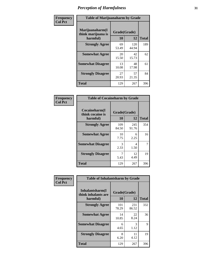| Frequency      | <b>Table of Marijuanaharm by Grade</b>            |                    |              |              |
|----------------|---------------------------------------------------|--------------------|--------------|--------------|
| <b>Col Pct</b> | Marijuanaharm(I<br>think marijuana is<br>harmful) | Grade(Grade)<br>10 | 12           | <b>Total</b> |
|                | <b>Strongly Agree</b>                             | 69<br>53.49        | 120<br>44.94 | 189          |
|                | <b>Somewhat Agree</b>                             | 20<br>15.50        | 42<br>15.73  | 62           |
|                | <b>Somewhat Disagree</b>                          | 13<br>10.08        | 48<br>17.98  | 61           |
|                | <b>Strongly Disagree</b>                          | 27<br>20.93        | 57<br>21.35  | 84           |
|                | <b>Total</b>                                      | 129                | 267          | 396          |

| <b>Table of Cocaineharm by Grade</b>          |                    |              |     |  |  |
|-----------------------------------------------|--------------------|--------------|-----|--|--|
| Cocaineharm(I<br>think cocaine is<br>harmful) | Grade(Grade)<br>10 | <b>Total</b> |     |  |  |
| <b>Strongly Agree</b>                         | 109<br>84.50       | 245<br>91.76 | 354 |  |  |
| <b>Somewhat Agree</b>                         | 10<br>7.75         | 6<br>2.25    | 16  |  |  |
| <b>Somewhat Disagree</b>                      | 3<br>2.33          | 4<br>1.50    | 7   |  |  |
| <b>Strongly Disagree</b>                      | 7<br>5.43          | 12<br>4.49   | 19  |  |  |
| <b>Total</b>                                  | 129                | 267          | 396 |  |  |

| Frequency      | <b>Table of Inhalantsharm by Grade</b>             |                           |              |              |
|----------------|----------------------------------------------------|---------------------------|--------------|--------------|
| <b>Col Pct</b> | Inhalantsharm(I<br>think inhalants are<br>harmful) | Grade(Grade)<br><b>10</b> | 12           | <b>Total</b> |
|                | <b>Strongly Agree</b>                              | 101<br>78.29              | 231<br>86.52 | 332          |
|                | <b>Somewhat Agree</b>                              | 14<br>10.85               | 22<br>8.24   | 36           |
|                | <b>Somewhat Disagree</b>                           | 6<br>4.65                 | 3<br>1.12    | 9            |
|                | <b>Strongly Disagree</b>                           | 8<br>6.20                 | 11<br>4.12   | 19           |
|                | Total                                              | 129                       | 267          | 396          |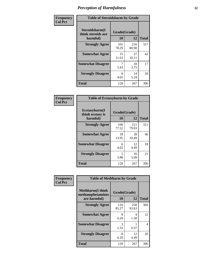| Frequency      | <b>Table of Steroidsharm by Grade</b>            |                    |              |              |
|----------------|--------------------------------------------------|--------------------|--------------|--------------|
| <b>Col Pct</b> | Steroidsharm(I<br>think steroids are<br>harmful) | Grade(Grade)<br>10 | 12           | <b>Total</b> |
|                | <b>Strongly Agree</b>                            | 101<br>78.29       | 216<br>80.90 | 317          |
|                | <b>Somewhat Agree</b>                            | 15<br>11.63        | 27<br>10.11  | 42           |
|                | <b>Somewhat Disagree</b>                         | 5.43               | 10<br>3.75   | 17           |
|                | <b>Strongly Disagree</b>                         | 6<br>4.65          | 14<br>5.24   | 20           |
|                | <b>Total</b>                                     | 129                | 267          | 396          |

| <b>Table of Ecstasyharm by Grade</b>          |                          |              |     |  |  |
|-----------------------------------------------|--------------------------|--------------|-----|--|--|
| Ecstasyharm(I<br>think ecstasy is<br>harmful) | Grade(Grade)<br>10<br>12 |              |     |  |  |
| <b>Strongly Agree</b>                         | 100<br>77.52             | 211<br>79.03 | 311 |  |  |
| <b>Somewhat Agree</b>                         | 18<br>13.95              | 28<br>10.49  | 46  |  |  |
| <b>Somewhat Disagree</b>                      | 6<br>4.65                | 12<br>4.49   | 18  |  |  |
| <b>Strongly Disagree</b>                      | 5<br>3.88                | 16<br>5.99   | 21  |  |  |
| <b>Total</b>                                  | 129                      | 267          | 396 |  |  |

| Frequency      | <b>Table of Methharm by Grade</b>                            |                           |              |              |
|----------------|--------------------------------------------------------------|---------------------------|--------------|--------------|
| <b>Col Pct</b> | <b>Methharm</b> (I think<br>methamphetamines<br>are harmful) | Grade(Grade)<br><b>10</b> | 12           | <b>Total</b> |
|                | <b>Strongly Agree</b>                                        | 110<br>85.27              | 250<br>93.63 | 360          |
|                | <b>Somewhat Agree</b>                                        | 8<br>6.20                 | 4<br>1.50    | 12           |
|                | <b>Somewhat Disagree</b>                                     | 3<br>2.33                 | 0.37         | 4            |
|                | <b>Strongly Disagree</b>                                     | 8<br>6.20                 | 12<br>4.49   | 20           |
|                | <b>Total</b>                                                 | 129                       | 267          | 396          |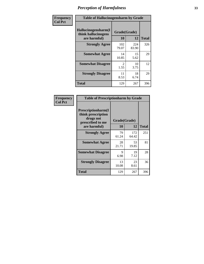| Frequency      | <b>Table of Hallucinogensharm by Grade</b> |                    |            |              |
|----------------|--------------------------------------------|--------------------|------------|--------------|
| <b>Col Pct</b> | Hallucinogensharm(I<br>think hallucinogens | Grade(Grade)<br>10 | 12         | <b>Total</b> |
|                | are harmful)<br><b>Strongly Agree</b>      | 102                | 224        | 326          |
|                |                                            | 79.07              | 83.90      |              |
|                | <b>Somewhat Agree</b>                      | 14<br>10.85        | 15<br>5.62 | 29           |
|                | <b>Somewhat Disagree</b>                   | 2<br>1.55          | 10<br>3.75 | 12           |
|                | <b>Strongly Disagree</b>                   | 11<br>8.53         | 18<br>6.74 | 29           |
|                | <b>Total</b>                               | 129                | 267        | 396          |

| <b>Table of Prescriptionharm by Grade</b>                                                         |                    |              |              |  |
|---------------------------------------------------------------------------------------------------|--------------------|--------------|--------------|--|
| <b>Prescriptionharm</b> (I<br>think prescription<br>drugs not<br>prescribed to me<br>are harmful) | Grade(Grade)<br>10 | 12           | <b>Total</b> |  |
| <b>Strongly Agree</b>                                                                             | 79<br>61.24        | 172<br>64.42 | 251          |  |
| <b>Somewhat Agree</b>                                                                             | 28<br>21.71        | 53<br>19.85  | 81           |  |
| <b>Somewhat Disagree</b>                                                                          | 9<br>6.98          | 19<br>7.12   | 28           |  |
| <b>Strongly Disagree</b>                                                                          | 13<br>10.08        | 23<br>8.61   | 36           |  |
| <b>Total</b>                                                                                      | 129                | 267          | 396          |  |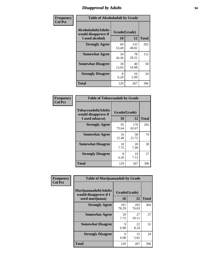### *Disapproval by Adults* **34**

| Frequency      | <b>Table of Alcoholadult by Grade</b>                                 |                    |              |              |
|----------------|-----------------------------------------------------------------------|--------------------|--------------|--------------|
| <b>Col Pct</b> | <b>Alcoholadult</b> (Adults<br>would disapprove if<br>I used alcohol) | Grade(Grade)<br>10 | 12           | <b>Total</b> |
|                | <b>Strongly Agree</b>                                                 | 69<br>53.49        | 133<br>49.81 | 202          |
|                | <b>Somewhat Agree</b>                                                 | 34<br>26.36        | 78<br>29.21  | 112          |
|                | <b>Somewhat Disagree</b>                                              | 18<br>13.95        | 40<br>14.98  | 58           |
|                | <b>Strongly Disagree</b>                                              | 8<br>6.20          | 16<br>5.99   | 24           |
|                | <b>Total</b>                                                          | 129                | 267          | 396          |

| <b>Table of Tobaccoadult by Grade</b>                                |                    |              |              |  |
|----------------------------------------------------------------------|--------------------|--------------|--------------|--|
| <b>Tobaccoadult(Adults</b><br>would disapprove if<br>I used tobacco) | Grade(Grade)<br>10 | 12           | <b>Total</b> |  |
| <b>Strongly Agree</b>                                                | 95<br>73.64        | 170<br>63.67 | 265          |  |
| <b>Somewhat Agree</b>                                                | 16<br>12.40        | 58<br>21.72  | 74           |  |
| <b>Somewhat Disagree</b>                                             | 10<br>7.75         | 20<br>7.49   | 30           |  |
| <b>Strongly Disagree</b>                                             | 8<br>6.20          | 19<br>7.12   | 27           |  |
| Total                                                                | 129                | 267          | 396          |  |

| Frequency<br><b>Col Pct</b> | <b>Table of Marijuanaadult by Grade</b>                           |                    |              |              |
|-----------------------------|-------------------------------------------------------------------|--------------------|--------------|--------------|
|                             | Marijuanaadult(Adults<br>would disapprove if I<br>used marijuana) | Grade(Grade)<br>10 | 12           | <b>Total</b> |
|                             | <b>Strongly Agree</b>                                             | 101<br>78.29       | 203<br>76.03 | 304          |
|                             | <b>Somewhat Agree</b>                                             | 10<br>7.75         | 27<br>10.11  | 37           |
|                             | <b>Somewhat Disagree</b>                                          | 9<br>6.98          | 22<br>8.24   | 31           |
|                             | <b>Strongly Disagree</b>                                          | 9<br>6.98          | 15<br>5.62   | 24           |
|                             | <b>Total</b>                                                      | 129                | 267          | 396          |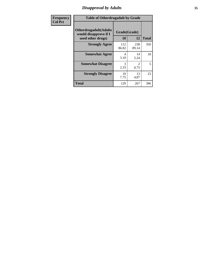### *Disapproval by Adults* **35**

| <b>Frequency</b> | <b>Table of Otherdrugadult by Grade</b>                                     |                    |              |              |
|------------------|-----------------------------------------------------------------------------|--------------------|--------------|--------------|
| <b>Col Pct</b>   | <b>Otherdrugadult</b> (Adults<br>would disapprove if I<br>used other drugs) | Grade(Grade)<br>10 | 12           | <b>Total</b> |
|                  | <b>Strongly Agree</b>                                                       | 112<br>86.82       | 238<br>89.14 | 350          |
|                  | <b>Somewhat Agree</b>                                                       | 4<br>3.10          | 14<br>5.24   | 18           |
|                  | <b>Somewhat Disagree</b>                                                    | 3<br>2.33          | 2<br>0.75    | 5            |
|                  | <b>Strongly Disagree</b>                                                    | 10<br>7.75         | 13<br>4.87   | 23           |
|                  | <b>Total</b>                                                                | 129                | 267          | 396          |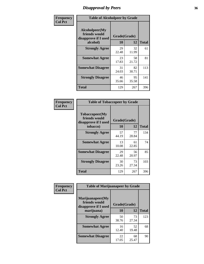### *Disapproval by Peers* **36**

| Frequency      | <b>Table of Alcoholpeer by Grade</b>                    |              |             |              |  |
|----------------|---------------------------------------------------------|--------------|-------------|--------------|--|
| <b>Col Pct</b> | Alcoholpeer(My<br>friends would<br>disapprove if I used | Grade(Grade) |             |              |  |
|                | alcohol)                                                | 10           | 12          | <b>Total</b> |  |
|                | <b>Strongly Agree</b>                                   | 29<br>22.48  | 32<br>11.99 | 61           |  |
|                | <b>Somewhat Agree</b>                                   | 23<br>17.83  | 58<br>21.72 | 81           |  |
|                | <b>Somewhat Disagree</b>                                | 31<br>24.03  | 82<br>30.71 | 113          |  |
|                | <b>Strongly Disagree</b>                                | 46<br>35.66  | 95<br>35.58 | 141          |  |
|                | Total                                                   | 129          | 267         | 396          |  |

| Frequency      | <b>Table of Tobaccopeer by Grade</b>                                |                           |             |              |  |
|----------------|---------------------------------------------------------------------|---------------------------|-------------|--------------|--|
| <b>Col Pct</b> | Tobaccopeer(My<br>friends would<br>disapprove if I used<br>tobacco) | Grade(Grade)<br><b>10</b> | 12          | <b>Total</b> |  |
|                | <b>Strongly Agree</b>                                               | 57<br>44.19               | 77<br>28.84 | 134          |  |
|                | <b>Somewhat Agree</b>                                               | 13<br>10.08               | 61<br>22.85 | 74           |  |
|                | <b>Somewhat Disagree</b>                                            | 29<br>22.48               | 56<br>20.97 | 85           |  |
|                | <b>Strongly Disagree</b>                                            | 30<br>23.26               | 73<br>27.34 | 103          |  |
|                | Total                                                               | 129                       | 267         | 396          |  |

| Frequency      | <b>Table of Marijuanapeer by Grade</b>                    |              |             |              |  |
|----------------|-----------------------------------------------------------|--------------|-------------|--------------|--|
| <b>Col Pct</b> | Marijuanapeer(My<br>friends would<br>disapprove if I used | Grade(Grade) |             |              |  |
|                | marijuana)                                                | 10           | 12          | <b>Total</b> |  |
|                | <b>Strongly Agree</b>                                     | 50<br>38.76  | 73<br>27.34 | 123          |  |
|                | <b>Somewhat Agree</b>                                     | 16<br>12.40  | 52<br>19.48 | 68           |  |
|                | <b>Somewhat Disagree</b>                                  | 22<br>17.05  | 68<br>25.47 | 90           |  |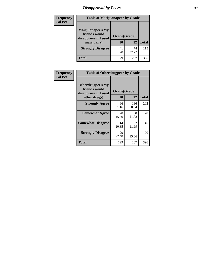# *Disapproval by Peers* **37**

| Frequency<br><b>Col Pct</b> | <b>Table of Marijuanapeer by Grade</b>                                  |                          |             |              |
|-----------------------------|-------------------------------------------------------------------------|--------------------------|-------------|--------------|
|                             | Marijuanapeer(My<br>friends would<br>disapprove if I used<br>marijuana) | Grade(Grade)<br>10<br>12 |             | <b>Total</b> |
|                             | <b>Strongly Disagree</b>                                                | 41<br>31.78              | 74<br>27.72 | 115          |
|                             | Total                                                                   | 129                      | 267         | 396          |

| Frequency      | <b>Table of Otherdrugpeer by Grade</b>                                    |                    |              |              |  |
|----------------|---------------------------------------------------------------------------|--------------------|--------------|--------------|--|
| <b>Col Pct</b> | Otherdrugpeer(My<br>friends would<br>disapprove if I used<br>other drugs) | Grade(Grade)<br>10 | 12           | <b>Total</b> |  |
|                | <b>Strongly Agree</b>                                                     | 66<br>51.16        | 136<br>50.94 | 202          |  |
|                | <b>Somewhat Agree</b>                                                     | 20<br>15.50        | 58<br>21.72  | 78           |  |
|                | <b>Somewhat Disagree</b>                                                  | 14<br>10.85        | 32<br>11.99  | 46           |  |
|                | <b>Strongly Disagree</b>                                                  | 29<br>22.48        | 41<br>15.36  | 70           |  |
|                | <b>Total</b>                                                              | 129                | 267          | 396          |  |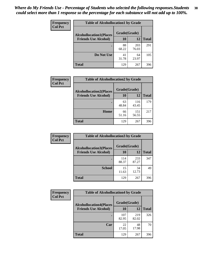| Frequency<br><b>Col Pct</b> | <b>Table of Alcohollocation1 by Grade</b> |              |              |              |  |
|-----------------------------|-------------------------------------------|--------------|--------------|--------------|--|
|                             | <b>Alcohollocation1(Places</b>            | Grade(Grade) |              |              |  |
|                             | <b>Friends Use Alcohol)</b>               | 10           | 12           | <b>Total</b> |  |
|                             |                                           | 88<br>68.22  | 203<br>76.03 | 291          |  |
|                             | Do Not Use                                | 41<br>31.78  | 64<br>23.97  | 105          |  |
|                             | <b>Total</b>                              | 129          | 267          | 396          |  |

| Frequency      | <b>Table of Alcohollocation2 by Grade</b> |              |              |              |
|----------------|-------------------------------------------|--------------|--------------|--------------|
| <b>Col Pct</b> | <b>Alcohollocation2(Places</b>            | Grade(Grade) |              |              |
|                | <b>Friends Use Alcohol)</b>               | 10           | 12           | <b>Total</b> |
|                |                                           | 63<br>48.84  | 116<br>43.45 | 179          |
|                | Home                                      | 66<br>51.16  | 151<br>56.55 | 217          |
|                | <b>Total</b>                              | 129          | 267          | 396          |

| Frequency<br><b>Col Pct</b> | <b>Table of Alcohollocation 3 by Grade</b>                    |                    |              |              |
|-----------------------------|---------------------------------------------------------------|--------------------|--------------|--------------|
|                             | <b>Alcohollocation3(Places</b><br><b>Friends Use Alcohol)</b> | Grade(Grade)<br>10 | 12           | <b>Total</b> |
|                             |                                                               | 114<br>88.37       | 233<br>87.27 | 347          |
|                             | <b>School</b>                                                 | 15<br>11.63        | 34<br>12.73  | 49           |
|                             | <b>Total</b>                                                  | 129                | 267          | 396          |

| Frequency      | <b>Table of Alcohollocation4 by Grade</b> |              |              |              |
|----------------|-------------------------------------------|--------------|--------------|--------------|
| <b>Col Pct</b> | <b>Alcohollocation4(Places</b>            | Grade(Grade) |              |              |
|                | <b>Friends Use Alcohol)</b>               | 10           | 12           | <b>Total</b> |
|                |                                           | 107<br>82.95 | 219<br>82.02 | 326          |
|                | Car                                       | 22<br>17.05  | 48<br>17.98  | 70           |
|                | <b>Total</b>                              | 129          | 267          | 396          |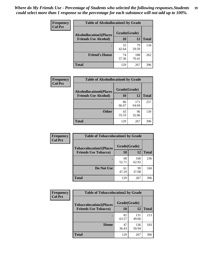| Frequency<br><b>Col Pct</b> | <b>Table of Alcohollocation5 by Grade</b> |              |              |              |  |
|-----------------------------|-------------------------------------------|--------------|--------------|--------------|--|
|                             | <b>Alcohollocation5(Places</b>            | Grade(Grade) |              |              |  |
|                             | <b>Friends Use Alcohol)</b>               | 10           | 12           | <b>Total</b> |  |
|                             |                                           | 55<br>42.64  | 79<br>29.59  | 134          |  |
|                             | <b>Friend's House</b>                     | 74<br>57.36  | 188<br>70.41 | 262          |  |
|                             | <b>Total</b>                              | 129          | 267          | 396          |  |

| Frequency      | <b>Table of Alcohollocation6 by Grade</b>                     |                    |              |              |
|----------------|---------------------------------------------------------------|--------------------|--------------|--------------|
| <b>Col Pct</b> | <b>Alcohollocation6(Places</b><br><b>Friends Use Alcohol)</b> | Grade(Grade)<br>10 | 12           | <b>Total</b> |
|                |                                                               | 86<br>66.67        | 171<br>64.04 | 257          |
|                | <b>Other</b>                                                  | 43<br>33.33        | 96<br>35.96  | 139          |
|                | Total                                                         | 129                | 267          | 396          |

| Frequency      | <b>Table of Tobaccolocation1 by Grade</b> |              |              |              |
|----------------|-------------------------------------------|--------------|--------------|--------------|
| <b>Col Pct</b> | <b>Tobaccolocation1(Places</b>            | Grade(Grade) |              |              |
|                | <b>Friends Use Tobacco)</b>               | 10           | <b>12</b>    | <b>Total</b> |
|                |                                           | 68<br>52.71  | 168<br>62.92 | 236          |
|                | Do Not Use                                | 61<br>47.29  | 99<br>37.08  | 160          |
|                | <b>Total</b>                              | 129          | 267          | 396          |

| <b>Frequency</b> | <b>Table of Tobaccolocation2 by Grade</b> |              |              |              |
|------------------|-------------------------------------------|--------------|--------------|--------------|
| <b>Col Pct</b>   | <b>Tobaccolocation2(Places</b>            | Grade(Grade) |              |              |
|                  | <b>Friends Use Tobacco)</b>               | 10           | 12           | <b>Total</b> |
|                  |                                           | 82<br>63.57  | 131<br>49.06 | 213          |
|                  | Home                                      | 47<br>36.43  | 136<br>50.94 | 183          |
|                  | <b>Total</b>                              | 129          | 267          | 396          |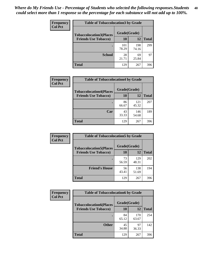| Frequency      | <b>Table of Tobaccolocation 3 by Grade</b> |              |              |              |
|----------------|--------------------------------------------|--------------|--------------|--------------|
| <b>Col Pct</b> | <b>Tobaccolocation3(Places</b>             | Grade(Grade) |              |              |
|                | <b>Friends Use Tobacco)</b>                | <b>10</b>    | 12           | <b>Total</b> |
|                |                                            | 101<br>78.29 | 198<br>74.16 | 299          |
|                | <b>School</b>                              | 28<br>21.71  | 69<br>25.84  | 97           |
|                | <b>Total</b>                               | 129          | 267          | 396          |

| Frequency<br><b>Col Pct</b> | <b>Table of Tobaccolocation4 by Grade</b> |              |              |              |
|-----------------------------|-------------------------------------------|--------------|--------------|--------------|
|                             | <b>Tobaccolocation4(Places</b>            | Grade(Grade) |              |              |
|                             | <b>Friends Use Tobacco)</b>               | 10           | <b>12</b>    | <b>Total</b> |
|                             |                                           | 86<br>66.67  | 121<br>45.32 | 207          |
|                             | Car                                       | 43<br>33.33  | 146<br>54.68 | 189          |
|                             | <b>Total</b>                              | 129          | 267          | 396          |

| Frequency<br><b>Col Pct</b> | <b>Table of Tobaccolocation5 by Grade</b> |              |              |              |
|-----------------------------|-------------------------------------------|--------------|--------------|--------------|
|                             | <b>Tobaccolocation5(Places</b>            | Grade(Grade) |              |              |
|                             | <b>Friends Use Tobacco)</b>               | 10           | <b>12</b>    | <b>Total</b> |
|                             |                                           | 73<br>56.59  | 129<br>48.31 | 202          |
|                             | <b>Friend's House</b>                     | 56<br>43.41  | 138<br>51.69 | 194          |
|                             | <b>Total</b>                              | 129          | 267          | 396          |

| <b>Frequency</b> | <b>Table of Tobaccolocation6 by Grade</b> |              |              |              |  |
|------------------|-------------------------------------------|--------------|--------------|--------------|--|
| <b>Col Pct</b>   | <b>Tobaccolocation6(Places</b>            | Grade(Grade) |              |              |  |
|                  | <b>Friends Use Tobacco)</b>               | 10           | 12           | <b>Total</b> |  |
|                  |                                           | 84<br>65.12  | 170<br>63.67 | 254          |  |
|                  | <b>Other</b>                              | 45<br>34.88  | 97<br>36.33  | 142          |  |
|                  | <b>Total</b>                              | 129          | 267          | 396          |  |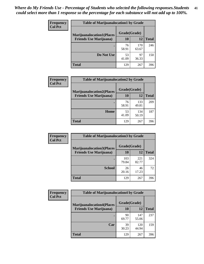| Frequency<br><b>Col Pct</b> | <b>Table of Marijuanalocation1 by Grade</b> |              |              |              |  |
|-----------------------------|---------------------------------------------|--------------|--------------|--------------|--|
|                             | <b>Marijuanalocation1(Places</b>            | Grade(Grade) |              |              |  |
|                             | <b>Friends Use Marijuana</b> )              | 10           | 12           | <b>Total</b> |  |
|                             |                                             | 76<br>58.91  | 170<br>63.67 | 246          |  |
|                             | Do Not Use                                  | 53<br>41.09  | 97<br>36.33  | 150          |  |
|                             | <b>Total</b>                                | 129          | 267          | 396          |  |

| Frequency<br><b>Col Pct</b> | <b>Table of Marijuanalocation2 by Grade</b>                        |                    |              |              |
|-----------------------------|--------------------------------------------------------------------|--------------------|--------------|--------------|
|                             | <b>Marijuanalocation2(Places</b><br><b>Friends Use Marijuana</b> ) | Grade(Grade)<br>10 | 12           | <b>Total</b> |
|                             |                                                                    | 76<br>58.91        | 133<br>49.81 | 209          |
|                             | Home                                                               | 53<br>41.09        | 134<br>50.19 | 187          |
|                             | <b>Total</b>                                                       | 129                | 267          | 396          |

| <b>Frequency</b><br><b>Col Pct</b> | <b>Table of Marijuanalocation3 by Grade</b> |              |              |              |
|------------------------------------|---------------------------------------------|--------------|--------------|--------------|
|                                    | <b>Marijuanalocation3</b> (Places           | Grade(Grade) |              |              |
|                                    | <b>Friends Use Marijuana</b> )              | <b>10</b>    | 12           | <b>Total</b> |
|                                    |                                             | 103<br>79.84 | 221<br>82.77 | 324          |
|                                    | <b>School</b>                               | 26<br>20.16  | 46<br>17.23  | 72           |
|                                    | <b>Total</b>                                | 129          | 267          | 396          |

| <b>Frequency</b> | <b>Table of Marijuanalocation4 by Grade</b> |              |              |              |  |
|------------------|---------------------------------------------|--------------|--------------|--------------|--|
| <b>Col Pct</b>   | <b>Marijuanalocation4(Places</b>            | Grade(Grade) |              |              |  |
|                  | <b>Friends Use Marijuana</b> )              | <b>10</b>    | 12           | <b>Total</b> |  |
|                  |                                             | 90<br>69.77  | 147<br>55.06 | 237          |  |
|                  | Car                                         | 39<br>30.23  | 120<br>44.94 | 159          |  |
|                  | <b>Total</b>                                | 129          | 267          | 396          |  |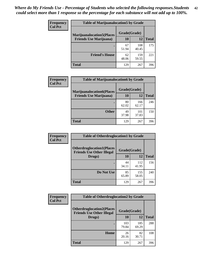| <b>Frequency</b>                                                                     | <b>Table of Marijuanalocation5 by Grade</b> |              |              |     |  |
|--------------------------------------------------------------------------------------|---------------------------------------------|--------------|--------------|-----|--|
| <b>Col Pct</b><br><b>Marijuanalocation5(Places</b><br><b>Friends Use Marijuana</b> ) |                                             | Grade(Grade) |              |     |  |
|                                                                                      | 10                                          | 12           | <b>Total</b> |     |  |
|                                                                                      |                                             | 67<br>51.94  | 108<br>40.45 | 175 |  |
|                                                                                      | <b>Friend's House</b>                       | 62<br>48.06  | 159<br>59.55 | 221 |  |
|                                                                                      | <b>Total</b>                                | 129          | 267          | 396 |  |

| <b>Frequency</b> | <b>Table of Marijuanalocation6 by Grade</b>                        |                           |              |              |
|------------------|--------------------------------------------------------------------|---------------------------|--------------|--------------|
| <b>Col Pct</b>   | <b>Marijuanalocation6(Places</b><br><b>Friends Use Marijuana</b> ) | Grade(Grade)<br><b>10</b> | 12           | <b>Total</b> |
|                  |                                                                    | 80<br>62.02               | 166<br>62.17 | 246          |
|                  | <b>Other</b>                                                       | 49<br>37.98               | 101<br>37.83 | 150          |
|                  | <b>Total</b>                                                       | 129                       | 267          | 396          |

| <b>Frequency</b> | <b>Table of Otherdruglocation1 by Grade</b> |              |              |              |
|------------------|---------------------------------------------|--------------|--------------|--------------|
| <b>Col Pct</b>   | <b>Otherdruglocation1(Places</b>            | Grade(Grade) |              |              |
|                  | <b>Friends Use Other Illegal</b><br>Drugs)  | 10           | 12           | <b>Total</b> |
|                  |                                             | 44<br>34.11  | 112<br>41.95 | 156          |
|                  | Do Not Use                                  | 85<br>65.89  | 155<br>58.05 | 240          |
|                  | <b>Total</b>                                | 129          | 267          | 396          |

| Frequency      | <b>Table of Otherdruglocation2 by Grade</b>                          |              |              |              |
|----------------|----------------------------------------------------------------------|--------------|--------------|--------------|
| <b>Col Pct</b> | <b>Otherdruglocation2(Places</b><br><b>Friends Use Other Illegal</b> | Grade(Grade) |              |              |
|                | Drugs)                                                               | 10           | 12           | <b>Total</b> |
|                |                                                                      | 103<br>79.84 | 185<br>69.29 | 288          |
|                | Home                                                                 | 26<br>20.16  | 82<br>30.71  | 108          |
|                | Total                                                                | 129          | 267          | 396          |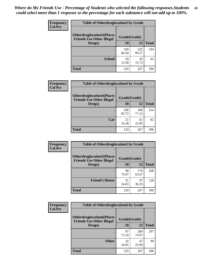| <b>Frequency</b> | <b>Table of Otherdruglocation3 by Grade</b>                           |              |              |              |  |
|------------------|-----------------------------------------------------------------------|--------------|--------------|--------------|--|
| <b>Col Pct</b>   | <b>Otherdruglocation3(Places)</b><br><b>Friends Use Other Illegal</b> | Grade(Grade) |              |              |  |
|                  | Drugs)                                                                | 10           | 12           | <b>Total</b> |  |
|                  |                                                                       | 109<br>84.50 | 225<br>84.27 | 334          |  |
|                  | <b>School</b>                                                         | 20<br>15.50  | 42<br>15.73  | 62           |  |
|                  | Total                                                                 | 129          | 267          | 396          |  |

| Frequency      | <b>Table of Otherdruglocation4 by Grade</b>                          |              |              |              |
|----------------|----------------------------------------------------------------------|--------------|--------------|--------------|
| <b>Col Pct</b> | <b>Otherdruglocation4(Places</b><br><b>Friends Use Other Illegal</b> | Grade(Grade) |              |              |
|                | Drugs)                                                               | <b>10</b>    | 12           | <b>Total</b> |
|                |                                                                      | 108<br>83.72 | 206<br>77.15 | 314          |
|                | Car                                                                  | 21<br>16.28  | 61<br>22.85  | 82           |
|                | <b>Total</b>                                                         | 129          | 267          | 396          |

| <b>Frequency</b><br><b>Col Pct</b> | <b>Table of Otherdruglocation5 by Grade</b>                          |              |              |              |
|------------------------------------|----------------------------------------------------------------------|--------------|--------------|--------------|
|                                    | <b>Otherdruglocation5(Places</b><br><b>Friends Use Other Illegal</b> | Grade(Grade) |              |              |
|                                    | Drugs)                                                               | <b>10</b>    | 12           | <b>Total</b> |
|                                    |                                                                      | 98<br>75.97  | 170<br>63.67 | 268          |
|                                    | <b>Friend's House</b>                                                | 31<br>24.03  | 97<br>36.33  | 128          |
|                                    | <b>Total</b>                                                         | 129          | 267          | 396          |

| <b>Frequency</b> | <b>Table of Otherdruglocation6 by Grade</b>                          |              |              |              |
|------------------|----------------------------------------------------------------------|--------------|--------------|--------------|
| <b>Col Pct</b>   | <b>Otherdruglocation6(Places</b><br><b>Friends Use Other Illegal</b> | Grade(Grade) |              |              |
|                  | Drugs)                                                               | <b>10</b>    | 12           | <b>Total</b> |
|                  |                                                                      | 97<br>75.19  | 200<br>74.91 | 297          |
|                  | <b>Other</b>                                                         | 32<br>24.81  | 67<br>25.09  | 99           |
|                  | <b>Total</b>                                                         | 129          | 267          | 396          |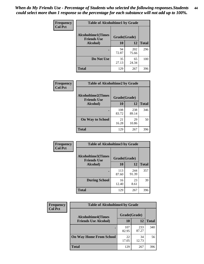| Frequency      | <b>Table of Alcoholtime1 by Grade</b>           |              |              |              |
|----------------|-------------------------------------------------|--------------|--------------|--------------|
| <b>Col Pct</b> | <b>Alcoholtime1(Times</b><br><b>Friends Use</b> | Grade(Grade) |              |              |
|                | Alcohol)                                        | 10           | 12           | <b>Total</b> |
|                |                                                 | 94<br>72.87  | 202<br>75.66 | 296          |
|                | Do Not Use                                      | 35<br>27.13  | 65<br>24.34  | 100          |
|                | <b>Total</b>                                    | 129          | 267          | 396          |

| Frequency      | <b>Table of Alcoholtime2 by Grade</b>           |              |              |              |  |
|----------------|-------------------------------------------------|--------------|--------------|--------------|--|
| <b>Col Pct</b> | <b>Alcoholtime2(Times</b><br><b>Friends Use</b> | Grade(Grade) |              |              |  |
|                | Alcohol)                                        | 10           | 12           | <b>Total</b> |  |
|                |                                                 | 108<br>83.72 | 238<br>89.14 | 346          |  |
|                | <b>On Way to School</b>                         | 21<br>16.28  | 29<br>10.86  | 50           |  |
|                | <b>Total</b>                                    | 129          | 267          | 396          |  |

| Frequency      | <b>Table of Alcoholtime3 by Grade</b>           |              |              |              |
|----------------|-------------------------------------------------|--------------|--------------|--------------|
| <b>Col Pct</b> | <b>Alcoholtime3(Times</b><br><b>Friends Use</b> | Grade(Grade) |              |              |
|                | Alcohol)                                        | 10           | 12           | <b>Total</b> |
|                |                                                 | 113<br>87.60 | 244<br>91.39 | 357          |
|                | <b>During School</b>                            | 16<br>12.40  | 23<br>8.61   | 39           |
|                | <b>Total</b>                                    | 129          | 267          | 396          |

| <b>Frequency</b><br><b>Col Pct</b> | <b>Table of Alcoholtime4 by Grade</b> |              |              |              |  |
|------------------------------------|---------------------------------------|--------------|--------------|--------------|--|
|                                    | <b>Alcoholtime4(Times</b>             | Grade(Grade) |              |              |  |
|                                    | <b>Friends Use Alcohol)</b>           | <b>10</b>    | 12           | <b>Total</b> |  |
|                                    |                                       | 107<br>82.95 | 233<br>87.27 | 340          |  |
|                                    | <b>On Way Home From School</b>        | 22<br>17.05  | 34<br>12.73  | 56           |  |
|                                    | <b>Total</b>                          | 129          | 267          | 396          |  |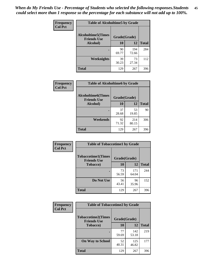*When do My Friends Use - Percentage of Students who selected the following responses.Students could select more than 1 response so the percentage for each substance will not add up to 100%.* **45**

| Frequency      | <b>Table of Alcoholtime5 by Grade</b>            |              |              |              |
|----------------|--------------------------------------------------|--------------|--------------|--------------|
| <b>Col Pct</b> | <b>Alcoholtime5</b> (Times<br><b>Friends Use</b> | Grade(Grade) |              |              |
|                | Alcohol)                                         | 10           | 12           | <b>Total</b> |
|                |                                                  | 90<br>69.77  | 194<br>72.66 | 284          |
|                | Weeknights                                       | 39<br>30.23  | 73<br>27.34  | 112          |
|                | <b>Total</b>                                     | 129          | 267          | 396          |

| Frequency      | <b>Table of Alcoholtime6 by Grade</b>           |              |              |              |
|----------------|-------------------------------------------------|--------------|--------------|--------------|
| <b>Col Pct</b> | <b>Alcoholtime6(Times</b><br><b>Friends Use</b> | Grade(Grade) |              |              |
|                | Alcohol)                                        | 10           | 12           | <b>Total</b> |
|                |                                                 | 37<br>28.68  | 53<br>19.85  | 90           |
|                | Weekends                                        | 92<br>71.32  | 214<br>80.15 | 306          |
|                | <b>Total</b>                                    | 129          | 267          | 396          |

| Frequency<br><b>Col Pct</b> | <b>Table of Tobaccotime1 by Grade</b>           |              |              |              |
|-----------------------------|-------------------------------------------------|--------------|--------------|--------------|
|                             | <b>Tobaccotime1(Times</b><br><b>Friends Use</b> | Grade(Grade) |              |              |
|                             | <b>Tobacco</b> )                                | 10           | 12           | <b>Total</b> |
|                             |                                                 | 73<br>56.59  | 171<br>64.04 | 244          |
|                             | Do Not Use                                      | 56<br>43.41  | 96<br>35.96  | 152          |
|                             | <b>Total</b>                                    | 129          | 267          | 396          |

| <b>Frequency</b> | <b>Table of Tobaccotime2 by Grade</b>           |              |              |              |
|------------------|-------------------------------------------------|--------------|--------------|--------------|
| <b>Col Pct</b>   | <b>Tobaccotime2(Times</b><br><b>Friends Use</b> | Grade(Grade) |              |              |
|                  | <b>Tobacco</b> )                                | 10           | 12           | <b>Total</b> |
|                  |                                                 | 77<br>59.69  | 142<br>53.18 | 219          |
|                  | <b>On Way to School</b>                         | 52<br>40.31  | 125<br>46.82 | 177          |
|                  | <b>Total</b>                                    | 129          | 267          | 396          |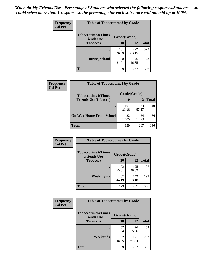| <b>Frequency</b> | <b>Table of Tobaccotime3 by Grade</b>           |              |              |              |  |
|------------------|-------------------------------------------------|--------------|--------------|--------------|--|
| <b>Col Pct</b>   | <b>Tobaccotime3(Times</b><br><b>Friends Use</b> | Grade(Grade) |              |              |  |
|                  | <b>Tobacco</b> )                                | 10           | 12           | <b>Total</b> |  |
|                  |                                                 | 101<br>78.29 | 222<br>83.15 | 323          |  |
|                  | <b>During School</b>                            | 28<br>21.71  | 45<br>16.85  | 73           |  |
|                  | <b>Total</b>                                    | 129          | 267          | 396          |  |

| <b>Frequency</b><br><b>Col Pct</b> | <b>Table of Tobaccotime4 by Grade</b> |              |              |              |  |
|------------------------------------|---------------------------------------|--------------|--------------|--------------|--|
|                                    | <b>Tobaccotime4(Times</b>             | Grade(Grade) |              |              |  |
|                                    | <b>Friends Use Tobacco)</b>           | 10           | 12           | <b>Total</b> |  |
|                                    |                                       | 107<br>82.95 | 233<br>87.27 | 340          |  |
|                                    | <b>On Way Home From School</b>        | 22<br>17.05  | 34<br>12.73  | 56           |  |
|                                    | <b>Total</b>                          | 129          | 267          | 396          |  |

| Frequency      | <b>Table of Tobaccotime5 by Grade</b>           |              |              |              |
|----------------|-------------------------------------------------|--------------|--------------|--------------|
| <b>Col Pct</b> | <b>Tobaccotime5(Times</b><br><b>Friends Use</b> | Grade(Grade) |              |              |
|                | <b>Tobacco</b> )                                | <b>10</b>    | 12           | <b>Total</b> |
|                |                                                 | 72<br>55.81  | 125<br>46.82 | 197          |
|                | Weeknights                                      | 57<br>44.19  | 142<br>53.18 | 199          |
|                | <b>Total</b>                                    | 129          | 267          | 396          |

| Frequency<br><b>Col Pct</b> | <b>Table of Tobaccotime6 by Grade</b>           |              |              |              |  |
|-----------------------------|-------------------------------------------------|--------------|--------------|--------------|--|
|                             | <b>Tobaccotime6(Times</b><br><b>Friends Use</b> | Grade(Grade) |              |              |  |
|                             | <b>Tobacco</b> )                                | 10           | 12           | <b>Total</b> |  |
|                             | ٠                                               | 67<br>51.94  | 96<br>35.96  | 163          |  |
|                             | Weekends                                        | 62<br>48.06  | 171<br>64.04 | 233          |  |
|                             | <b>Total</b>                                    | 129          | 267          | 396          |  |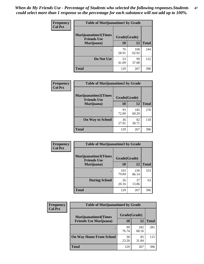| Frequency      | <b>Table of Marijuanatime1 by Grade</b>           |              |              |              |
|----------------|---------------------------------------------------|--------------|--------------|--------------|
| <b>Col Pct</b> | <b>Marijuanatime1(Times</b><br><b>Friends Use</b> | Grade(Grade) |              |              |
|                | Marijuana)                                        | 10           | 12           | <b>Total</b> |
|                |                                                   | 76<br>58.91  | 168<br>62.92 | 244          |
|                | Do Not Use                                        | 53<br>41.09  | 99<br>37.08  | 152          |
|                | <b>Total</b>                                      | 129          | 267          | 396          |

| Frequency      | <b>Table of Marijuanatime2 by Grade</b>           |              |              |              |
|----------------|---------------------------------------------------|--------------|--------------|--------------|
| <b>Col Pct</b> | <b>Marijuanatime2(Times</b><br><b>Friends Use</b> | Grade(Grade) |              |              |
|                | Marijuana)                                        | 10           | 12           | <b>Total</b> |
|                |                                                   | 93<br>72.09  | 185<br>69.29 | 278          |
|                | <b>On Way to School</b>                           | 36<br>27.91  | 82<br>30.71  | 118          |
|                | <b>Total</b>                                      | 129          | 267          | 396          |

| Frequency<br><b>Col Pct</b> | <b>Table of Marijuanatime3 by Grade</b>    |              |              |              |  |
|-----------------------------|--------------------------------------------|--------------|--------------|--------------|--|
|                             | Marijuanatime3(Times<br><b>Friends Use</b> | Grade(Grade) |              |              |  |
|                             | Marijuana)                                 | 10           | 12           | <b>Total</b> |  |
|                             |                                            | 103<br>79.84 | 230<br>86.14 | 333          |  |
|                             | <b>During School</b>                       | 26<br>20.16  | 37<br>13.86  | 63           |  |
|                             | Total                                      | 129          | 267          | 396          |  |

| <b>Frequency</b> | <b>Table of Marijuanatime4 by Grade</b> |              |              |              |
|------------------|-----------------------------------------|--------------|--------------|--------------|
| <b>Col Pct</b>   | <b>Marijuanatime4</b> (Times            | Grade(Grade) |              |              |
|                  | <b>Friends Use Marijuana</b> )          | 10           | 12           | <b>Total</b> |
|                  |                                         | 99<br>76.74  | 182<br>68.16 | 281          |
|                  | <b>On Way Home From School</b>          | 30<br>23.26  | 85<br>31.84  | 115          |
|                  | <b>Total</b>                            | 129          | 267          | 396          |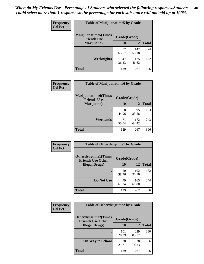| Frequency      | <b>Table of Marijuanatime5 by Grade</b>            |              |              |              |  |
|----------------|----------------------------------------------------|--------------|--------------|--------------|--|
| <b>Col Pct</b> | <b>Marijuanatime5</b> (Times<br><b>Friends Use</b> | Grade(Grade) |              |              |  |
|                | Marijuana)                                         | 10           | 12           | <b>Total</b> |  |
|                |                                                    | 82<br>63.57  | 142<br>53.18 | 224          |  |
|                | Weeknights                                         | 47<br>36.43  | 125<br>46.82 | 172          |  |
|                | <b>Total</b>                                       | 129          | 267          | 396          |  |

|                             | <b>Table of Marijuanatime6 by Grade</b>            |              |              |              |  |
|-----------------------------|----------------------------------------------------|--------------|--------------|--------------|--|
| Frequency<br><b>Col Pct</b> |                                                    |              |              |              |  |
|                             | <b>Marijuanatime6</b> (Times<br><b>Friends Use</b> | Grade(Grade) |              |              |  |
|                             | Marijuana)                                         | 10           | 12           | <b>Total</b> |  |
|                             |                                                    | 58<br>44.96  | 95<br>35.58  | 153          |  |
|                             | Weekends                                           | 71<br>55.04  | 172<br>64.42 | 243          |  |
|                             | <b>Total</b>                                       | 129          | 267          | 396          |  |

| Frequency      | <b>Table of Otherdrugtime1 by Grade</b>                 |              |              |              |  |
|----------------|---------------------------------------------------------|--------------|--------------|--------------|--|
| <b>Col Pct</b> | <b>Otherdrugtime1(Times</b><br><b>Friends Use Other</b> | Grade(Grade) |              |              |  |
|                | <b>Illegal Drugs</b> )                                  | 10           | 12           | <b>Total</b> |  |
|                |                                                         | 50<br>38.76  | 102<br>38.20 | 152          |  |
|                | Do Not Use                                              | 79<br>61.24  | 165<br>61.80 | 244          |  |
|                | Total                                                   | 129          | 267          | 396          |  |

| Frequency      | <b>Table of Otherdrugtime2 by Grade</b>                 |              |              |              |
|----------------|---------------------------------------------------------|--------------|--------------|--------------|
| <b>Col Pct</b> | <b>Otherdrugtime2(Times</b><br><b>Friends Use Other</b> | Grade(Grade) |              |              |
|                | <b>Illegal Drugs</b> )                                  | 10           | 12           | <b>Total</b> |
|                |                                                         | 101<br>78.29 | 229<br>85.77 | 330          |
|                | <b>On Way to School</b>                                 | 28<br>21.71  | 38<br>14.23  | 66           |
|                | Total                                                   | 129          | 267          | 396          |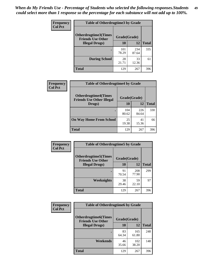| <b>Frequency</b> | <b>Table of Otherdrugtime3 by Grade</b>          |              |              |              |  |
|------------------|--------------------------------------------------|--------------|--------------|--------------|--|
| <b>Col Pct</b>   | Otherdrugtime3(Times<br><b>Friends Use Other</b> | Grade(Grade) |              |              |  |
|                  | <b>Illegal Drugs</b> )                           | 10           | 12           | <b>Total</b> |  |
|                  |                                                  | 101<br>78.29 | 234<br>87.64 | 335          |  |
|                  | <b>During School</b>                             | 28<br>21.71  | 33<br>12.36  | 61           |  |
|                  | <b>Total</b>                                     | 129          | 267          | 396          |  |

| Frequency      | <b>Table of Otherdrugtime4 by Grade</b>                         |              |              |              |
|----------------|-----------------------------------------------------------------|--------------|--------------|--------------|
| <b>Col Pct</b> | <b>Otherdrugtime4(Times</b><br><b>Friends Use Other Illegal</b> | Grade(Grade) |              |              |
|                | Drugs)                                                          | 10           | 12           | <b>Total</b> |
|                |                                                                 | 104<br>80.62 | 226<br>84.64 | 330          |
|                | <b>On Way Home From School</b>                                  | 25<br>19.38  | 41<br>15.36  | 66           |
|                | <b>Total</b>                                                    | 129          | 267          | 396          |

| <b>Frequency</b> | <b>Table of Otherdrugtime5 by Grade</b>                  |              |              |              |  |  |
|------------------|----------------------------------------------------------|--------------|--------------|--------------|--|--|
| <b>Col Pct</b>   | <b>Otherdrugtime5</b> (Times<br><b>Friends Use Other</b> | Grade(Grade) |              |              |  |  |
|                  | <b>Illegal Drugs</b> )                                   | 10           | 12           | <b>Total</b> |  |  |
|                  |                                                          | 91<br>70.54  | 208<br>77.90 | 299          |  |  |
|                  | Weeknights                                               | 38<br>29.46  | 59<br>22.10  | 97           |  |  |
|                  | Total                                                    | 129          | 267          | 396          |  |  |

| Frequency      | <b>Table of Otherdrugtime6 by Grade</b>                 |              |              |              |  |  |
|----------------|---------------------------------------------------------|--------------|--------------|--------------|--|--|
| <b>Col Pct</b> | <b>Otherdrugtime6(Times</b><br><b>Friends Use Other</b> | Grade(Grade) |              |              |  |  |
|                | <b>Illegal Drugs</b> )                                  | 10           | 12           | <b>Total</b> |  |  |
|                |                                                         | 83<br>64.34  | 165<br>61.80 | 248          |  |  |
|                | Weekends                                                | 46<br>35.66  | 102<br>38.20 | 148          |  |  |
|                | <b>Total</b>                                            | 129          | 267          | 396          |  |  |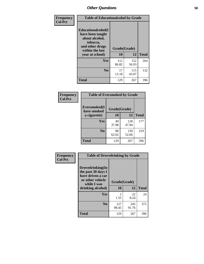| Frequency      | <b>Table of Educationalcohol by Grade</b>                                                                  |              |              |              |  |
|----------------|------------------------------------------------------------------------------------------------------------|--------------|--------------|--------------|--|
| <b>Col Pct</b> | Educationalcohol(I<br>have been taught<br>about alcohol,<br>tobacco,<br>and other drugs<br>within the last | Grade(Grade) |              |              |  |
|                | year at school)                                                                                            | 10           | 12           | <b>Total</b> |  |
|                | Yes                                                                                                        | 112<br>86.82 | 152<br>56.93 | 264          |  |
|                | N <sub>0</sub>                                                                                             | 17<br>13.18  | 115<br>43.07 | 132          |  |
|                | <b>Total</b>                                                                                               | 129          | 267          | 396          |  |

| Frequency      | <b>Table of Eversmoked by Grade</b> |              |              |              |  |  |  |
|----------------|-------------------------------------|--------------|--------------|--------------|--|--|--|
| <b>Col Pct</b> | Eversmoked(I<br>have smoked         | Grade(Grade) |              |              |  |  |  |
|                | a cigarette)                        | 10           | 12           | <b>Total</b> |  |  |  |
|                | Yes                                 | 49<br>37.98  | 128<br>47.94 | 177          |  |  |  |
|                | N <sub>0</sub>                      | 80<br>62.02  | 139<br>52.06 | 219          |  |  |  |
|                | <b>Total</b>                        | 129          | 267          | 396          |  |  |  |

| Frequency      | <b>Table of Drovedrinking by Grade</b>                                                                              |                    |              |              |  |  |
|----------------|---------------------------------------------------------------------------------------------------------------------|--------------------|--------------|--------------|--|--|
| <b>Col Pct</b> | Drovedrinking(In<br>the past 30 days I<br>have driven a car<br>or other vehicle<br>while I was<br>drinking alcohol) | Grade(Grade)<br>10 | 12           | <b>Total</b> |  |  |
|                | Yes                                                                                                                 | 2<br>1.55          | 22<br>8.24   | 24           |  |  |
|                | N <sub>0</sub>                                                                                                      | 127<br>98.45       | 245<br>91.76 | 372          |  |  |
|                | <b>Total</b>                                                                                                        | 129                | 267          | 396          |  |  |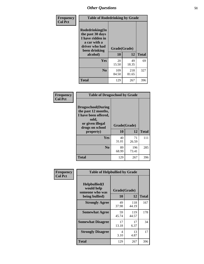| Frequency<br><b>Col Pct</b> | <b>Table of Rodedrinking by Grade</b>                                                                                  |                    |              |              |
|-----------------------------|------------------------------------------------------------------------------------------------------------------------|--------------------|--------------|--------------|
|                             | Rodedrinking(In<br>the past 30 days<br>I have ridden in<br>a car with a<br>driver who had<br>been drinking<br>alcohol) | Grade(Grade)<br>10 | 12           | <b>Total</b> |
|                             | Yes                                                                                                                    | 20<br>15.50        | 49<br>18.35  | 69           |
|                             | N <sub>0</sub>                                                                                                         | 109<br>84.50       | 218<br>81.65 | 327          |
|                             | <b>Total</b>                                                                                                           | 129                | 267          | 396          |

#### **Frequency Col Pct**

| <b>Table of Drugsschool by Grade</b>                                                                              |              |              |              |  |  |
|-------------------------------------------------------------------------------------------------------------------|--------------|--------------|--------------|--|--|
| Drugsschool(During<br>the past 12 months,<br>I have been offered,<br>sold,<br>or given illegal<br>drugs on school | Grade(Grade) |              |              |  |  |
| property)                                                                                                         | 10           | 12           | <b>Total</b> |  |  |
| Yes                                                                                                               | 40<br>31.01  | 71<br>26.59  | 111          |  |  |
| N <sub>0</sub>                                                                                                    | 89<br>68.99  | 196<br>73.41 | 285          |  |  |
| <b>Total</b>                                                                                                      | 129          | 267          | 396          |  |  |

| Frequency      | <b>Table of Helpbullied by Grade</b>                                   |                    |              |     |
|----------------|------------------------------------------------------------------------|--------------------|--------------|-----|
| <b>Col Pct</b> | $Helpb$ ullied $(I$<br>would help<br>someone who was<br>being bullied) | Grade(Grade)<br>10 | <b>Total</b> |     |
|                |                                                                        |                    | 12           |     |
|                | <b>Strongly Agree</b>                                                  | 49<br>37.98        | 118<br>44.19 | 167 |
|                | <b>Somewhat Agree</b>                                                  | 59<br>45.74        | 119<br>44.57 | 178 |
|                | <b>Somewhat Disagree</b>                                               | 17<br>13.18        | 17<br>6.37   | 34  |
|                | <b>Strongly Disagree</b>                                               | 4<br>3.10          | 13<br>4.87   | 17  |
|                | <b>Total</b>                                                           | 129                | 267          | 396 |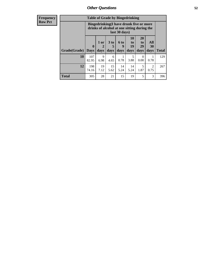| <b>Frequency</b> | <b>Table of Grade by Bingedrinking</b> |                                 |                                                                                                         |                   |                          |                               |                               |                        |              |
|------------------|----------------------------------------|---------------------------------|---------------------------------------------------------------------------------------------------------|-------------------|--------------------------|-------------------------------|-------------------------------|------------------------|--------------|
| <b>Row Pct</b>   |                                        |                                 | Bingedrinking(I have drunk five or more<br>drinks of alcohol at one sitting during the<br>last 30 days) |                   |                          |                               |                               |                        |              |
|                  | Grade(Grade)                           | $\boldsymbol{0}$<br><b>Days</b> | $1$ or<br>2<br>days                                                                                     | 3 to<br>5<br>days | <b>6 to</b><br>9<br>days | <b>10</b><br>to<br>19<br>days | <b>20</b><br>to<br>29<br>days | All<br>30<br>days      | <b>Total</b> |
|                  | 10                                     | 107<br>82.95                    | 9<br>6.98                                                                                               | 6<br>4.65         | 0.78                     | 5<br>3.88                     | 0<br>0.00                     | 0.78                   | 129          |
|                  | 12                                     | 198<br>74.16                    | 19<br>7.12                                                                                              | 15<br>5.62        | 14<br>5.24               | 14<br>5.24                    | 5<br>1.87                     | $\overline{2}$<br>0.75 | 267          |
|                  | <b>Total</b>                           | 305                             | 28                                                                                                      | 21                | 15                       | 19                            | 5                             | 3                      | 396          |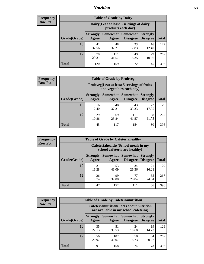## *Nutrition* **53**

| <b>Frequency</b><br>Row Pct |
|-----------------------------|
|                             |

| <b>Table of Grade by Dairy</b> |                          |                                                                 |                             |                                    |              |  |  |
|--------------------------------|--------------------------|-----------------------------------------------------------------|-----------------------------|------------------------------------|--------------|--|--|
|                                |                          | Dairy (I eat at least 3 servings of dairy<br>products each day) |                             |                                    |              |  |  |
| Grade(Grade)                   | <b>Strongly</b><br>Agree | <b>Somewhat</b><br>Agree                                        | <b>Somewhat</b><br>Disagree | <b>Strongly</b><br><b>Disagree</b> | <b>Total</b> |  |  |
| 10                             | 42<br>32.56              | 48<br>37.21                                                     | 23<br>17.83                 | 16<br>12.40                        | 129          |  |  |
| 12                             | 78<br>29.21              | 111<br>41.57                                                    | 49<br>18.35                 | 29<br>10.86                        | 267          |  |  |
| <b>Total</b>                   | 120                      | 159                                                             | 72                          | 45                                 | 396          |  |  |

| <b>Frequency</b> |  |
|------------------|--|
| <b>Row Pct</b>   |  |

| <b>Table of Grade by Fruitveg</b> |                                                                          |                   |                             |                                    |              |  |
|-----------------------------------|--------------------------------------------------------------------------|-------------------|-----------------------------|------------------------------------|--------------|--|
|                                   | Fruitveg(I eat at least 5 servings of fruits<br>and vegetables each day) |                   |                             |                                    |              |  |
| Grade(Grade)                      | <b>Strongly</b><br>Agree                                                 | Somewhat<br>Agree | <b>Somewhat</b><br>Disagree | <b>Strongly</b><br><b>Disagree</b> | <b>Total</b> |  |
| 10                                | 16<br>12.40                                                              | 48<br>37.21       | 43<br>33.33                 | 22<br>17.05                        | 129          |  |
| 12                                | 29<br>10.86                                                              | 69<br>25.84       | 111<br>41.57                | 58<br>21.72                        | 267          |  |
| <b>Total</b>                      | 45                                                                       | 117               | 154                         | 80                                 | 396          |  |

| <b>Frequency</b> | <b>Table of Grade by Cafeteriahealthy</b> |                                                                       |                   |                             |                                    |              |  |  |  |
|------------------|-------------------------------------------|-----------------------------------------------------------------------|-------------------|-----------------------------|------------------------------------|--------------|--|--|--|
| <b>Row Pct</b>   |                                           | Cafeteriahealthy (School meals in my<br>school cafeteria are healthy) |                   |                             |                                    |              |  |  |  |
|                  | Grade(Grade)                              | <b>Strongly</b><br>Agree                                              | Somewhat<br>Agree | Somewhat<br><b>Disagree</b> | <b>Strongly</b><br><b>Disagree</b> | <b>Total</b> |  |  |  |
|                  | 10                                        | 21<br>16.28                                                           | 53<br>41.09       | 34<br>26.36                 | 21<br>16.28                        | 129          |  |  |  |
|                  | 12                                        | 26<br>9.74                                                            | 99<br>37.08       | 77<br>28.84                 | 65<br>24.34                        | 267          |  |  |  |
|                  | <b>Total</b>                              | 47                                                                    | 152               | 111                         | 86                                 | 396          |  |  |  |

| <b>Frequency</b> |
|------------------|
| <b>Row Pct</b>   |

| <b>Table of Grade by Cafeterianutrition</b> |                                                                                           |                     |                             |                                    |              |  |  |
|---------------------------------------------|-------------------------------------------------------------------------------------------|---------------------|-----------------------------|------------------------------------|--------------|--|--|
|                                             | <b>Cafeterianutrition</b> (Facts about nutrition<br>are available in my school cafeteria) |                     |                             |                                    |              |  |  |
| Grade(Grade)                                | <b>Strongly</b><br>Agree                                                                  | Somewhat  <br>Agree | <b>Somewhat</b><br>Disagree | <b>Strongly</b><br><b>Disagree</b> | <b>Total</b> |  |  |
| 10                                          | 35<br>27.13                                                                               | 51<br>39.53         | 24<br>18.60                 | 19<br>14.73                        | 129          |  |  |
| 12                                          | 56<br>20.97                                                                               | 107<br>40.07        | 50<br>18.73                 | 54<br>20.22                        | 267          |  |  |
| <b>Total</b>                                | 91                                                                                        | 158                 | 74                          | 73                                 | 396          |  |  |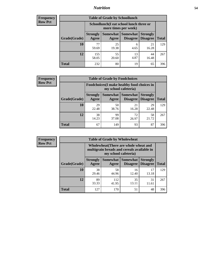## *Nutrition* **54**

| Frequency |
|-----------|
| Row Pct   |

| <b>Table of Grade by Schoollunch</b> |                                                                                                                                      |                                                                 |            |             |     |  |  |
|--------------------------------------|--------------------------------------------------------------------------------------------------------------------------------------|-----------------------------------------------------------------|------------|-------------|-----|--|--|
|                                      |                                                                                                                                      | Schoollunch(I eat school lunch three or<br>more times per week) |            |             |     |  |  |
| Grade(Grade)                         | Somewhat  <br><b>Somewhat</b><br><b>Strongly</b><br><b>Strongly</b><br><b>Disagree</b><br>Disagree<br>Agree<br><b>Total</b><br>Agree |                                                                 |            |             |     |  |  |
| 10                                   | 77<br>59.69                                                                                                                          | 25<br>19.38                                                     | 6<br>4.65  | 21<br>16.28 | 129 |  |  |
| 12                                   | 155<br>58.05                                                                                                                         | 55<br>20.60                                                     | 13<br>4.87 | 44<br>16.48 | 267 |  |  |
| <b>Total</b>                         | 232                                                                                                                                  | 80                                                              | 19         | 65          | 396 |  |  |

| <b>Frequency</b> |  |
|------------------|--|
| <b>Row Pct</b>   |  |

| <b>Table of Grade by Foodchoices</b> |                                                                            |             |                               |                                    |              |  |
|--------------------------------------|----------------------------------------------------------------------------|-------------|-------------------------------|------------------------------------|--------------|--|
|                                      | <b>Foodchoices</b> (I make healthy food choices in<br>my school cafeteria) |             |                               |                                    |              |  |
| Grade(Grade)                         | <b>Strongly</b><br>Agree                                                   | Agree       | Somewhat Somewhat<br>Disagree | <b>Strongly</b><br><b>Disagree</b> | <b>Total</b> |  |
| 10                                   | 29<br>22.48                                                                | 50<br>38.76 | 21<br>16.28                   | 29<br>22.48                        | 129          |  |
| 12                                   | 38<br>14.23                                                                | 99<br>37.08 | 72<br>26.97                   | 58<br>21.72                        | 267          |  |
| <b>Total</b>                         | 67                                                                         | 149         | 93                            | 87                                 | 396          |  |

| <b>Frequency</b> | <b>Table of Grade by Wholewheat</b> |                                                                                                             |                     |                             |                                    |              |  |  |  |
|------------------|-------------------------------------|-------------------------------------------------------------------------------------------------------------|---------------------|-----------------------------|------------------------------------|--------------|--|--|--|
| <b>Row Pct</b>   |                                     | Wholewheat (There are whole wheat and<br>multigrain breads and cereals available in<br>my school cafeteria) |                     |                             |                                    |              |  |  |  |
|                  | Grade(Grade)                        | <b>Strongly</b><br>Agree                                                                                    | Somewhat  <br>Agree | Somewhat<br><b>Disagree</b> | <b>Strongly</b><br><b>Disagree</b> | <b>Total</b> |  |  |  |
|                  | 10                                  | 38<br>29.46                                                                                                 | 58<br>44.96         | 16<br>12.40                 | 17<br>13.18                        | 129          |  |  |  |
|                  | 12                                  | 89<br>33.33                                                                                                 | 112<br>41.95        | 35<br>13.11                 | 31<br>11.61                        | 267          |  |  |  |
|                  | <b>Total</b>                        | 127                                                                                                         | 170                 | 51                          | 48                                 | 396          |  |  |  |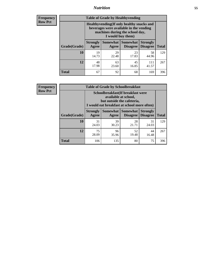## *Nutrition* **55**

**Frequency Row Pct**

| <b>Table of Grade by Healthyvending</b> |                                                                                                                                               |                          |                                    |                                    |              |  |  |  |
|-----------------------------------------|-----------------------------------------------------------------------------------------------------------------------------------------------|--------------------------|------------------------------------|------------------------------------|--------------|--|--|--|
|                                         | Healthyvending (If only healthy snacks and<br>beverages were available in the vending<br>machines during the school day,<br>I would buy them) |                          |                                    |                                    |              |  |  |  |
| Grade(Grade)                            | <b>Strongly</b><br>Agree                                                                                                                      | <b>Somewhat</b><br>Agree | <b>Somewhat</b><br><b>Disagree</b> | <b>Strongly</b><br><b>Disagree</b> | <b>Total</b> |  |  |  |
| 10                                      | 19<br>14.73                                                                                                                                   | 29<br>22.48              | 23<br>17.83                        | 58<br>44.96                        | 129          |  |  |  |
| 12                                      | 48<br>17.98                                                                                                                                   | 63<br>23.60              | 45<br>16.85                        | 111<br>41.57                       | 267          |  |  |  |
| <b>Total</b>                            | 67                                                                                                                                            | 92                       | 68                                 | 169                                | 396          |  |  |  |

**Frequency Row Pct**

| <b>Table of Grade by Schoolbreakfast</b> |                                                                                                                                         |             |                                 |                                    |              |  |  |  |
|------------------------------------------|-----------------------------------------------------------------------------------------------------------------------------------------|-------------|---------------------------------|------------------------------------|--------------|--|--|--|
|                                          | Schoolbreakfast (If breakfast were<br>available at school,<br>but outside the cafeteria,<br>I would eat breakfast at school more often) |             |                                 |                                    |              |  |  |  |
| Grade(Grade)                             | <b>Strongly</b><br>Agree                                                                                                                | Agree       | Somewhat   Somewhat<br>Disagree | <b>Strongly</b><br><b>Disagree</b> | <b>Total</b> |  |  |  |
| <b>10</b>                                | 31<br>24.03                                                                                                                             | 39<br>30.23 | 28<br>21.71                     | 31<br>24.03                        | 129          |  |  |  |
| 12                                       | 75<br>28.09                                                                                                                             | 96<br>35.96 | 52<br>19.48                     | 44<br>16.48                        | 267          |  |  |  |
| <b>Total</b>                             | 106                                                                                                                                     | 135         | 80                              | 75                                 | 396          |  |  |  |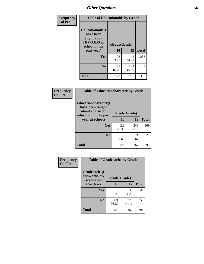| Frequency<br><b>Col Pct</b> | <b>Table of Educationaids by Grade</b>                                                                    |                    |              |     |  |  |  |
|-----------------------------|-----------------------------------------------------------------------------------------------------------|--------------------|--------------|-----|--|--|--|
|                             | <b>Educationaids</b> (I<br>have been<br>taught about<br><b>HIV/AIDS</b> at<br>school in the<br>past year) | Grade(Grade)<br>10 | <b>Total</b> |     |  |  |  |
|                             | Yes                                                                                                       | 108<br>83.72       | 145<br>54.31 | 253 |  |  |  |
|                             | N <sub>0</sub>                                                                                            | 21<br>16.28        | 122<br>45.69 | 143 |  |  |  |
|                             | <b>Total</b>                                                                                              | 129                | 267          | 396 |  |  |  |

| <b>Frequency</b> | <b>Table of Educationcharacter by Grade</b>                                          |              |              |              |
|------------------|--------------------------------------------------------------------------------------|--------------|--------------|--------------|
| <b>Col Pct</b>   | Educationcharacter(I<br>have been taught<br>about character<br>education in the past | Grade(Grade) |              |              |
|                  | year at school)                                                                      | 10           | 12           | <b>Total</b> |
|                  | <b>Yes</b>                                                                           | 123<br>95.35 | 246<br>92.13 | 369          |
|                  | N <sub>0</sub>                                                                       | 6<br>4.65    | 21<br>7.87   | 27           |
|                  | <b>Total</b>                                                                         | 129          | 267          | 396          |

| Frequency      | <b>Table of Gradcoach1 by Grade</b>              |              |              |              |  |
|----------------|--------------------------------------------------|--------------|--------------|--------------|--|
| <b>Col Pct</b> | Gradcoach1(I<br>know who my<br><b>Graduation</b> | Grade(Grade) |              |              |  |
|                | Coach is)                                        | 10           | 12           | <b>Total</b> |  |
|                | Yes                                              | 8<br>6.20    | 38<br>14.23  | 46           |  |
|                | N <sub>0</sub>                                   | 121<br>93.80 | 229<br>85.77 | 350          |  |
|                | <b>Total</b>                                     | 129          | 267          | 396          |  |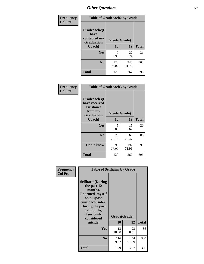| Frequency      | <b>Table of Gradcoach2 by Grade</b> |              |              |              |
|----------------|-------------------------------------|--------------|--------------|--------------|
| <b>Col Pct</b> |                                     |              |              |              |
|                | Gradcoach2(I<br>have                |              |              |              |
|                | contacted my<br><b>Graduation</b>   | Grade(Grade) |              |              |
|                | Coach)                              | 10           | 12           | <b>Total</b> |
|                | Yes                                 | 9<br>6.98    | 22<br>8.24   | 31           |
|                | N <sub>0</sub>                      | 120<br>93.02 | 245<br>91.76 | 365          |
|                | <b>Total</b>                        | 129          | 267          | 396          |

| <b>Frequency</b><br><b>Col Pct</b> | <b>Table of Gradcoach3 by Grade</b>                                         |              |              |              |
|------------------------------------|-----------------------------------------------------------------------------|--------------|--------------|--------------|
|                                    | Gradcoach3(I<br>have received<br>assistance<br>from my<br><b>Graduation</b> | Grade(Grade) |              |              |
|                                    | Coach)                                                                      | 10           | 12           | <b>Total</b> |
|                                    | Yes                                                                         | 5<br>3.88    | 15<br>5.62   | 20           |
|                                    | N <sub>0</sub>                                                              | 26<br>20.16  | 60<br>22.47  | 86           |
|                                    | Don't know                                                                  | 98<br>75.97  | 192<br>71.91 | 290          |
|                                    | <b>Total</b>                                                                | 129          | 267          | 396          |

| Frequency<br><b>Col Pct</b> | <b>Table of Selfharm by Grade</b>                                                                                                                                          |              |              |              |
|-----------------------------|----------------------------------------------------------------------------------------------------------------------------------------------------------------------------|--------------|--------------|--------------|
|                             | <b>Selfharm</b> (During<br>the past 12<br>months,<br>I harmed myself<br>on purpose<br><b>Suicideconsider</b><br>During the past<br>12 months,<br>I seriously<br>considered |              | Grade(Grade) |              |
|                             | suicide)                                                                                                                                                                   | 10           | 12           | <b>Total</b> |
|                             | <b>Yes</b>                                                                                                                                                                 | 13<br>10.08  | 23<br>8.61   | 36           |
|                             | N <sub>0</sub>                                                                                                                                                             | 116<br>89.92 | 244<br>91.39 | 360          |
|                             | <b>Total</b>                                                                                                                                                               | 129          | 267          | 396          |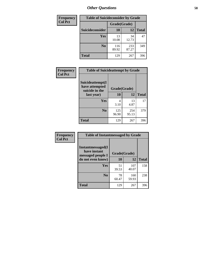| <b>Frequency</b> | <b>Table of Suicideconsider by Grade</b> |              |              |              |  |
|------------------|------------------------------------------|--------------|--------------|--------------|--|
| <b>Col Pct</b>   |                                          | Grade(Grade) |              |              |  |
|                  | Suicideconsider                          | <b>10</b>    | 12           | <b>Total</b> |  |
|                  | <b>Yes</b>                               | 13<br>10.08  | 34<br>12.73  | 47           |  |
|                  | N <sub>0</sub>                           | 116<br>89.92 | 233<br>87.27 | 349          |  |
|                  | <b>Total</b>                             | 129          | 267          | 396          |  |

| Frequency      | <b>Table of Suicideattempt by Grade</b>              |              |              |              |
|----------------|------------------------------------------------------|--------------|--------------|--------------|
| <b>Col Pct</b> | Suicideattempt(I<br>have attempted<br>suicide in the | Grade(Grade) |              |              |
|                | last year)                                           | 10           | 12           | <b>Total</b> |
|                | Yes                                                  | 4<br>3.10    | 13<br>4.87   | 17           |
|                | N <sub>0</sub>                                       | 125<br>96.90 | 254<br>95.13 | 379          |
|                | <b>Total</b>                                         | 129          | 267          | 396          |

| Frequency      | <b>Table of Instantmessaged by Grade</b>               |              |              |              |
|----------------|--------------------------------------------------------|--------------|--------------|--------------|
| <b>Col Pct</b> | Instantmessaged(I<br>have instant<br>messaged people I | Grade(Grade) |              |              |
|                | do not even know)                                      | 10           | 12           | <b>Total</b> |
|                | Yes                                                    | 51<br>39.53  | 107<br>40.07 | 158          |
|                | N <sub>0</sub>                                         | 78<br>60.47  | 160<br>59.93 | 238          |
|                | <b>Total</b>                                           | 129          | 267          | 396          |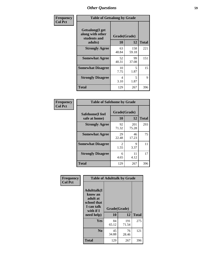| Frequency      | <b>Table of Getsalong by Grade</b>                                     |                    |              |              |  |
|----------------|------------------------------------------------------------------------|--------------------|--------------|--------------|--|
| <b>Col Pct</b> | <b>Getsalong</b> (I get<br>along with other<br>students and<br>adults) | Grade(Grade)<br>10 | 12           | <b>Total</b> |  |
|                | <b>Strongly Agree</b>                                                  | 63<br>48.84        | 158<br>59.18 | 221          |  |
|                | <b>Somewhat Agree</b>                                                  | 52<br>40.31        | 99<br>37.08  | 151          |  |
|                | <b>Somewhat Disagree</b>                                               | 10<br>7.75         | 5<br>1.87    | 15           |  |
|                | <b>Strongly Disagree</b>                                               | 4<br>3.10          | 5<br>1.87    | 9            |  |
|                | <b>Total</b>                                                           | 129                | 267          | 396          |  |

| Frequency      | <b>Table of Safehome by Grade</b> |                           |              |              |  |
|----------------|-----------------------------------|---------------------------|--------------|--------------|--|
| <b>Col Pct</b> | Safehome(I feel<br>safe at home)  | Grade(Grade)<br><b>10</b> | 12           | <b>Total</b> |  |
|                | <b>Strongly Agree</b>             | 92<br>71.32               | 201<br>75.28 | 293          |  |
|                | <b>Somewhat Agree</b>             | 29<br>22.48               | 46<br>17.23  | 75           |  |
|                | <b>Somewhat Disagree</b>          | 2<br>1.55                 | 9<br>3.37    | 11           |  |
|                | <b>Strongly Disagree</b>          | 6<br>4.65                 | 11<br>4.12   | 17           |  |
|                | <b>Total</b>                      | 129                       | 267          | 396          |  |

| Frequency      | <b>Table of Adulttalk by Grade</b>                                                                 |                    |              |              |  |
|----------------|----------------------------------------------------------------------------------------------------|--------------------|--------------|--------------|--|
| <b>Col Pct</b> | <b>Adulttalk</b> (I<br>know an<br>adult at<br>school that<br>I can talk<br>with if I<br>need help) | Grade(Grade)<br>10 | 12           | <b>Total</b> |  |
|                | <b>Yes</b>                                                                                         | 84<br>65.12        | 191<br>71.54 | 275          |  |
|                | N <sub>0</sub>                                                                                     | 45<br>34.88        | 76<br>28.46  | 121          |  |
|                | <b>Total</b>                                                                                       | 129                | 267          | 396          |  |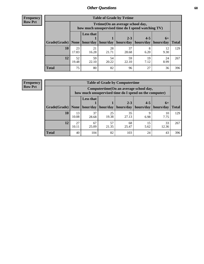**Frequency Row Pct**

| <b>Table of Grade by Tytime</b> |             |                                                                                         |             |                                                |            |            |              |
|---------------------------------|-------------|-----------------------------------------------------------------------------------------|-------------|------------------------------------------------|------------|------------|--------------|
|                                 |             | Tvtime (On an average school day,<br>how much unsupervised time do I spend watching TV) |             |                                                |            |            |              |
|                                 |             | <b>Less that</b>                                                                        |             |                                                |            |            |              |
| Grade(Grade)   None             |             | hour/day                                                                                | hour/day    | $2 - 3$<br>  hours/day   hours/day   hours/day | $4 - 5$    | $6+$       | <b>Total</b> |
| 10                              | 23<br>17.83 | 21<br>16.28                                                                             | 28<br>21.71 | 37<br>28.68                                    | 8<br>6.20  | 12<br>9.30 | 129          |
| 12                              | 52<br>19.48 | 59<br>22.10                                                                             | 54<br>20.22 | 59<br>22.10                                    | 19<br>7.12 | 24<br>8.99 | 267          |
| <b>Total</b>                    | 75          | 80                                                                                      | 82          | 96                                             | 27         | 36         | 396          |

**Frequency Row Pct**

| <b>Table of Grade by Computertime</b> |             |                                                                                                                               |             |             |           |            |     |  |  |
|---------------------------------------|-------------|-------------------------------------------------------------------------------------------------------------------------------|-------------|-------------|-----------|------------|-----|--|--|
|                                       |             | Computertime (On an average school day,<br>how much unsupervised time do I spend on the computer)                             |             |             |           |            |     |  |  |
| Grade(Grade)                          | None $ $    | <b>Less that</b><br>$2 - 3$<br>$4 - 5$<br>$6+$<br>hours/day<br>hours/day<br>hour/day<br>hour/day<br>hours/day<br><b>Total</b> |             |             |           |            |     |  |  |
| <b>10</b>                             | 13<br>10.08 | 37<br>28.68                                                                                                                   | 25<br>19.38 | 35<br>27.13 | Q<br>6.98 | 10<br>7.75 | 129 |  |  |
| 12                                    | 27<br>10.11 | 57<br>67<br>33<br>68<br>15<br>25.09<br>21.35<br>12.36<br>25.47<br>5.62                                                        |             |             |           |            |     |  |  |
| <b>Total</b>                          | 40          | 104                                                                                                                           | 82          | 103         | 24        | 43         | 396 |  |  |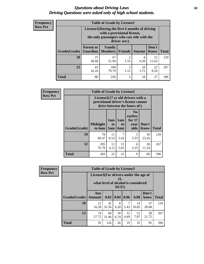### *Questions about Driving Laws* **61** *Driving Questions were asked only of high school students.*

| <b>Frequency</b> |
|------------------|
| <b>Row Pct</b>   |

| <b>Table of Grade by License1</b> |                  |                                                                                                                                           |                        |            |               |              |  |  |  |
|-----------------------------------|------------------|-------------------------------------------------------------------------------------------------------------------------------------------|------------------------|------------|---------------|--------------|--|--|--|
|                                   |                  | License1(During the first 6 months of driving<br>with a provisional license,<br>the only passengers who can ride with the<br>driver are:) |                        |            |               |              |  |  |  |
| Grade(Grade)                      | <b>Parent or</b> | Family<br><b>Guardian</b>   Members                                                                                                       | Friends                | Anyone     | Don't<br>Know | <b>Total</b> |  |  |  |
| 10                                | 37<br>28.68      | 67<br>51.94                                                                                                                               | $\overline{2}$<br>1.55 | 8<br>6.20  | 15<br>11.63   | 129          |  |  |  |
| 12                                | 43<br>16.10      | 189<br>70.79                                                                                                                              | 3<br>1.12              | 10<br>3.75 | 22<br>8.24    | 267          |  |  |  |
| <b>Total</b>                      | 80               | 256                                                                                                                                       | 5                      | 18         | 37            | 396          |  |  |  |

| <b>Frequency</b> |              | <b>Table of Grade by License2</b>                                                                        |                              |                                     |                                                      |                      |              |  |  |
|------------------|--------------|----------------------------------------------------------------------------------------------------------|------------------------------|-------------------------------------|------------------------------------------------------|----------------------|--------------|--|--|
| <b>Row Pct</b>   |              | License2(17 yr old drivers with a<br>provisional driver's license cannot<br>drive between the hours of:) |                              |                                     |                                                      |                      |              |  |  |
|                  | Grade(Grade) | <b>Midnight</b><br>to 6am                                                                                | 1am<br>t <sub>0</sub><br>5am | 1am<br>t <sub>0</sub><br><b>6am</b> | N <sub>0</sub><br>curfew<br>for $17$<br>year<br>olds | Don't<br><b>Know</b> | <b>Total</b> |  |  |
|                  | 10           | 78<br>60.47                                                                                              | 11<br>8.53                   | 7<br>5.43                           | 3<br>2.33                                            | 30<br>23.26          | 129          |  |  |
|                  | 12           | 205<br>76.78                                                                                             | 11<br>4.12                   | 15<br>5.62                          | 6<br>2.25                                            | 30<br>11.24          | 267          |  |  |
|                  | <b>Total</b> | 283                                                                                                      | 22                           | 22                                  | 9                                                    | 60                   | 396          |  |  |

| Frequency      |              | <b>Table of Grade by License3</b>     |             |                 |            |                                     |               |              |
|----------------|--------------|---------------------------------------|-------------|-----------------|------------|-------------------------------------|---------------|--------------|
| <b>Row Pct</b> |              | License3(For drivers under the age of |             | 21,<br>$DUI$ ?) |            | what level of alcohol is considered |               |              |
|                | Grade(Grade) | Any<br><b>Amount</b>                  | 0.02        | 0.04            | 0.06       | 0.08                                | Don't<br>know | <b>Total</b> |
|                | 10           | 21<br>16.28                           | 42<br>32.56 | 8<br>6.20       | 7<br>5.43  | 14<br>10.85                         | 37<br>28.68   | 129          |
|                | 12           | 74<br>27.72                           | 84<br>31.46 | 18<br>6.74      | 12<br>4.49 | 21<br>7.87                          | 58<br>21.72   | 267          |
|                | <b>Total</b> | 95                                    | 126         | 26              | 19         | 35                                  | 95            | 396          |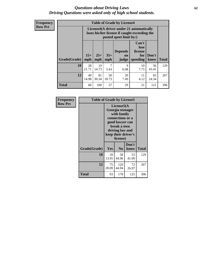### *Questions about Driving Laws* **62** *Driving Questions were asked only of high school students.*

**Frequency Row Pct**

| <b>Table of Grade by License4</b> |             |                                                                                                                                                                                                                                                                                |             |            |            |             |     |  |
|-----------------------------------|-------------|--------------------------------------------------------------------------------------------------------------------------------------------------------------------------------------------------------------------------------------------------------------------------------|-------------|------------|------------|-------------|-----|--|
|                                   |             | License4(A driver under 21 automatically<br>loses his/her license if caught exceeding the<br>posted speet limit by:)<br>Can't<br>lose<br><b>Depends</b><br>license<br>$15+$<br>$25+$<br>$35+$<br>Don't<br>for<br>on<br><b>Total</b><br>mph<br>mph<br>speeding<br>know<br>judge |             |            |            |             |     |  |
| Grade(Grade)                      | mph         |                                                                                                                                                                                                                                                                                |             |            |            |             |     |  |
| 10                                | 28<br>21.71 | 19<br>14.73                                                                                                                                                                                                                                                                    | 7<br>5.43   | 9<br>6.98  | 10<br>7.75 | 56<br>43.41 | 129 |  |
| 12                                | 40<br>14.98 | 81<br>30.34                                                                                                                                                                                                                                                                    | 50<br>18.73 | 20<br>7.49 | 11<br>4.12 | 65<br>24.34 | 267 |  |
| <b>Total</b>                      | 68          | 100                                                                                                                                                                                                                                                                            | 57          | 29         | 21         | 121         | 396 |  |

| Frequency      | <b>Table of Grade by License5</b> |                                                                                                                                                             |                |               |              |
|----------------|-----------------------------------|-------------------------------------------------------------------------------------------------------------------------------------------------------------|----------------|---------------|--------------|
| <b>Row Pct</b> |                                   | License5(A)<br>Georgia teenager<br>with family<br>connections or a<br>good lawyer can<br>break a teen<br>driving law and<br>keep their driver's<br>license) |                |               |              |
|                | Grade(Grade)                      | Yes                                                                                                                                                         | N <sub>0</sub> | Don't<br>know | <b>Total</b> |
|                | 10                                | 18<br>13.95                                                                                                                                                 | 58<br>44.96    | 53<br>41.09   | 129          |
|                | 12                                | 75<br>28.09                                                                                                                                                 | 120<br>44.94   | 72<br>26.97   | 267          |
|                | <b>Total</b>                      | 93                                                                                                                                                          | 178            | 125           | 396          |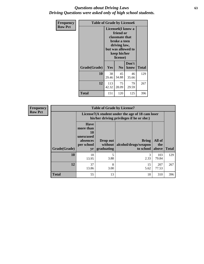### *Questions about Driving Laws* **63** *Driving Questions were asked only of high school students.*

| <b>Frequency</b> | <b>Table of Grade by License6</b> |                                                                                                                                                 |                |               |              |  |  |
|------------------|-----------------------------------|-------------------------------------------------------------------------------------------------------------------------------------------------|----------------|---------------|--------------|--|--|
| <b>Row Pct</b>   |                                   | License <sub>6</sub> (I know a<br>friend or<br>classmate that<br>broke a teen<br>driving law,<br>but was allowed to<br>keep his/her<br>license) |                |               |              |  |  |
|                  | Grade(Grade)                      | Yes                                                                                                                                             | N <sub>0</sub> | Don't<br>know | <b>Total</b> |  |  |
|                  | 10                                | 38<br>29.46                                                                                                                                     | 45<br>34.88    | 46<br>35.66   | 129          |  |  |
|                  | 12                                | 113<br>42.32                                                                                                                                    | 75<br>28.09    | 79<br>29.59   | 267          |  |  |
|                  | <b>Total</b>                      | 151                                                                                                                                             | 120            | 125           | 396          |  |  |

| Frequency      |              |                                                                                               | <b>Table of Grade by License7</b>   |                                                   |                        |              |  |
|----------------|--------------|-----------------------------------------------------------------------------------------------|-------------------------------------|---------------------------------------------------|------------------------|--------------|--|
| <b>Row Pct</b> |              | License7(A student under the age of 18 cam loser<br>his/her driving privileges if he or she:) |                                     |                                                   |                        |              |  |
|                | Grade(Grade) | <b>Have</b><br>more than<br>10<br>unexcused<br>absences<br>per school<br>yr                   | Drop out<br>without  <br>graduating | <b>Bring</b><br>alcohol/drugs/weapon<br>to school | All of<br>the<br>above | <b>Total</b> |  |
|                | 10           | 18<br>13.95                                                                                   | 5<br>3.88                           | 3<br>2.33                                         | 103<br>79.84           | 129          |  |
|                | 12           | 37<br>13.86                                                                                   | 8<br>3.00                           | 15<br>5.62                                        | 207<br>77.53           | 267          |  |
|                | <b>Total</b> | 55                                                                                            | 13                                  | 18                                                | 310                    | 396          |  |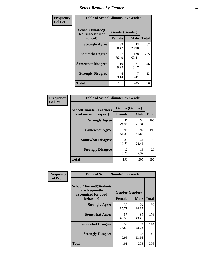# *Select Results by Gender* **64**

| Frequency      | <b>Table of SchoolClimate2 by Gender</b>          |                                 |              |              |  |  |  |
|----------------|---------------------------------------------------|---------------------------------|--------------|--------------|--|--|--|
| <b>Col Pct</b> | SchoolClimate2(I<br>feel successful at<br>school) | Gender(Gender)<br><b>Female</b> | <b>Male</b>  | <b>Total</b> |  |  |  |
|                | <b>Strongly Agree</b>                             | 39<br>20.42                     | 43<br>20.98  | 82           |  |  |  |
|                | <b>Somewhat Agree</b>                             | 127<br>66.49                    | 128<br>62.44 | 255          |  |  |  |
|                | <b>Somewhat Disagree</b>                          | 19<br>9.95                      | 27<br>13.17  | 46           |  |  |  |
|                | <b>Strongly Disagree</b>                          | 6<br>3.14                       | 7<br>3.41    | 13           |  |  |  |
|                | <b>Total</b>                                      | 191                             | 205          | 396          |  |  |  |

| Frequency      | <b>Table of SchoolClimate6 by Gender</b>                 |                                 |             |              |  |  |  |  |
|----------------|----------------------------------------------------------|---------------------------------|-------------|--------------|--|--|--|--|
| <b>Col Pct</b> | <b>SchoolClimate6(Teachers</b><br>treat me with respect) | Gender(Gender)<br><b>Female</b> | <b>Male</b> | <b>Total</b> |  |  |  |  |
|                | <b>Strongly Agree</b>                                    | 46<br>24.08                     | 54<br>26.34 | 100          |  |  |  |  |
|                | <b>Somewhat Agree</b>                                    | 98<br>51.31                     | 92<br>44.88 | 190          |  |  |  |  |
|                | <b>Somewhat Disagree</b>                                 | 35<br>18.32                     | 44<br>21.46 | 79           |  |  |  |  |
|                | <b>Strongly Disagree</b>                                 | 12<br>6.28                      | 15<br>7.32  | 27           |  |  |  |  |
|                | <b>Total</b>                                             | 191                             | 205         | 396          |  |  |  |  |

| <b>Frequency</b> | <b>Table of SchoolClimate8 by Gender</b>                                             |                                 |                   |     |
|------------------|--------------------------------------------------------------------------------------|---------------------------------|-------------------|-----|
| <b>Col Pct</b>   | <b>SchoolClimate8(Students</b><br>are frequently<br>recognized for good<br>behavior) | Gender(Gender)<br><b>Female</b> | <b>Total</b>      |     |
|                  | <b>Strongly Agree</b>                                                                |                                 | <b>Male</b><br>29 | 59  |
|                  |                                                                                      | 15.71                           | 14.15             |     |
|                  | <b>Somewhat Agree</b>                                                                | 87<br>45.55                     | 89<br>43.41       | 176 |
|                  | <b>Somewhat Disagree</b>                                                             | 55<br>28.80                     | 59<br>28.78       | 114 |
|                  | <b>Strongly Disagree</b>                                                             | 19<br>9.95                      | 28<br>13.66       | 47  |
|                  | Total                                                                                | 191                             | 205               | 396 |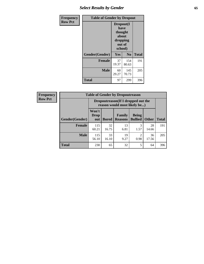# *Select Results by Gender* **65**

| Frequency      | <b>Table of Gender by Dropout</b> |                                                                        |                |              |
|----------------|-----------------------------------|------------------------------------------------------------------------|----------------|--------------|
| <b>Row Pct</b> |                                   | Dropout(I<br>have<br>thought<br>about<br>dropping<br>out of<br>school) |                |              |
|                | Gender(Gender)                    | Yes                                                                    | N <sub>0</sub> | <b>Total</b> |
|                | <b>Female</b>                     | 37<br>19.37                                                            | 154<br>80.63   | 191          |
|                | <b>Male</b>                       | 60<br>29.27                                                            | 145<br>70.73   | 205          |
|                | <b>Total</b>                      | 97                                                                     | 299            | 396          |

| <b>Frequency</b> | <b>Table of Gender by Dropoutreason</b> |                                                                     |              |                          |                                |              |              |
|------------------|-----------------------------------------|---------------------------------------------------------------------|--------------|--------------------------|--------------------------------|--------------|--------------|
| <b>Row Pct</b>   |                                         | Dropoutreason (If I dropped out the<br>reason would most likely be) |              |                          |                                |              |              |
|                  | Gender(Gender)                          | Won't<br><b>Drop</b><br>out                                         | <b>Bored</b> | Family<br><b>Reasons</b> | <b>Being</b><br><b>Bullied</b> | <b>Other</b> | <b>Total</b> |
|                  | Female                                  | 115<br>60.21                                                        | 32<br>16.75  | 13<br>6.81               | 3<br>1.57                      | 28<br>14.66  | 191          |
|                  | <b>Male</b>                             | 115<br>56.10                                                        | 33<br>16.10  | 19<br>9.27               | 2<br>0.98                      | 36<br>17.56  | 205          |
|                  | <b>Total</b>                            | 230                                                                 | 65           | 32                       | 5                              | 64           | 396          |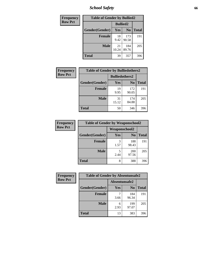*School Safety* **66**

| Frequency      | <b>Table of Gender by Bullied2</b> |                 |                |              |
|----------------|------------------------------------|-----------------|----------------|--------------|
| <b>Row Pct</b> |                                    | <b>Bullied2</b> |                |              |
|                | Gender(Gender)                     | Yes             | N <sub>0</sub> | <b>Total</b> |
|                | <b>Female</b>                      | 18<br>9.42      | 173<br>90.58   | 191          |
|                | <b>Male</b>                        | 21<br>10.24     | 184<br>89.76   | 205          |
|                | <b>Total</b>                       | 39              | 357            | 396          |

| <b>Frequency</b> | <b>Table of Gender by Bulliedothers2</b> |                       |                |              |
|------------------|------------------------------------------|-----------------------|----------------|--------------|
| <b>Row Pct</b>   |                                          | <b>Bulliedothers2</b> |                |              |
|                  | Gender(Gender)                           | Yes                   | N <sub>0</sub> | <b>Total</b> |
|                  | <b>Female</b>                            | 19<br>9.95            | 172<br>90.05   | 191          |
|                  | <b>Male</b>                              | 31<br>15.12           | 174<br>84.88   | 205          |
|                  | <b>Total</b>                             | 50                    | 346            | 396          |

| Frequency      | <b>Table of Gender by Weaponschool2</b> |               |                |              |
|----------------|-----------------------------------------|---------------|----------------|--------------|
| <b>Row Pct</b> |                                         | Weaponschool2 |                |              |
|                | Gender(Gender)                          | Yes           | N <sub>0</sub> | <b>Total</b> |
|                | <b>Female</b>                           | 3<br>1.57     | 188<br>98.43   | 191          |
|                | <b>Male</b>                             | 5<br>2.44     | 200<br>97.56   | 205          |
|                | <b>Total</b>                            | 8             | 388            | 396          |

| Frequency      | <b>Table of Gender by Absentunsafe2</b> |               |                |              |
|----------------|-----------------------------------------|---------------|----------------|--------------|
| <b>Row Pct</b> |                                         | Absentunsafe2 |                |              |
|                | Gender(Gender)                          | Yes           | N <sub>0</sub> | <b>Total</b> |
|                | <b>Female</b>                           | 3.66          | 184<br>96.34   | 191          |
|                | <b>Male</b>                             | 6<br>2.93     | 199<br>97.07   | 205          |
|                | <b>Total</b>                            | 13            | 383            | 396          |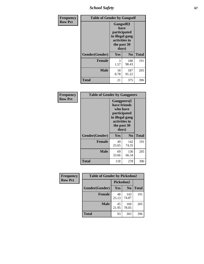*School Safety* **67**

| Frequency      | <b>Table of Gender by Gangself</b> |                                                                                                |              |              |
|----------------|------------------------------------|------------------------------------------------------------------------------------------------|--------------|--------------|
| <b>Row Pct</b> |                                    | Gangself(I<br>have<br>participated<br>in illegal gang<br>activities in<br>the past 30<br>days) |              |              |
|                | Gender(Gender)                     | Yes                                                                                            | $\bf No$     | <b>Total</b> |
|                | <b>Female</b>                      | 3<br>1.57                                                                                      | 188<br>98.43 | 191          |
|                | <b>Male</b>                        | 18<br>8.78                                                                                     | 187<br>91.22 | 205          |
|                | <b>Total</b>                       | 21                                                                                             | 375          | 396          |

| <b>Frequency</b> |                | <b>Table of Gender by Gangpeers</b>                                                                                         |                |              |
|------------------|----------------|-----------------------------------------------------------------------------------------------------------------------------|----------------|--------------|
| <b>Row Pct</b>   |                | <b>Gangpeers</b> (I<br>have friends<br>who have<br>participated<br>in illegal gang<br>activities in<br>the past 30<br>days) |                |              |
|                  | Gender(Gender) | Yes                                                                                                                         | N <sub>0</sub> | <b>Total</b> |
|                  | <b>Female</b>  | 49<br>25.65                                                                                                                 | 142<br>74.35   | 191          |
|                  | <b>Male</b>    | 69<br>33.66                                                                                                                 | 136<br>66.34   | 205          |
|                  | Total          | 118                                                                                                                         | 278            | 396          |

| Frequency      | <b>Table of Gender by Pickedon2</b> |             |                |              |
|----------------|-------------------------------------|-------------|----------------|--------------|
| <b>Row Pct</b> |                                     | Pickedon2   |                |              |
|                | Gender(Gender)                      | Yes         | N <sub>0</sub> | <b>Total</b> |
|                | <b>Female</b>                       | 48<br>25.13 | 143<br>74.87   | 191          |
|                | <b>Male</b>                         | 45<br>21.95 | 160<br>78.05   | 205          |
|                | <b>Total</b>                        | 93          | 303            | 396          |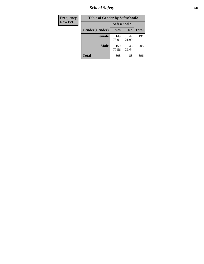*School Safety* **68**

| Frequency      | <b>Table of Gender by Safeschool2</b> |              |                |              |  |
|----------------|---------------------------------------|--------------|----------------|--------------|--|
| <b>Row Pct</b> |                                       | Safeschool2  |                |              |  |
|                | Gender(Gender)                        | Yes          | N <sub>0</sub> | <b>Total</b> |  |
|                | <b>Female</b>                         | 149<br>78.01 | 42<br>21.99    | 191          |  |
|                | <b>Male</b>                           | 159<br>77.56 | 46<br>22.44    | 205          |  |
|                | <b>Total</b>                          | 308          | 88             | 396          |  |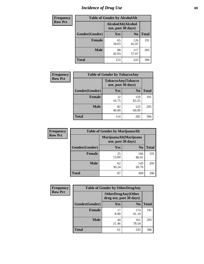# *Incidence of Drug Use* 69

| <b>Frequency</b> | <b>Table of Gender by AlcoholAlt</b> |                                          |                |              |  |
|------------------|--------------------------------------|------------------------------------------|----------------|--------------|--|
| <b>Row Pct</b>   |                                      | AlcoholAlt(Alcohol<br>use, past 30 days) |                |              |  |
|                  | Gender(Gender)                       | <b>Yes</b>                               | N <sub>0</sub> | <b>Total</b> |  |
|                  | <b>Female</b>                        | 65<br>34.03                              | 126<br>65.97   | 191          |  |
|                  | <b>Male</b>                          | 88<br>42.93                              | 117<br>57.07   | 205          |  |
|                  | <b>Total</b>                         | 153                                      | 243            | 396          |  |

| Frequency      | <b>Table of Gender by TobaccoAny</b> |                                          |                |              |  |
|----------------|--------------------------------------|------------------------------------------|----------------|--------------|--|
| <b>Row Pct</b> |                                      | TobaccoAny(Tobacco<br>use, past 30 days) |                |              |  |
|                | Gender(Gender)                       | Yes                                      | N <sub>0</sub> | <b>Total</b> |  |
|                | <b>Female</b>                        | 32<br>16.75                              | 159<br>83.25   | 191          |  |
|                | <b>Male</b>                          | 82<br>40.00                              | 123<br>60.00   | 205          |  |
|                | Total                                | 114                                      | 282            | 396          |  |

| <b>Frequency</b> | <b>Table of Gender by MarijuanaAlt</b> |             |                                              |              |
|------------------|----------------------------------------|-------------|----------------------------------------------|--------------|
| <b>Row Pct</b>   |                                        |             | MarijuanaAlt(Marijuana<br>use, past 30 days) |              |
|                  | Gender(Gender)                         | Yes         | N <sub>0</sub>                               | <b>Total</b> |
|                  | <b>Female</b>                          | 25<br>13.09 | 166<br>86.91                                 | 191          |
|                  | <b>Male</b>                            | 62<br>30.24 | 143<br>69.76                                 | 205          |
|                  | <b>Total</b>                           | 87          | 309                                          | 396          |

| <b>Frequency</b> | <b>Table of Gender by OtherDrugAny</b> |                         |                           |              |  |
|------------------|----------------------------------------|-------------------------|---------------------------|--------------|--|
| <b>Row Pct</b>   |                                        | drug use, past 30 days) | <b>OtherDrugAny(Other</b> |              |  |
|                  | Gender(Gender)                         | <b>Yes</b>              | N <sub>0</sub>            | <b>Total</b> |  |
|                  | <b>Female</b>                          | 17<br>8.90              | 174<br>91.10              | 191          |  |
|                  | <b>Male</b>                            | 44<br>21.46             | 161<br>78.54              | 205          |  |
|                  | <b>Total</b>                           | 61                      | 335                       | 396          |  |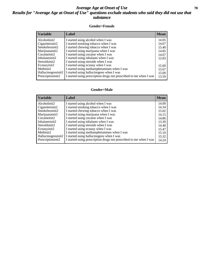## *Average Age at Onset of Use* 70 *Results for "Average Age at Onset of Use" questions exclude students who said they did not use that substance*

#### **Gender=Female**

| <i><b>Variable</b></i> | <b>Label</b>                                                       | <b>Mean</b> |
|------------------------|--------------------------------------------------------------------|-------------|
| Alcoholinit2           | I started using alcohol when I was                                 | 14.05       |
| Cigarettesinit2        | I started smoking tobacco when I was                               | 14.67       |
| Smokelessinit2         | I started chewing tobacco when I was                               | 15.40       |
| Marijuanainit2         | I started using marijuana when I was                               | 14.85       |
| Cocaineinit2           | I started using cocaine when I was                                 | 14.67       |
| Inhalantsinit2         | I started using inhalants when I was                               | 12.83       |
| Steroidsinit2          | I started using steroids when I was                                |             |
| Ecstasyinit2           | I started using ecstasy when I was                                 | 15.60       |
| Methinit2              | I started using methamphetamines when I was                        | 15.67       |
| Hallucinogensinit2     | I started using hallucinogens when I was                           | 15.00       |
| Prescription in t2     | I started using prescription drugs not prescribed to me when I was | 13.59       |

#### **Gender=Male**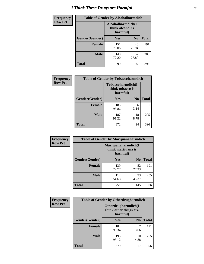# *I Think These Drugs are Harmful* **71**

| <b>Frequency</b> | <b>Table of Gender by Alcoholharmdich</b> |                                                   |                |              |  |
|------------------|-------------------------------------------|---------------------------------------------------|----------------|--------------|--|
| <b>Row Pct</b>   |                                           | Alcoholharmdich(I<br>think alcohol is<br>harmful) |                |              |  |
|                  | Gender(Gender)                            | <b>Yes</b>                                        | N <sub>0</sub> | <b>Total</b> |  |
|                  | <b>Female</b>                             | 151<br>79.06                                      | 40<br>20.94    | 191          |  |
|                  | <b>Male</b>                               | 148<br>72.20                                      | 57<br>27.80    | 205          |  |
|                  | <b>Total</b>                              | 299                                               | 97             | 396          |  |

| Frequency      | <b>Table of Gender by Tobaccoharmdich</b> |                                                   |                |              |
|----------------|-------------------------------------------|---------------------------------------------------|----------------|--------------|
| <b>Row Pct</b> |                                           | Tobaccoharmdich(I<br>think tobacco is<br>harmful) |                |              |
|                | Gender(Gender)                            | Yes                                               | N <sub>0</sub> | <b>Total</b> |
|                | <b>Female</b>                             | 185<br>96.86                                      | 6<br>3.14      | 191          |
|                | <b>Male</b>                               | 187<br>91.22                                      | 18<br>8.78     | 205          |
|                | <b>Total</b>                              | 372                                               | 24             | 396          |

| Frequency      | <b>Table of Gender by Marijuanaharmdich</b> |                                                       |                |              |  |
|----------------|---------------------------------------------|-------------------------------------------------------|----------------|--------------|--|
| <b>Row Pct</b> |                                             | Marijuanaharmdich(I<br>think marijuana is<br>harmful) |                |              |  |
|                | Gender(Gender)                              | <b>Yes</b>                                            | N <sub>0</sub> | <b>Total</b> |  |
|                | <b>Female</b>                               | 139<br>72.77                                          | 52<br>27.23    | 191          |  |
|                | <b>Male</b>                                 | 112<br>54.63                                          | 93<br>45.37    | 205          |  |
|                | <b>Total</b>                                | 251                                                   | 145            | 396          |  |

| Frequency      | <b>Table of Gender by Otherdrugharmdich</b> |                                                          |                |              |  |
|----------------|---------------------------------------------|----------------------------------------------------------|----------------|--------------|--|
| <b>Row Pct</b> |                                             | Otherdrugharmdich(I<br>think other drugs are<br>harmful) |                |              |  |
|                | Gender(Gender)                              | <b>Yes</b>                                               | N <sub>0</sub> | <b>Total</b> |  |
|                | <b>Female</b>                               | 184<br>96.34                                             | 7<br>3.66      | 191          |  |
|                | <b>Male</b>                                 | 195<br>95.12                                             | 10<br>4.88     | 205          |  |
|                | <b>Total</b>                                | 379                                                      | 17             | 396          |  |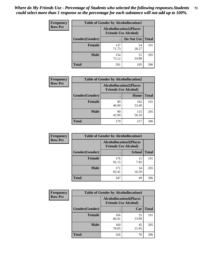| <b>Frequency</b> | <b>Table of Gender by Alcohollocation1</b> |                                                               |             |              |  |
|------------------|--------------------------------------------|---------------------------------------------------------------|-------------|--------------|--|
| <b>Row Pct</b>   |                                            | <b>Alcohollocation1(Places</b><br><b>Friends Use Alcohol)</b> |             |              |  |
|                  | <b>Gender</b> (Gender)                     |                                                               | Do Not Use  | <b>Total</b> |  |
|                  | <b>Female</b>                              | 137<br>71.73                                                  | 54<br>28.27 | 191          |  |
|                  | <b>Male</b>                                | 154<br>75.12                                                  | 51<br>24.88 | 205          |  |
|                  | <b>Total</b>                               | 291                                                           | 105         | 396          |  |

| <b>Frequency</b> | <b>Table of Gender by Alcohollocation2</b> |             |                                                               |              |
|------------------|--------------------------------------------|-------------|---------------------------------------------------------------|--------------|
| <b>Row Pct</b>   |                                            |             | <b>Alcohollocation2(Places</b><br><b>Friends Use Alcohol)</b> |              |
|                  | Gender(Gender)                             |             | Home                                                          | <b>Total</b> |
|                  | <b>Female</b>                              | 89<br>46.60 | 102<br>53.40                                                  | 191          |
|                  | <b>Male</b>                                | 90<br>43.90 | 115<br>56.10                                                  | 205          |
|                  | <b>Total</b>                               | 179         | 217                                                           | 396          |

| Frequency      | <b>Table of Gender by Alcohollocation3</b> |                                                               |               |              |
|----------------|--------------------------------------------|---------------------------------------------------------------|---------------|--------------|
| <b>Row Pct</b> |                                            | <b>Alcohollocation3(Places</b><br><b>Friends Use Alcohol)</b> |               |              |
|                | Gender(Gender)                             |                                                               | <b>School</b> | <b>Total</b> |
|                | <b>Female</b>                              | 176<br>92.15                                                  | 15<br>7.85    | 191          |
|                | <b>Male</b>                                | 171<br>83.41                                                  | 34<br>16.59   | 205          |
|                | <b>Total</b>                               | 347                                                           | 49            | 396          |

| Frequency      | <b>Table of Gender by Alcohollocation4</b> |                                                               |             |              |  |
|----------------|--------------------------------------------|---------------------------------------------------------------|-------------|--------------|--|
| <b>Row Pct</b> |                                            | <b>Alcohollocation4(Places</b><br><b>Friends Use Alcohol)</b> |             |              |  |
|                | Gender(Gender)                             |                                                               | Car         | <b>Total</b> |  |
|                | <b>Female</b>                              | 166<br>86.91                                                  | 25<br>13.09 | 191          |  |
|                | <b>Male</b>                                | 160<br>78.05                                                  | 45<br>21.95 | 205          |  |
|                | <b>Total</b>                               | 326                                                           | 70          | 396          |  |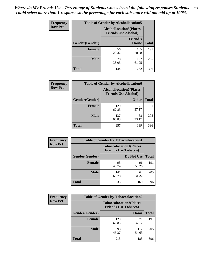| <b>Frequency</b> | <b>Table of Gender by Alcohollocation5</b> |                                |                                 |              |
|------------------|--------------------------------------------|--------------------------------|---------------------------------|--------------|
| <b>Row Pct</b>   |                                            | <b>Alcohollocation5(Places</b> | <b>Friends Use Alcohol)</b>     |              |
|                  | Gender(Gender)                             | $\bullet$                      | <b>Friend's</b><br><b>House</b> | <b>Total</b> |
|                  | <b>Female</b>                              | 56<br>29.32                    | 135<br>70.68                    | 191          |
|                  | <b>Male</b>                                | 78<br>38.05                    | 127<br>61.95                    | 205          |
|                  | <b>Total</b>                               | 134                            | 262                             | 396          |

| Frequency      | <b>Table of Gender by Alcohollocation6</b> |                                                               |              |              |
|----------------|--------------------------------------------|---------------------------------------------------------------|--------------|--------------|
| <b>Row Pct</b> |                                            | <b>Alcohollocation6(Places</b><br><b>Friends Use Alcohol)</b> |              |              |
|                | <b>Gender</b> (Gender)                     |                                                               | <b>Other</b> | <b>Total</b> |
|                | <b>Female</b>                              | 120<br>62.83                                                  | 71<br>37.17  | 191          |
|                | <b>Male</b>                                | 137<br>66.83                                                  | 68<br>33.17  | 205          |
|                | <b>Total</b>                               | 257                                                           | 139          | 396          |

| Frequency      | <b>Table of Gender by Tobaccolocation1</b> |                                                               |             |              |  |
|----------------|--------------------------------------------|---------------------------------------------------------------|-------------|--------------|--|
| <b>Row Pct</b> |                                            | <b>Tobaccolocation1(Places</b><br><b>Friends Use Tobacco)</b> |             |              |  |
|                | Gender(Gender)                             |                                                               | Do Not Use  | <b>Total</b> |  |
|                | <b>Female</b>                              | 95<br>49.74                                                   | 96<br>50.26 | 191          |  |
|                | <b>Male</b>                                | 141<br>68.78                                                  | 64<br>31.22 | 205          |  |
|                | <b>Total</b>                               | 236                                                           | 160         | 396          |  |

| <b>Frequency</b> | <b>Table of Gender by Tobaccolocation2</b> |                                                               |              |              |
|------------------|--------------------------------------------|---------------------------------------------------------------|--------------|--------------|
| <b>Row Pct</b>   |                                            | <b>Tobaccolocation2(Places</b><br><b>Friends Use Tobacco)</b> |              |              |
|                  | Gender(Gender)                             |                                                               | Home         | <b>Total</b> |
|                  | Female                                     | 120<br>62.83                                                  | 71<br>37.17  | 191          |
|                  | <b>Male</b>                                | 93<br>45.37                                                   | 112<br>54.63 | 205          |
|                  | <b>Total</b>                               | 213                                                           | 183          | 396          |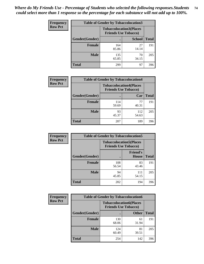| <b>Frequency</b> | <b>Table of Gender by Tobaccolocation3</b> |                             |                                |              |
|------------------|--------------------------------------------|-----------------------------|--------------------------------|--------------|
| <b>Row Pct</b>   |                                            | <b>Friends Use Tobacco)</b> | <b>Tobaccolocation3(Places</b> |              |
|                  | Gender(Gender)                             |                             | <b>School</b>                  | <b>Total</b> |
|                  | Female                                     | 164<br>85.86                | 27<br>14.14                    | 191          |
|                  | <b>Male</b>                                | 135<br>65.85                | 70<br>34.15                    | 205          |
|                  | <b>Total</b>                               | 299                         | 97                             | 396          |

| <b>Frequency</b> | <b>Table of Gender by Tobaccolocation4</b> |              |                                                               |              |
|------------------|--------------------------------------------|--------------|---------------------------------------------------------------|--------------|
| <b>Row Pct</b>   |                                            |              | <b>Tobaccolocation4(Places</b><br><b>Friends Use Tobacco)</b> |              |
|                  | Gender(Gender)                             |              | Car                                                           | <b>Total</b> |
|                  | <b>Female</b>                              | 114<br>59.69 | 77<br>40.31                                                   | 191          |
|                  | <b>Male</b>                                | 93<br>45.37  | 112<br>54.63                                                  | 205          |
|                  | <b>Total</b>                               | 207          | 189                                                           | 396          |

| <b>Frequency</b> | <b>Table of Gender by Tobaccolocation5</b> |                                                               |                                 |              |
|------------------|--------------------------------------------|---------------------------------------------------------------|---------------------------------|--------------|
| <b>Row Pct</b>   |                                            | <b>Tobaccolocation5(Places</b><br><b>Friends Use Tobacco)</b> |                                 |              |
|                  | Gender(Gender)                             |                                                               | <b>Friend's</b><br><b>House</b> | <b>Total</b> |
|                  | <b>Female</b>                              | 108<br>56.54                                                  | 83<br>43.46                     | 191          |
|                  | <b>Male</b>                                | 94<br>45.85                                                   | 111<br>54.15                    | 205          |
|                  | <b>Total</b>                               | 202                                                           | 194                             | 396          |

| <b>Frequency</b> | <b>Table of Gender by Tobaccolocation6</b> |              |                                                               |              |
|------------------|--------------------------------------------|--------------|---------------------------------------------------------------|--------------|
| <b>Row Pct</b>   |                                            |              | <b>Tobaccolocation6(Places</b><br><b>Friends Use Tobacco)</b> |              |
|                  | Gender(Gender)                             |              | <b>Other</b>                                                  | <b>Total</b> |
|                  | Female                                     | 130<br>68.06 | 61<br>31.94                                                   | 191          |
|                  | <b>Male</b>                                | 124<br>60.49 | 81<br>39.51                                                   | 205          |
|                  | <b>Total</b>                               | 254          | 142                                                           | 396          |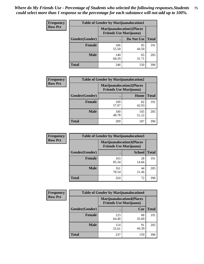| <b>Frequency</b> | <b>Table of Gender by Marijuanalocation1</b> |                                                                    |             |              |  |
|------------------|----------------------------------------------|--------------------------------------------------------------------|-------------|--------------|--|
| <b>Row Pct</b>   |                                              | <b>Marijuanalocation1(Places</b><br><b>Friends Use Marijuana</b> ) |             |              |  |
|                  | <b>Gender</b> (Gender)                       |                                                                    | Do Not Use  | <b>Total</b> |  |
|                  | <b>Female</b>                                | 106<br>55.50                                                       | 85<br>44.50 | 191          |  |
|                  | <b>Male</b>                                  | 140<br>68.29                                                       | 65<br>31.71 | 205          |  |
|                  | <b>Total</b>                                 | 246                                                                | 150         | 396          |  |

| <b>Frequency</b> | <b>Table of Gender by Marijuanalocation2</b> |                                                                    |              |       |
|------------------|----------------------------------------------|--------------------------------------------------------------------|--------------|-------|
| <b>Row Pct</b>   |                                              | <b>Marijuanalocation2(Places</b><br><b>Friends Use Marijuana</b> ) |              |       |
|                  | Gender(Gender)                               |                                                                    | Home         | Total |
|                  | <b>Female</b>                                | 109<br>57.07                                                       | 82<br>42.93  | 191   |
|                  | <b>Male</b>                                  | 100<br>48.78                                                       | 105<br>51.22 | 205   |
|                  | <b>Total</b>                                 | 209                                                                | 187          | 396   |

| Frequency      | <b>Table of Gender by Marijuanalocation3</b> |                                                                    |               |              |
|----------------|----------------------------------------------|--------------------------------------------------------------------|---------------|--------------|
| <b>Row Pct</b> |                                              | <b>Marijuanalocation3(Places</b><br><b>Friends Use Marijuana</b> ) |               |              |
|                | Gender(Gender)                               |                                                                    | <b>School</b> | <b>Total</b> |
|                | Female                                       | 163<br>85.34                                                       | 28<br>14.66   | 191          |
|                | <b>Male</b>                                  | 161<br>78.54                                                       | 44<br>21.46   | 205          |
|                | <b>Total</b>                                 | 324                                                                | 72            | 396          |

| <b>Frequency</b> | <b>Table of Gender by Marijuanalocation4</b> |                                                                    |             |              |
|------------------|----------------------------------------------|--------------------------------------------------------------------|-------------|--------------|
| <b>Row Pct</b>   |                                              | <b>Marijuanalocation4(Places</b><br><b>Friends Use Marijuana</b> ) |             |              |
|                  | Gender(Gender)                               |                                                                    | Car         | <b>Total</b> |
|                  | <b>Female</b>                                | 123<br>64.40                                                       | 68<br>35.60 | 191          |
|                  | <b>Male</b>                                  | 114<br>55.61                                                       | 91<br>44.39 | 205          |
|                  | <b>Total</b>                                 | 237                                                                | 159         | 396          |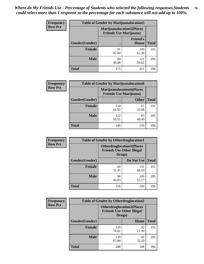| <b>Frequency</b> | <b>Table of Gender by Marijuanalocation5</b> |                                                                    |                                 |              |
|------------------|----------------------------------------------|--------------------------------------------------------------------|---------------------------------|--------------|
| <b>Row Pct</b>   |                                              | <b>Marijuanalocation5(Places</b><br><b>Friends Use Marijuana</b> ) |                                 |              |
|                  | Gender(Gender)                               |                                                                    | <b>Friend's</b><br><b>House</b> | <b>Total</b> |
|                  | <b>Female</b>                                | 91<br>47.64                                                        | 100<br>52.36                    | 191          |
|                  | <b>Male</b>                                  | 84<br>40.98                                                        | 121<br>59.02                    | 205          |
|                  | <b>Total</b>                                 | 175                                                                | 221                             | 396          |

| <b>Frequency</b> | <b>Table of Gender by Marijuanalocation6</b> |                                                                    |              |              |
|------------------|----------------------------------------------|--------------------------------------------------------------------|--------------|--------------|
| <b>Row Pct</b>   |                                              | <b>Marijuanalocation6(Places</b><br><b>Friends Use Marijuana</b> ) |              |              |
|                  | <b>Gender</b> (Gender)                       |                                                                    | <b>Other</b> | <b>Total</b> |
|                  | <b>Female</b>                                | 124<br>64.92                                                       | 67<br>35.08  | 191          |
|                  | <b>Male</b>                                  | 122<br>59.51                                                       | 83<br>40.49  | 205          |
|                  | <b>Total</b>                                 | 246                                                                | 150          | 396          |

| <b>Frequency</b> | <b>Table of Gender by Otherdruglocation1</b> |                                                                                |              |              |
|------------------|----------------------------------------------|--------------------------------------------------------------------------------|--------------|--------------|
| <b>Row Pct</b>   |                                              | <b>Otherdruglocation1(Places</b><br><b>Friends Use Other Illegal</b><br>Drugs) |              |              |
|                  | Gender(Gender)                               |                                                                                | Do Not Use   | <b>Total</b> |
|                  | <b>Female</b>                                | 60<br>31.41                                                                    | 131<br>68.59 | 191          |
|                  | <b>Male</b>                                  | 96<br>46.83                                                                    | 109<br>53.17 | 205          |
|                  | <b>Total</b>                                 | 156                                                                            | 240          | 396          |

| <b>Frequency</b> | <b>Table of Gender by Otherdruglocation2</b> |                                                                                |             |              |
|------------------|----------------------------------------------|--------------------------------------------------------------------------------|-------------|--------------|
| <b>Row Pct</b>   |                                              | <b>Otherdruglocation2(Places</b><br><b>Friends Use Other Illegal</b><br>Drugs) |             |              |
|                  | Gender(Gender)                               |                                                                                | Home        | <b>Total</b> |
|                  | <b>Female</b>                                | 149<br>78.01                                                                   | 42<br>21.99 | 191          |
|                  | <b>Male</b>                                  | 139<br>67.80                                                                   | 66<br>32.20 | 205          |
|                  | <b>Total</b>                                 | 288                                                                            | 108         | 396          |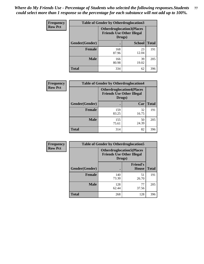| Frequency      | <b>Table of Gender by Otherdruglocation3</b> |                                                                                |               |              |
|----------------|----------------------------------------------|--------------------------------------------------------------------------------|---------------|--------------|
| <b>Row Pct</b> |                                              | <b>Otherdruglocation3(Places</b><br><b>Friends Use Other Illegal</b><br>Drugs) |               |              |
|                | Gender(Gender)                               |                                                                                | <b>School</b> | <b>Total</b> |
|                | Female                                       | 168<br>87.96                                                                   | 23<br>12.04   | 191          |
|                | <b>Male</b>                                  | 166<br>80.98                                                                   | 39<br>19.02   | 205          |
|                | <b>Total</b>                                 | 334                                                                            | 62            | 396          |

| Frequency      | <b>Table of Gender by Otherdruglocation4</b> |                                                                                |             |              |
|----------------|----------------------------------------------|--------------------------------------------------------------------------------|-------------|--------------|
| <b>Row Pct</b> |                                              | <b>Otherdruglocation4(Places</b><br><b>Friends Use Other Illegal</b><br>Drugs) |             |              |
|                | Gender(Gender)                               |                                                                                | Car         | <b>Total</b> |
|                | Female                                       | 159<br>83.25                                                                   | 32<br>16.75 | 191          |
|                | <b>Male</b>                                  | 155<br>75.61                                                                   | 50<br>24.39 | 205          |
|                | <b>Total</b>                                 | 314                                                                            | 82          | 396          |

| <b>Frequency</b> | <b>Table of Gender by Otherdruglocation5</b> |                                                                                |                                 |              |
|------------------|----------------------------------------------|--------------------------------------------------------------------------------|---------------------------------|--------------|
| <b>Row Pct</b>   |                                              | <b>Otherdruglocation5(Places</b><br><b>Friends Use Other Illegal</b><br>Drugs) |                                 |              |
|                  | Gender(Gender)                               |                                                                                | <b>Friend's</b><br><b>House</b> | <b>Total</b> |
|                  | <b>Female</b>                                | 140<br>73.30                                                                   | 51<br>26.70                     | 191          |
|                  | <b>Male</b>                                  | 128<br>62.44                                                                   | 77<br>37.56                     | 205          |
|                  | <b>Total</b>                                 | 268                                                                            | 128                             | 396          |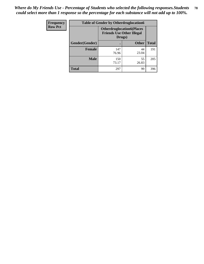| Frequency      | <b>Table of Gender by Otherdruglocation6</b> |                                                                                |              |              |
|----------------|----------------------------------------------|--------------------------------------------------------------------------------|--------------|--------------|
| <b>Row Pct</b> |                                              | <b>Otherdruglocation6(Places</b><br><b>Friends Use Other Illegal</b><br>Drugs) |              |              |
|                | Gender(Gender)                               |                                                                                | <b>Other</b> | <b>Total</b> |
|                | <b>Female</b>                                | 147<br>76.96                                                                   | 44<br>23.04  | 191          |
|                | <b>Male</b>                                  | 150<br>73.17                                                                   | 55<br>26.83  | 205          |
|                | <b>Total</b>                                 | 297                                                                            | 99           | 396          |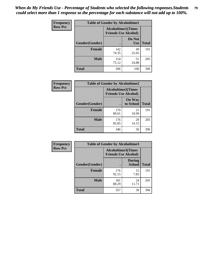| <b>Frequency</b> | <b>Table of Gender by Alcoholtime1</b> |                                                          |                      |              |
|------------------|----------------------------------------|----------------------------------------------------------|----------------------|--------------|
| <b>Row Pct</b>   |                                        | <b>Alcoholtime1(Times</b><br><b>Friends Use Alcohol)</b> |                      |              |
|                  | Gender(Gender)                         | $\bullet$                                                | Do Not<br><b>Use</b> | <b>Total</b> |
|                  | <b>Female</b>                          | 142<br>74.35                                             | 49<br>25.65          | 191          |
|                  | <b>Male</b>                            | 154<br>75.12                                             | 51<br>24.88          | 205          |
|                  | <b>Total</b>                           | 296                                                      | 100                  | 396          |

| Frequency      | <b>Table of Gender by Alcoholtime2</b> |                                                          |                            |              |
|----------------|----------------------------------------|----------------------------------------------------------|----------------------------|--------------|
| <b>Row Pct</b> |                                        | <b>Alcoholtime2(Times</b><br><b>Friends Use Alcohol)</b> |                            |              |
|                | Gender(Gender)                         |                                                          | <b>On Way</b><br>to School | <b>Total</b> |
|                | <b>Female</b>                          | 170<br>89.01                                             | 21<br>10.99                | 191          |
|                | <b>Male</b>                            | 176<br>85.85                                             | 29<br>14.15                | 205          |
|                | <b>Total</b>                           | 346                                                      | 50                         | 396          |

| Frequency      | <b>Table of Gender by Alcoholtime3</b> |                                                          |                                |              |
|----------------|----------------------------------------|----------------------------------------------------------|--------------------------------|--------------|
| <b>Row Pct</b> |                                        | <b>Alcoholtime3(Times</b><br><b>Friends Use Alcohol)</b> |                                |              |
|                | Gender(Gender)                         |                                                          | <b>During</b><br><b>School</b> | <b>Total</b> |
|                | <b>Female</b>                          | 176<br>92.15                                             | 15<br>7.85                     | 191          |
|                | <b>Male</b>                            | 181<br>88.29                                             | 24<br>11.71                    | 205          |
|                | <b>Total</b>                           | 357                                                      | 39                             | 396          |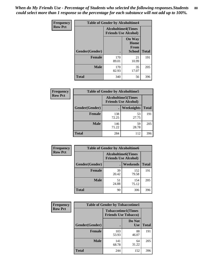*When do My Friends Use - Percentage of Students who selected the following responses.Students could select more than 1 response so the percentage for each substance will not add up to 100%.* **80**

| Frequency      | <b>Table of Gender by Alcoholtime4</b> |                                                          |                                         |              |
|----------------|----------------------------------------|----------------------------------------------------------|-----------------------------------------|--------------|
| <b>Row Pct</b> |                                        | <b>Alcoholtime4(Times</b><br><b>Friends Use Alcohol)</b> |                                         |              |
|                | Gender(Gender)                         |                                                          | <b>On Way</b><br>Home<br>From<br>School | <b>Total</b> |
|                | <b>Female</b>                          | 170<br>89.01                                             | 21<br>10.99                             | 191          |
|                | <b>Male</b>                            | 170<br>82.93                                             | 35<br>17.07                             | 205          |
|                | <b>Total</b>                           | 340                                                      | 56                                      | 396          |

| <b>Frequency</b> | <b>Table of Gender by Alcoholtime5</b> |                                                   |                   |              |
|------------------|----------------------------------------|---------------------------------------------------|-------------------|--------------|
| <b>Row Pct</b>   |                                        | Alcoholtime5(Times<br><b>Friends Use Alcohol)</b> |                   |              |
|                  | Gender(Gender)                         |                                                   | <b>Weeknights</b> | <b>Total</b> |
|                  | <b>Female</b>                          | 138<br>72.25                                      | 53<br>27.75       | 191          |
|                  | <b>Male</b>                            | 146<br>71.22                                      | 59<br>28.78       | 205          |
|                  | <b>Total</b>                           | 284                                               | 112               | 396          |

| <b>Frequency</b> | <b>Table of Gender by Alcoholtime6</b> |                                                           |              |              |
|------------------|----------------------------------------|-----------------------------------------------------------|--------------|--------------|
| <b>Row Pct</b>   |                                        | <b>Alcoholtime6</b> (Times<br><b>Friends Use Alcohol)</b> |              |              |
|                  | Gender(Gender)                         |                                                           | Weekends     | <b>Total</b> |
|                  | <b>Female</b>                          | 39<br>20.42                                               | 152<br>79.58 | 191          |
|                  | <b>Male</b>                            | 51<br>24.88                                               | 154<br>75.12 | 205          |
|                  | Total                                  | 90                                                        | 306          | 396          |

| Frequency      | <b>Table of Gender by Tobaccotime1</b> |                                                          |                      |              |
|----------------|----------------------------------------|----------------------------------------------------------|----------------------|--------------|
| <b>Row Pct</b> |                                        | <b>Tobaccotime1(Times</b><br><b>Friends Use Tobacco)</b> |                      |              |
|                | Gender(Gender)                         |                                                          | Do Not<br><b>Use</b> | <b>Total</b> |
|                | <b>Female</b>                          | 103<br>53.93                                             | 88<br>46.07          | 191          |
|                | <b>Male</b>                            | 141<br>68.78                                             | 64<br>31.22          | 205          |
|                | <b>Total</b>                           | 244                                                      | 152                  | 396          |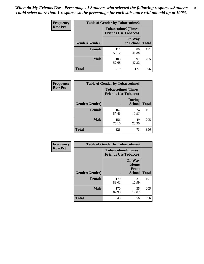*When do My Friends Use - Percentage of Students who selected the following responses.Students could select more than 1 response so the percentage for each substance will not add up to 100%.* **81**

| Frequency      | <b>Table of Gender by Tobaccotime2</b> |                                                          |                            |              |
|----------------|----------------------------------------|----------------------------------------------------------|----------------------------|--------------|
| <b>Row Pct</b> |                                        | <b>Tobaccotime2(Times</b><br><b>Friends Use Tobacco)</b> |                            |              |
|                | Gender(Gender)                         |                                                          | <b>On Way</b><br>to School | <b>Total</b> |
|                | <b>Female</b>                          | 111<br>58.12                                             | 80<br>41.88                | 191          |
|                | <b>Male</b>                            | 108<br>52.68                                             | 97<br>47.32                | 205          |
|                | <b>Total</b>                           | 219                                                      | 177                        | 396          |

| Frequency      | <b>Table of Gender by Tobaccotime3</b> |                                                          |                                |              |
|----------------|----------------------------------------|----------------------------------------------------------|--------------------------------|--------------|
| <b>Row Pct</b> |                                        | <b>Tobaccotime3(Times</b><br><b>Friends Use Tobacco)</b> |                                |              |
|                | Gender(Gender)                         |                                                          | <b>During</b><br><b>School</b> | <b>Total</b> |
|                | Female                                 | 167<br>87.43                                             | 24<br>12.57                    | 191          |
|                | <b>Male</b>                            | 156<br>76.10                                             | 49<br>23.90                    | 205          |
|                | <b>Total</b>                           | 323                                                      | 73                             | 396          |

| <b>Frequency</b> | <b>Table of Gender by Tobaccotime4</b> |                                                          |                                                |              |
|------------------|----------------------------------------|----------------------------------------------------------|------------------------------------------------|--------------|
| <b>Row Pct</b>   |                                        | <b>Tobaccotime4(Times</b><br><b>Friends Use Tobacco)</b> |                                                |              |
|                  | Gender(Gender)                         |                                                          | <b>On Way</b><br>Home<br>From<br><b>School</b> | <b>Total</b> |
|                  | <b>Female</b>                          | 170<br>89.01                                             | 21<br>10.99                                    | 191          |
|                  | <b>Male</b>                            | 170<br>82.93                                             | 35<br>17.07                                    | 205          |
|                  | <b>Total</b>                           | 340                                                      | 56                                             | 396          |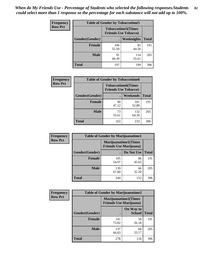| <b>Frequency</b> | <b>Table of Gender by Tobaccotime5</b> |                                                          |                   |              |  |
|------------------|----------------------------------------|----------------------------------------------------------|-------------------|--------------|--|
| <b>Row Pct</b>   |                                        | <b>Tobaccotime5(Times</b><br><b>Friends Use Tobacco)</b> |                   |              |  |
|                  | <b>Gender</b> (Gender)                 |                                                          | <b>Weeknights</b> | <b>Total</b> |  |
|                  | Female                                 | 106<br>55.50                                             | 85<br>44.50       | 191          |  |
|                  | <b>Male</b>                            | 91<br>44.39                                              | 114<br>55.61      | 205          |  |
|                  | <b>Total</b>                           | 197                                                      | 199               | 396          |  |

| <b>Frequency</b> | <b>Table of Gender by Tobaccotime6</b> |                                                          |              |              |  |
|------------------|----------------------------------------|----------------------------------------------------------|--------------|--------------|--|
| <b>Row Pct</b>   |                                        | <b>Tobaccotime6(Times</b><br><b>Friends Use Tobacco)</b> |              |              |  |
|                  | Gender(Gender)                         |                                                          | Weekends     | <b>Total</b> |  |
|                  | Female                                 | 90<br>47.12                                              | 101<br>52.88 | 191          |  |
|                  | <b>Male</b>                            | 73<br>35.61                                              | 132<br>64.39 | 205          |  |
|                  | <b>Total</b>                           | 163                                                      | 233          | 396          |  |

| <b>Frequency</b> | <b>Table of Gender by Marijuanatime1</b> |                                |                      |              |
|------------------|------------------------------------------|--------------------------------|----------------------|--------------|
| <b>Row Pct</b>   |                                          | <b>Friends Use Marijuana</b> ) | Marijuanatime1(Times |              |
|                  | Gender(Gender)                           |                                | Do Not Use           | <b>Total</b> |
|                  | <b>Female</b>                            | 105<br>54.97                   | 86<br>45.03          | 191          |
|                  | <b>Male</b>                              | 139<br>67.80                   | 66<br>32.20          | 205          |
|                  | <b>Total</b>                             | 244                            | 152                  | 396          |

| <b>Frequency</b> | <b>Table of Gender by Marijuanatime2</b>                      |              |                            |              |
|------------------|---------------------------------------------------------------|--------------|----------------------------|--------------|
| <b>Row Pct</b>   | <b>Marijuanatime2(Times</b><br><b>Friends Use Marijuana</b> ) |              |                            |              |
|                  | Gender(Gender)                                                |              | On Way to<br><b>School</b> | <b>Total</b> |
|                  | <b>Female</b>                                                 | 141<br>73.82 | 50<br>26.18                | 191          |
|                  | <b>Male</b>                                                   | 137<br>66.83 | 68<br>33.17                | 205          |
|                  | <b>Total</b>                                                  | 278          | 118                        | 396          |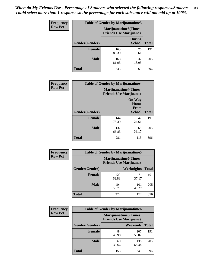*When do My Friends Use - Percentage of Students who selected the following responses.Students could select more than 1 response so the percentage for each substance will not add up to 100%.* **83**

| <b>Frequency</b> | Table of Gender by Marijuanatime3 |                                                        |                                |              |
|------------------|-----------------------------------|--------------------------------------------------------|--------------------------------|--------------|
| <b>Row Pct</b>   |                                   | Marijuanatime3(Times<br><b>Friends Use Marijuana</b> ) |                                |              |
|                  | Gender(Gender)                    |                                                        | <b>During</b><br><b>School</b> | <b>Total</b> |
|                  | <b>Female</b>                     | 165<br>86.39                                           | 26<br>13.61                    | 191          |
|                  | <b>Male</b>                       | 168<br>81.95                                           | 37<br>18.05                    | 205          |
|                  | <b>Total</b>                      | 333                                                    | 63                             | 396          |

| Frequency      | <b>Table of Gender by Marijuanatime4</b> |                                |                                                       |              |
|----------------|------------------------------------------|--------------------------------|-------------------------------------------------------|--------------|
| <b>Row Pct</b> |                                          | <b>Friends Use Marijuana</b> ) | <b>Marijuanatime4</b> (Times                          |              |
|                | Gender(Gender)                           |                                | <b>On Way</b><br>Home<br><b>From</b><br><b>School</b> | <b>Total</b> |
|                | <b>Female</b>                            | 144<br>75.39                   | 47<br>24.61                                           | 191          |
|                | <b>Male</b>                              | 137<br>66.83                   | 68<br>33.17                                           | 205          |
|                | <b>Total</b>                             | 281                            | 115                                                   | 396          |

| Frequency      | <b>Table of Gender by Marijuanatime5</b>                       |              |              |              |  |
|----------------|----------------------------------------------------------------|--------------|--------------|--------------|--|
| <b>Row Pct</b> | <b>Marijuanatime5</b> (Times<br><b>Friends Use Marijuana</b> ) |              |              |              |  |
|                | Gender(Gender)                                                 |              | Weeknights   | <b>Total</b> |  |
|                | <b>Female</b>                                                  | 120<br>62.83 | 71<br>37.17  | 191          |  |
|                | <b>Male</b>                                                    | 104<br>50.73 | 101<br>49.27 | 205          |  |
|                | <b>Total</b>                                                   | 224          | 172          | 396          |  |

| Frequency      | <b>Table of Gender by Marijuanatime6</b> |                                                               |                 |              |  |
|----------------|------------------------------------------|---------------------------------------------------------------|-----------------|--------------|--|
| <b>Row Pct</b> |                                          | <b>Marijuanatime6(Times</b><br><b>Friends Use Marijuana</b> ) |                 |              |  |
|                | Gender(Gender)                           |                                                               | <b>Weekends</b> | <b>Total</b> |  |
|                | <b>Female</b>                            | 84<br>43.98                                                   | 107<br>56.02    | 191          |  |
|                | <b>Male</b>                              | 69<br>33.66                                                   | 136<br>66.34    | 205          |  |
|                | <b>Total</b>                             | 153                                                           | 243             | 396          |  |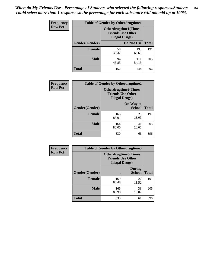*When do My Friends Use - Percentage of Students who selected the following responses.Students could select more than 1 response so the percentage for each substance will not add up to 100%.* **84**

| <b>Frequency</b> | <b>Table of Gender by Otherdrugtime1</b> |                                                                                   |                    |     |  |
|------------------|------------------------------------------|-----------------------------------------------------------------------------------|--------------------|-----|--|
| <b>Row Pct</b>   |                                          | <b>Otherdrugtime1(Times</b><br><b>Friends Use Other</b><br><b>Illegal Drugs</b> ) |                    |     |  |
|                  | Gender(Gender)                           |                                                                                   | Do Not Use   Total |     |  |
|                  | <b>Female</b>                            | 58<br>30.37                                                                       | 133<br>69.63       | 191 |  |
|                  | <b>Male</b>                              | 94<br>45.85                                                                       | 111<br>54.15       | 205 |  |
|                  | <b>Total</b>                             | 152                                                                               | 244                | 396 |  |

| <b>Frequency</b> | <b>Table of Gender by Otherdrugtime2</b> |                                                                                   |                            |              |  |
|------------------|------------------------------------------|-----------------------------------------------------------------------------------|----------------------------|--------------|--|
| <b>Row Pct</b>   |                                          | <b>Otherdrugtime2(Times</b><br><b>Friends Use Other</b><br><b>Illegal Drugs</b> ) |                            |              |  |
|                  | Gender(Gender)                           |                                                                                   | On Way to<br><b>School</b> | <b>Total</b> |  |
|                  | <b>Female</b>                            | 166<br>86.91                                                                      | 25<br>13.09                | 191          |  |
|                  | <b>Male</b>                              | 164<br>80.00                                                                      | 41<br>20.00                | 205          |  |
|                  | <b>Total</b>                             | 330                                                                               | 66                         | 396          |  |

| Frequency      | <b>Table of Gender by Otherdrugtime3</b> |                                                                            |                                |              |  |
|----------------|------------------------------------------|----------------------------------------------------------------------------|--------------------------------|--------------|--|
| <b>Row Pct</b> |                                          | Otherdrugtime3(Times<br><b>Friends Use Other</b><br><b>Illegal Drugs</b> ) |                                |              |  |
|                | Gender(Gender)                           |                                                                            | <b>During</b><br><b>School</b> | <b>Total</b> |  |
|                | <b>Female</b>                            | 169<br>88.48                                                               | 22<br>11.52                    | 191          |  |
|                | <b>Male</b>                              | 166<br>80.98                                                               | 39<br>19.02                    | 205          |  |
|                | <b>Total</b>                             | 335                                                                        | 61                             | 396          |  |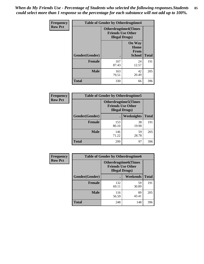*When do My Friends Use - Percentage of Students who selected the following responses.Students could select more than 1 response so the percentage for each substance will not add up to 100%.* **85**

| Frequency      | <b>Table of Gender by Otherdrugtime4</b> |                                                    |                                                       |              |
|----------------|------------------------------------------|----------------------------------------------------|-------------------------------------------------------|--------------|
| <b>Row Pct</b> |                                          | <b>Friends Use Other</b><br><b>Illegal Drugs</b> ) | <b>Otherdrugtime4(Times</b>                           |              |
|                | Gender(Gender)                           |                                                    | <b>On Way</b><br>Home<br><b>From</b><br><b>School</b> | <b>Total</b> |
|                | <b>Female</b>                            | 167<br>87.43                                       | 24<br>12.57                                           | 191          |
|                | <b>Male</b>                              | 163<br>79.51                                       | 42<br>20.49                                           | 205          |
|                | <b>Total</b>                             | 330                                                | 66                                                    | 396          |

| <b>Frequency</b> | <b>Table of Gender by Otherdrugtime5</b> |              |                                                                                    |              |
|------------------|------------------------------------------|--------------|------------------------------------------------------------------------------------|--------------|
| <b>Row Pct</b>   |                                          |              | <b>Otherdrugtime5</b> (Times<br><b>Friends Use Other</b><br><b>Illegal Drugs</b> ) |              |
|                  | Gender(Gender)                           | $\bullet$    | Weeknights                                                                         | <b>Total</b> |
|                  | <b>Female</b>                            | 153<br>80.10 | 38<br>19.90                                                                        | 191          |
|                  | <b>Male</b>                              | 146<br>71.22 | 59<br>28.78                                                                        | 205          |
|                  | Total                                    | 299          | 97                                                                                 | 396          |

| Frequency      |                | <b>Table of Gender by Otherdrugtime6</b>                                          |             |              |  |
|----------------|----------------|-----------------------------------------------------------------------------------|-------------|--------------|--|
| <b>Row Pct</b> |                | <b>Otherdrugtime6(Times</b><br><b>Friends Use Other</b><br><b>Illegal Drugs</b> ) |             |              |  |
|                | Gender(Gender) |                                                                                   | Weekends    | <b>Total</b> |  |
|                | <b>Female</b>  | 132<br>69.11                                                                      | 59<br>30.89 | 191          |  |
|                | <b>Male</b>    | 116<br>56.59                                                                      | 89<br>43.41 | 205          |  |
|                | <b>Total</b>   | 248                                                                               | 148         | 396          |  |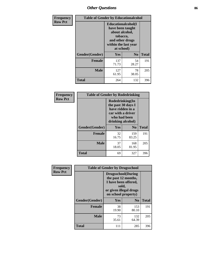# *Other Questions* **86**

| <b>Frequency</b> | <b>Table of Gender by Educationalcohol</b> |                                                                                                                                       |                |              |
|------------------|--------------------------------------------|---------------------------------------------------------------------------------------------------------------------------------------|----------------|--------------|
| <b>Row Pct</b>   |                                            | <b>Educationalcohol</b> (I<br>have been taught<br>about alcohol,<br>tobacco,<br>and other drugs<br>within the last year<br>at school) |                |              |
|                  | Gender(Gender)                             | <b>Yes</b>                                                                                                                            | N <sub>0</sub> | <b>Total</b> |
|                  | <b>Female</b>                              | 137<br>71.73                                                                                                                          | 54<br>28.27    | 191          |
|                  | <b>Male</b>                                | 127<br>61.95                                                                                                                          | 78<br>38.05    | 205          |
|                  | <b>Total</b>                               | 264                                                                                                                                   | 132            | 396          |

| Frequency      | <b>Table of Gender by Rodedrinking</b> |             |                                                                                                                     |              |  |
|----------------|----------------------------------------|-------------|---------------------------------------------------------------------------------------------------------------------|--------------|--|
| <b>Row Pct</b> |                                        |             | Rodedrinking(In<br>the past 30 days I<br>have ridden in a<br>car with a driver<br>who had been<br>drinking alcohol) |              |  |
|                | Gender(Gender)                         | Yes         | N <sub>0</sub>                                                                                                      | <b>Total</b> |  |
|                | <b>Female</b>                          | 32<br>16.75 | 159<br>83.25                                                                                                        | 191          |  |
|                | <b>Male</b>                            | 37<br>18.05 | 168<br>81.95                                                                                                        | 205          |  |
|                | <b>Total</b>                           | 69          | 327                                                                                                                 | 396          |  |

| Frequency      | <b>Table of Gender by Drugsschool</b> |                                                                                                                                     |                |              |
|----------------|---------------------------------------|-------------------------------------------------------------------------------------------------------------------------------------|----------------|--------------|
| <b>Row Pct</b> |                                       | <b>Drugsschool</b> (During<br>the past 12 months,<br>I have been offered,<br>sold,<br>or given illegal drugs<br>on school property) |                |              |
|                | Gender(Gender)                        | <b>Yes</b>                                                                                                                          | N <sub>0</sub> | <b>Total</b> |
|                | <b>Female</b>                         | 38<br>19.90                                                                                                                         | 153<br>80.10   | 191          |
|                | <b>Male</b>                           | 73<br>35.61                                                                                                                         | 132<br>64.39   | 205          |
|                | <b>Total</b>                          | 111                                                                                                                                 | 285            | 396          |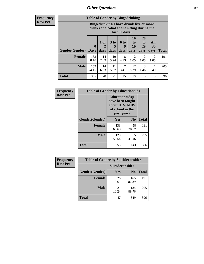## *Other Questions* **87**

**Frequency Row Pct**

| <b>Table of Gender by Bingedrinking</b> |                         |                                                                                                         |                   |                   |                               |                               |                        |              |
|-----------------------------------------|-------------------------|---------------------------------------------------------------------------------------------------------|-------------------|-------------------|-------------------------------|-------------------------------|------------------------|--------------|
|                                         |                         | Bingedrinking(I have drunk five or more<br>drinks of alcohol at one sitting during the<br>last 30 days) |                   |                   |                               |                               |                        |              |
| <b>Gender</b> (Gender)                  | $\bf{0}$<br><b>Days</b> | $1$ or<br>days                                                                                          | 3 to<br>5<br>days | 6 to<br>9<br>days | <b>10</b><br>to<br>19<br>days | <b>20</b><br>to<br>29<br>days | All<br>30<br>days      | <b>Total</b> |
| <b>Female</b>                           | 153<br>80.10            | 14<br>7.33                                                                                              | 10<br>5.24        | 8<br>4.19         | $\mathfrak{D}$<br>1.05        | 2<br>1.05                     | $\mathfrak{D}$<br>1.05 | 191          |
|                                         |                         |                                                                                                         |                   |                   |                               |                               |                        |              |
| <b>Male</b>                             | 152<br>74.15            | 14<br>6.83                                                                                              | 11<br>5.37        | 7<br>3.41         | 17<br>8.29                    | 3<br>1.46                     | 0.49                   | 205          |

| Frequency      | <b>Table of Gender by Educationaids</b> |                                                                                                 |             |              |
|----------------|-----------------------------------------|-------------------------------------------------------------------------------------------------|-------------|--------------|
| <b>Row Pct</b> |                                         | <b>Educationaids</b> (I<br>have been taught<br>about HIV/AIDS<br>at school in the<br>past year) |             |              |
|                | Gender(Gender)                          | Yes                                                                                             | $\bf N_0$   | <b>Total</b> |
|                | <b>Female</b>                           | 133<br>69.63                                                                                    | 58<br>30.37 | 191          |
|                | <b>Male</b>                             | 120<br>58.54                                                                                    | 85<br>41.46 | 205          |
|                | <b>Total</b>                            | 253                                                                                             | 143         | 396          |

| <b>Frequency</b> | <b>Table of Gender by Suicideconsider</b> |                 |                |              |
|------------------|-------------------------------------------|-----------------|----------------|--------------|
| <b>Row Pct</b>   |                                           | Suicideconsider |                |              |
|                  | Gender(Gender)                            | Yes             | N <sub>0</sub> | <b>Total</b> |
|                  | <b>Female</b>                             | 26<br>13.61     | 165<br>86.39   | 191          |
|                  | <b>Male</b>                               | 21<br>10.24     | 184<br>89.76   | 205          |
|                  | Total                                     | 47              | 349            | 396          |